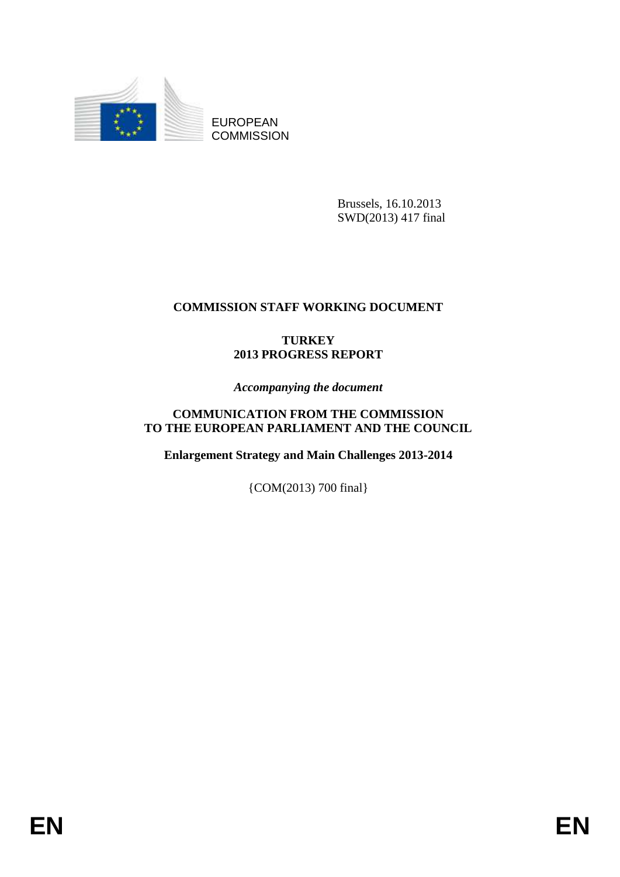

EUROPEAN **COMMISSION** 

> Brussels, 16.10.2013 SWD(2013) 417 final

# **COMMISSION STAFF WORKING DOCUMENT**

## **TURKEY 2013 PROGRESS REPORT**

*Accompanying the document*

## **COMMUNICATION FROM THE COMMISSION TO THE EUROPEAN PARLIAMENT AND THE COUNCIL**

**Enlargement Strategy and Main Challenges 2013-2014**

{COM(2013) 700 final}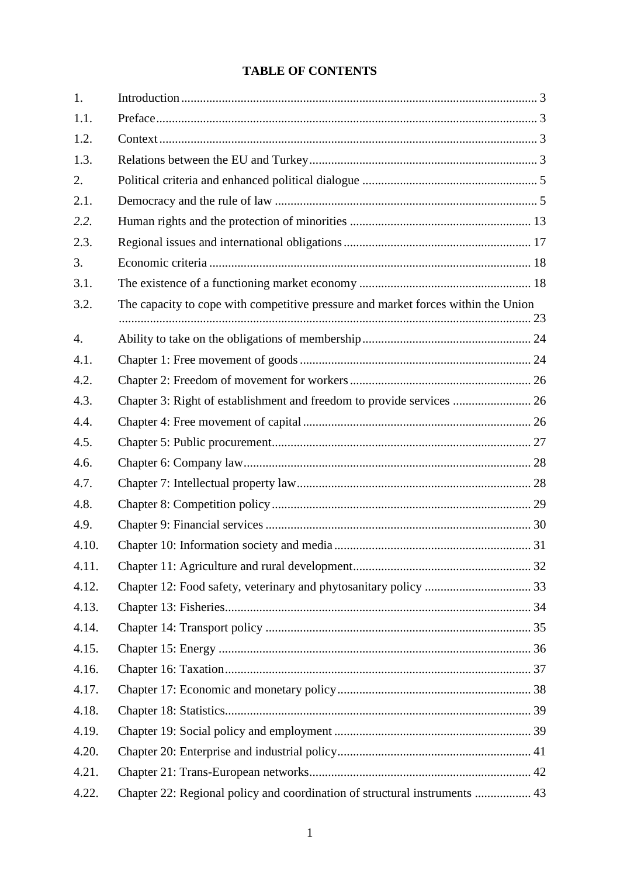# **TABLE OF CONTENTS**

| 1.               |                                                                                   |  |
|------------------|-----------------------------------------------------------------------------------|--|
| 1.1.             |                                                                                   |  |
| 1.2.             |                                                                                   |  |
| 1.3.             |                                                                                   |  |
| 2.               |                                                                                   |  |
| 2.1.             |                                                                                   |  |
| 2.2.             |                                                                                   |  |
| 2.3.             |                                                                                   |  |
| 3.               |                                                                                   |  |
| 3.1.             |                                                                                   |  |
| 3.2.             | The capacity to cope with competitive pressure and market forces within the Union |  |
| $\overline{4}$ . |                                                                                   |  |
| 4.1.             |                                                                                   |  |
| 4.2.             |                                                                                   |  |
| 4.3.             | Chapter 3: Right of establishment and freedom to provide services  26             |  |
| 4.4.             |                                                                                   |  |
| 4.5.             |                                                                                   |  |
| 4.6.             |                                                                                   |  |
| 4.7.             |                                                                                   |  |
| 4.8.             |                                                                                   |  |
| 4.9.             |                                                                                   |  |
| 4.10.            |                                                                                   |  |
| 4.11.            |                                                                                   |  |
| 4.12.            |                                                                                   |  |
| 4.13.            |                                                                                   |  |
| 4.14.            |                                                                                   |  |
| 4.15.            |                                                                                   |  |
| 4.16.            |                                                                                   |  |
| 4.17.            |                                                                                   |  |
| 4.18.            |                                                                                   |  |
| 4.19.            |                                                                                   |  |
| 4.20.            |                                                                                   |  |
| 4.21.            |                                                                                   |  |
| 4.22.            | Chapter 22: Regional policy and coordination of structural instruments  43        |  |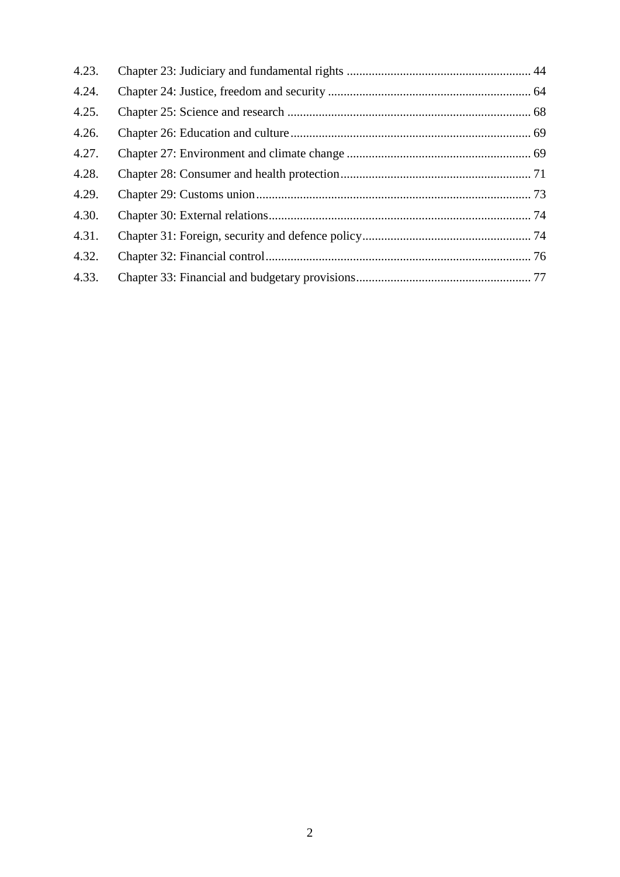| 4.23. |  |
|-------|--|
| 4.24. |  |
| 4.25. |  |
| 4.26. |  |
| 4.27. |  |
| 4.28. |  |
| 4.29. |  |
| 4.30. |  |
| 4.31. |  |
| 4.32. |  |
| 4.33. |  |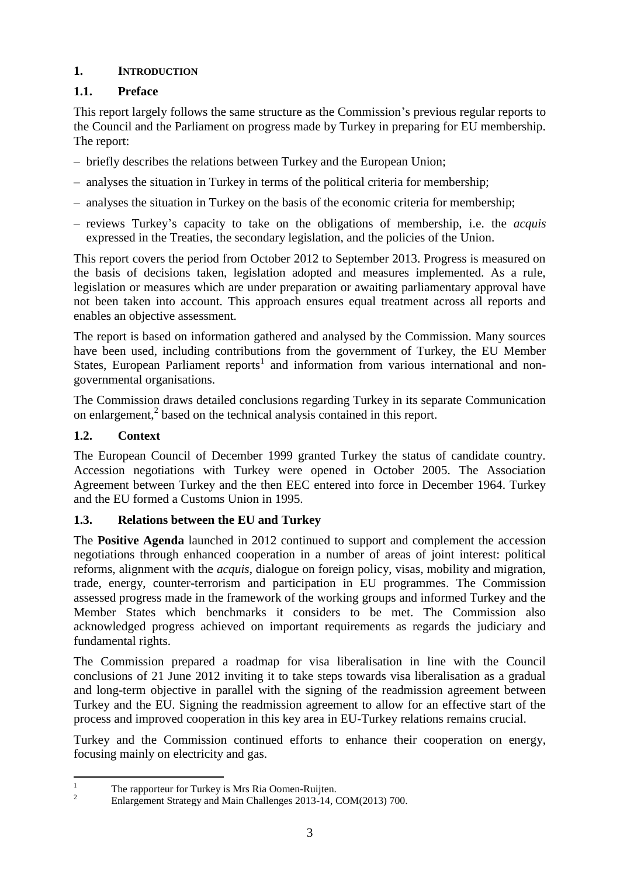## <span id="page-3-0"></span>**1. INTRODUCTION**

## <span id="page-3-1"></span>**1.1. Preface**

This report largely follows the same structure as the Commission's previous regular reports to the Council and the Parliament on progress made by Turkey in preparing for EU membership. The report:

- briefly describes the relations between Turkey and the European Union;
- analyses the situation in Turkey in terms of the political criteria for membership;
- analyses the situation in Turkey on the basis of the economic criteria for membership;
- reviews Turkey's capacity to take on the obligations of membership, i.e. the *acquis*  expressed in the Treaties, the secondary legislation, and the policies of the Union.

This report covers the period from October 2012 to September 2013. Progress is measured on the basis of decisions taken, legislation adopted and measures implemented. As a rule, legislation or measures which are under preparation or awaiting parliamentary approval have not been taken into account. This approach ensures equal treatment across all reports and enables an objective assessment.

The report is based on information gathered and analysed by the Commission. Many sources have been used, including contributions from the government of Turkey, the EU Member States, European Parliament reports<sup>1</sup> and information from various international and nongovernmental organisations.

The Commission draws detailed conclusions regarding Turkey in its separate Communication on enlargement,<sup>2</sup> based on the technical analysis contained in this report.

## <span id="page-3-2"></span>**1.2. Context**

The European Council of December 1999 granted Turkey the status of candidate country. Accession negotiations with Turkey were opened in October 2005. The Association Agreement between Turkey and the then EEC entered into force in December 1964. Turkey and the EU formed a Customs Union in 1995.

## <span id="page-3-3"></span>**1.3. Relations between the EU and Turkey**

The **Positive Agenda** launched in 2012 continued to support and complement the accession negotiations through enhanced cooperation in a number of areas of joint interest: political reforms, alignment with the *acquis*, dialogue on foreign policy, visas, mobility and migration, trade, energy, counter-terrorism and participation in EU programmes. The Commission assessed progress made in the framework of the working groups and informed Turkey and the Member States which benchmarks it considers to be met. The Commission also acknowledged progress achieved on important requirements as regards the judiciary and fundamental rights.

The Commission prepared a roadmap for visa liberalisation in line with the Council conclusions of 21 June 2012 inviting it to take steps towards visa liberalisation as a gradual and long-term objective in parallel with the signing of the readmission agreement between Turkey and the EU. Signing the readmission agreement to allow for an effective start of the process and improved cooperation in this key area in EU-Turkey relations remains crucial.

Turkey and the Commission continued efforts to enhance their cooperation on energy, focusing mainly on electricity and gas.

 $\mathbf{1}$ <sup>1</sup> The rapporteur for Turkey is Mrs Ria Oomen-Ruijten.

<sup>2</sup> Enlargement Strategy and Main Challenges 2013-14, COM(2013) 700.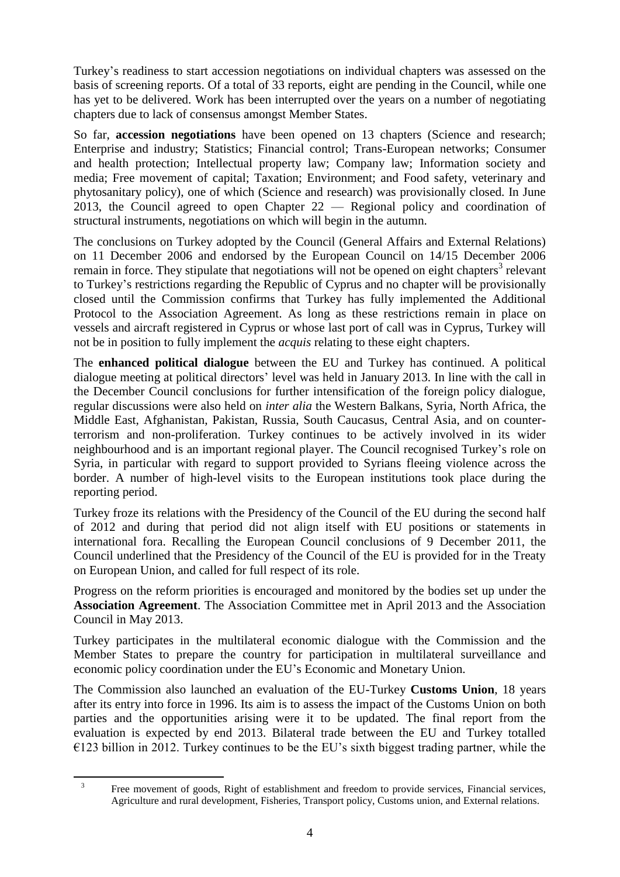Turkey's readiness to start accession negotiations on individual chapters was assessed on the basis of screening reports. Of a total of 33 reports, eight are pending in the Council, while one has yet to be delivered. Work has been interrupted over the years on a number of negotiating chapters due to lack of consensus amongst Member States.

So far, **accession negotiations** have been opened on 13 chapters (Science and research; Enterprise and industry; Statistics; Financial control; Trans-European networks; Consumer and health protection; Intellectual property law; Company law; Information society and media; Free movement of capital; Taxation; Environment; and Food safety, veterinary and phytosanitary policy), one of which (Science and research) was provisionally closed. In June 2013, the Council agreed to open Chapter 22 — Regional policy and coordination of structural instruments, negotiations on which will begin in the autumn.

The conclusions on Turkey adopted by the Council (General Affairs and External Relations) on 11 December 2006 and endorsed by the European Council on 14/15 December 2006 remain in force. They stipulate that negotiations will not be opened on eight chapters<sup>3</sup> relevant to Turkey's restrictions regarding the Republic of Cyprus and no chapter will be provisionally closed until the Commission confirms that Turkey has fully implemented the Additional Protocol to the Association Agreement. As long as these restrictions remain in place on vessels and aircraft registered in Cyprus or whose last port of call was in Cyprus, Turkey will not be in position to fully implement the *acquis* relating to these eight chapters.

The **enhanced political dialogue** between the EU and Turkey has continued. A political dialogue meeting at political directors' level was held in January 2013. In line with the call in the December Council conclusions for further intensification of the foreign policy dialogue, regular discussions were also held on *inter alia* the Western Balkans, Syria, North Africa, the Middle East, Afghanistan, Pakistan, Russia, South Caucasus, Central Asia, and on counterterrorism and non-proliferation. Turkey continues to be actively involved in its wider neighbourhood and is an important regional player. The Council recognised Turkey's role on Syria, in particular with regard to support provided to Syrians fleeing violence across the border. A number of high-level visits to the European institutions took place during the reporting period.

Turkey froze its relations with the Presidency of the Council of the EU during the second half of 2012 and during that period did not align itself with EU positions or statements in international fora. Recalling the European Council conclusions of 9 December 2011, the Council underlined that the Presidency of the Council of the EU is provided for in the Treaty on European Union, and called for full respect of its role.

Progress on the reform priorities is encouraged and monitored by the bodies set up under the **Association Agreement**. The Association Committee met in April 2013 and the Association Council in May 2013.

Turkey participates in the multilateral economic dialogue with the Commission and the Member States to prepare the country for participation in multilateral surveillance and economic policy coordination under the EU's Economic and Monetary Union*.*

The Commission also launched an evaluation of the EU-Turkey **Customs Union**, 18 years after its entry into force in 1996. Its aim is to assess the impact of the Customs Union on both parties and the opportunities arising were it to be updated. The final report from the evaluation is expected by end 2013. Bilateral trade between the EU and Turkey totalled  $\epsilon$ 123 billion in 2012. Turkey continues to be the EU's sixth biggest trading partner, while the

1

<sup>3</sup> Free movement of goods, Right of establishment and freedom to provide services, Financial services, Agriculture and rural development, Fisheries, Transport policy, Customs union, and External relations.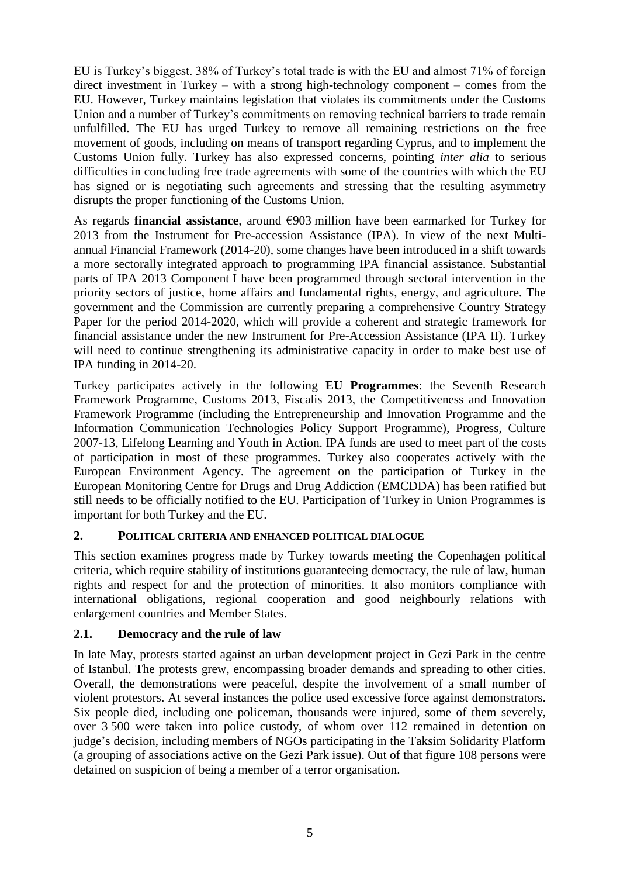EU is Turkey's biggest. 38% of Turkey's total trade is with the EU and almost 71% of foreign direct investment in Turkey – with a strong high-technology component – comes from the EU. However, Turkey maintains legislation that violates its commitments under the Customs Union and a number of Turkey's commitments on removing technical barriers to trade remain unfulfilled. The EU has urged Turkey to remove all remaining restrictions on the free movement of goods, including on means of transport regarding Cyprus, and to implement the Customs Union fully. Turkey has also expressed concerns, pointing *inter alia* to serious difficulties in concluding free trade agreements with some of the countries with which the EU has signed or is negotiating such agreements and stressing that the resulting asymmetry disrupts the proper functioning of the Customs Union.

As regards **financial assistance**, around €903 million have been earmarked for Turkey for 2013 from the Instrument for Pre-accession Assistance (IPA). In view of the next Multiannual Financial Framework (2014-20), some changes have been introduced in a shift towards a more sectorally integrated approach to programming IPA financial assistance. Substantial parts of IPA 2013 Component I have been programmed through sectoral intervention in the priority sectors of justice, home affairs and fundamental rights, energy, and agriculture. The government and the Commission are currently preparing a comprehensive Country Strategy Paper for the period 2014-2020, which will provide a coherent and strategic framework for financial assistance under the new Instrument for Pre-Accession Assistance (IPA II). Turkey will need to continue strengthening its administrative capacity in order to make best use of IPA funding in 2014-20.

Turkey participates actively in the following **EU Programmes**: the Seventh Research Framework Programme, Customs 2013, Fiscalis 2013, the Competitiveness and Innovation Framework Programme (including the Entrepreneurship and Innovation Programme and the Information Communication Technologies Policy Support Programme), Progress, Culture 2007-13, Lifelong Learning and Youth in Action. IPA funds are used to meet part of the costs of participation in most of these programmes. Turkey also cooperates actively with the European Environment Agency. The agreement on the participation of Turkey in the European Monitoring Centre for Drugs and Drug Addiction (EMCDDA) has been ratified but still needs to be officially notified to the EU. Participation of Turkey in Union Programmes is important for both Turkey and the EU.

### <span id="page-5-0"></span>**2. POLITICAL CRITERIA AND ENHANCED POLITICAL DIALOGUE**

This section examines progress made by Turkey towards meeting the Copenhagen political criteria, which require stability of institutions guaranteeing democracy, the rule of law, human rights and respect for and the protection of minorities. It also monitors compliance with international obligations, regional cooperation and good neighbourly relations with enlargement countries and Member States.

## <span id="page-5-1"></span>**2.1. Democracy and the rule of law**

In late May, protests started against an urban development project in Gezi Park in the centre of Istanbul. The protests grew, encompassing broader demands and spreading to other cities. Overall, the demonstrations were peaceful, despite the involvement of a small number of violent protestors. At several instances the police used excessive force against demonstrators. Six people died, including one policeman, thousands were injured, some of them severely, over 3 500 were taken into police custody, of whom over 112 remained in detention on judge's decision, including members of NGOs participating in the Taksim Solidarity Platform (a grouping of associations active on the Gezi Park issue). Out of that figure 108 persons were detained on suspicion of being a member of a terror organisation.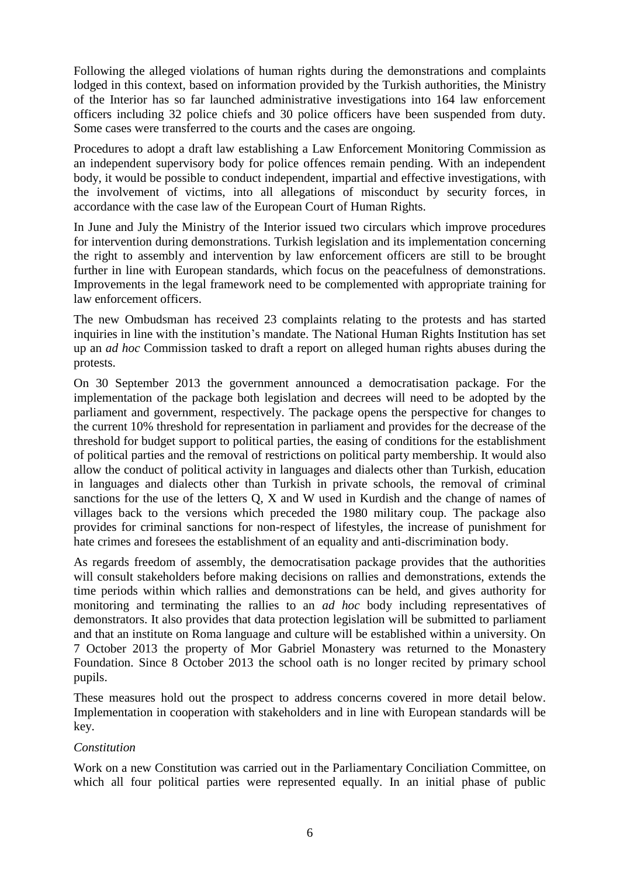Following the alleged violations of human rights during the demonstrations and complaints lodged in this context, based on information provided by the Turkish authorities, the Ministry of the Interior has so far launched administrative investigations into 164 law enforcement officers including 32 police chiefs and 30 police officers have been suspended from duty. Some cases were transferred to the courts and the cases are ongoing.

Procedures to adopt a draft law establishing a Law Enforcement Monitoring Commission as an independent supervisory body for police offences remain pending. With an independent body, it would be possible to conduct independent, impartial and effective investigations, with the involvement of victims, into all allegations of misconduct by security forces, in accordance with the case law of the European Court of Human Rights.

In June and July the Ministry of the Interior issued two circulars which improve procedures for intervention during demonstrations. Turkish legislation and its implementation concerning the right to assembly and intervention by law enforcement officers are still to be brought further in line with European standards, which focus on the peacefulness of demonstrations. Improvements in the legal framework need to be complemented with appropriate training for law enforcement officers.

The new Ombudsman has received 23 complaints relating to the protests and has started inquiries in line with the institution's mandate. The National Human Rights Institution has set up an *ad hoc* Commission tasked to draft a report on alleged human rights abuses during the protests.

On 30 September 2013 the government announced a democratisation package. For the implementation of the package both legislation and decrees will need to be adopted by the parliament and government, respectively. The package opens the perspective for changes to the current 10% threshold for representation in parliament and provides for the decrease of the threshold for budget support to political parties, the easing of conditions for the establishment of political parties and the removal of restrictions on political party membership. It would also allow the conduct of political activity in languages and dialects other than Turkish, education in languages and dialects other than Turkish in private schools, the removal of criminal sanctions for the use of the letters Q, X and W used in Kurdish and the change of names of villages back to the versions which preceded the 1980 military coup. The package also provides for criminal sanctions for non-respect of lifestyles, the increase of punishment for hate crimes and foresees the establishment of an equality and anti-discrimination body.

As regards freedom of assembly, the democratisation package provides that the authorities will consult stakeholders before making decisions on rallies and demonstrations, extends the time periods within which rallies and demonstrations can be held, and gives authority for monitoring and terminating the rallies to an *ad hoc* body including representatives of demonstrators. It also provides that data protection legislation will be submitted to parliament and that an institute on Roma language and culture will be established within a university. On 7 October 2013 the property of Mor Gabriel Monastery was returned to the Monastery Foundation. Since 8 October 2013 the school oath is no longer recited by primary school pupils.

These measures hold out the prospect to address concerns covered in more detail below. Implementation in cooperation with stakeholders and in line with European standards will be key.

### *Constitution*

Work on a new Constitution was carried out in the Parliamentary Conciliation Committee, on which all four political parties were represented equally. In an initial phase of public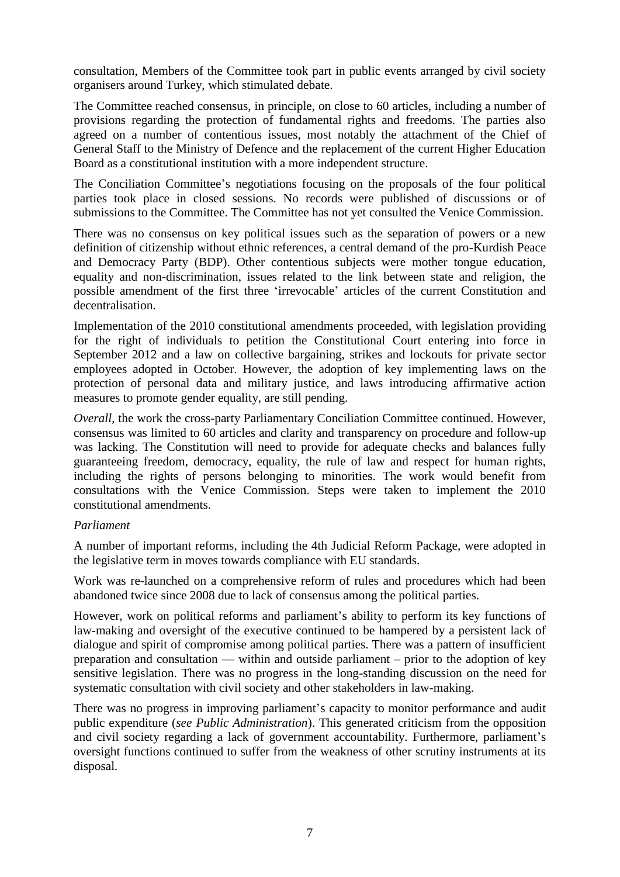consultation, Members of the Committee took part in public events arranged by civil society organisers around Turkey, which stimulated debate.

The Committee reached consensus, in principle, on close to 60 articles, including a number of provisions regarding the protection of fundamental rights and freedoms. The parties also agreed on a number of contentious issues, most notably the attachment of the Chief of General Staff to the Ministry of Defence and the replacement of the current Higher Education Board as a constitutional institution with a more independent structure.

The Conciliation Committee's negotiations focusing on the proposals of the four political parties took place in closed sessions. No records were published of discussions or of submissions to the Committee. The Committee has not yet consulted the Venice Commission.

There was no consensus on key political issues such as the separation of powers or a new definition of citizenship without ethnic references, a central demand of the pro-Kurdish Peace and Democracy Party (BDP). Other contentious subjects were mother tongue education, equality and non-discrimination, issues related to the link between state and religion, the possible amendment of the first three 'irrevocable' articles of the current Constitution and decentralisation.

Implementation of the 2010 constitutional amendments proceeded, with legislation providing for the right of individuals to petition the Constitutional Court entering into force in September 2012 and a law on collective bargaining, strikes and lockouts for private sector employees adopted in October. However, the adoption of key implementing laws on the protection of personal data and military justice, and laws introducing affirmative action measures to promote gender equality, are still pending.

*Overall*, the work the cross-party Parliamentary Conciliation Committee continued. However, consensus was limited to 60 articles and clarity and transparency on procedure and follow-up was lacking. The Constitution will need to provide for adequate checks and balances fully guaranteeing freedom, democracy, equality, the rule of law and respect for human rights, including the rights of persons belonging to minorities. The work would benefit from consultations with the Venice Commission. Steps were taken to implement the 2010 constitutional amendments.

### *Parliament*

A number of important reforms, including the 4th Judicial Reform Package, were adopted in the legislative term in moves towards compliance with EU standards.

Work was re-launched on a comprehensive reform of rules and procedures which had been abandoned twice since 2008 due to lack of consensus among the political parties.

However, work on political reforms and parliament's ability to perform its key functions of law-making and oversight of the executive continued to be hampered by a persistent lack of dialogue and spirit of compromise among political parties. There was a pattern of insufficient preparation and consultation — within and outside parliament – prior to the adoption of key sensitive legislation. There was no progress in the long-standing discussion on the need for systematic consultation with civil society and other stakeholders in law-making.

There was no progress in improving parliament's capacity to monitor performance and audit public expenditure (*see Public Administration*). This generated criticism from the opposition and civil society regarding a lack of government accountability. Furthermore, parliament's oversight functions continued to suffer from the weakness of other scrutiny instruments at its disposal.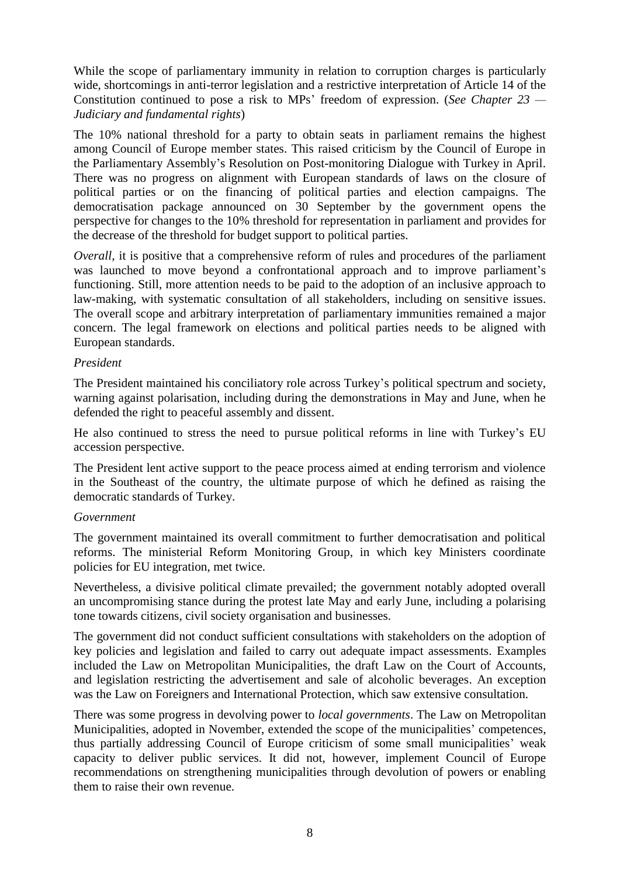While the scope of parliamentary immunity in relation to corruption charges is particularly wide, shortcomings in anti-terror legislation and a restrictive interpretation of Article 14 of the Constitution continued to pose a risk to MPs' freedom of expression. (*See Chapter 23 — Judiciary and fundamental rights*)

The 10% national threshold for a party to obtain seats in parliament remains the highest among Council of Europe member states. This raised criticism by the Council of Europe in the Parliamentary Assembly's Resolution on Post-monitoring Dialogue with Turkey in April. There was no progress on alignment with European standards of laws on the closure of political parties or on the financing of political parties and election campaigns. The democratisation package announced on 30 September by the government opens the perspective for changes to the 10% threshold for representation in parliament and provides for the decrease of the threshold for budget support to political parties.

*Overall*, it is positive that a comprehensive reform of rules and procedures of the parliament was launched to move beyond a confrontational approach and to improve parliament's functioning. Still, more attention needs to be paid to the adoption of an inclusive approach to law-making, with systematic consultation of all stakeholders, including on sensitive issues. The overall scope and arbitrary interpretation of parliamentary immunities remained a major concern. The legal framework on elections and political parties needs to be aligned with European standards.

#### *President*

The President maintained his conciliatory role across Turkey's political spectrum and society, warning against polarisation, including during the demonstrations in May and June, when he defended the right to peaceful assembly and dissent.

He also continued to stress the need to pursue political reforms in line with Turkey's EU accession perspective.

The President lent active support to the peace process aimed at ending terrorism and violence in the Southeast of the country, the ultimate purpose of which he defined as raising the democratic standards of Turkey.

#### *Government*

The government maintained its overall commitment to further democratisation and political reforms. The ministerial Reform Monitoring Group, in which key Ministers coordinate policies for EU integration, met twice.

Nevertheless, a divisive political climate prevailed; the government notably adopted overall an uncompromising stance during the protest late May and early June, including a polarising tone towards citizens, civil society organisation and businesses.

The government did not conduct sufficient consultations with stakeholders on the adoption of key policies and legislation and failed to carry out adequate impact assessments. Examples included the Law on Metropolitan Municipalities, the draft Law on the Court of Accounts, and legislation restricting the advertisement and sale of alcoholic beverages. An exception was the Law on Foreigners and International Protection, which saw extensive consultation.

There was some progress in devolving power to *local governments*. The Law on Metropolitan Municipalities, adopted in November, extended the scope of the municipalities' competences, thus partially addressing Council of Europe criticism of some small municipalities' weak capacity to deliver public services. It did not, however, implement Council of Europe recommendations on strengthening municipalities through devolution of powers or enabling them to raise their own revenue.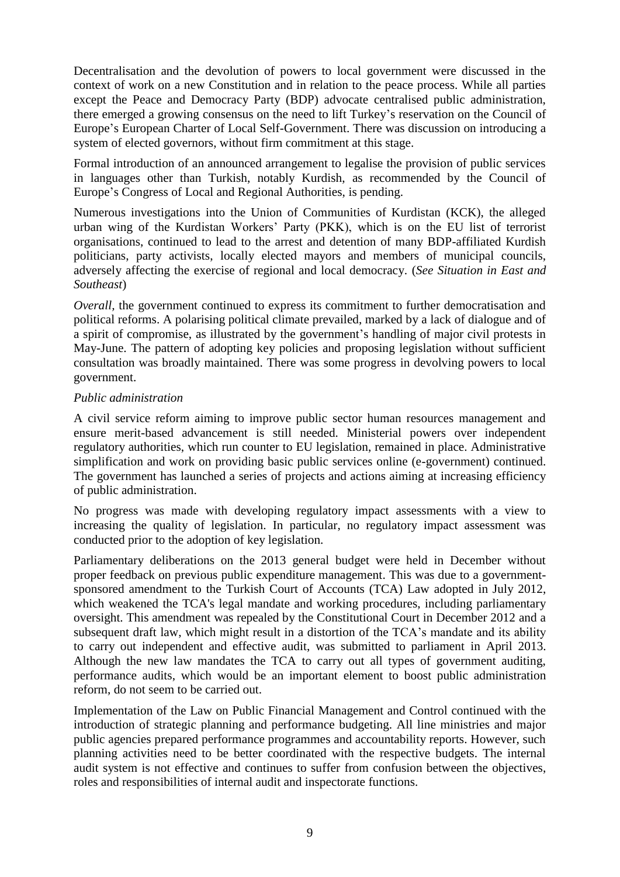Decentralisation and the devolution of powers to local government were discussed in the context of work on a new Constitution and in relation to the peace process. While all parties except the Peace and Democracy Party (BDP) advocate centralised public administration, there emerged a growing consensus on the need to lift Turkey's reservation on the Council of Europe's European Charter of Local Self-Government. There was discussion on introducing a system of elected governors, without firm commitment at this stage.

Formal introduction of an announced arrangement to legalise the provision of public services in languages other than Turkish, notably Kurdish, as recommended by the Council of Europe's Congress of Local and Regional Authorities, is pending.

Numerous investigations into the Union of Communities of Kurdistan (KCK), the alleged urban wing of the Kurdistan Workers' Party (PKK), which is on the EU list of terrorist organisations, continued to lead to the arrest and detention of many BDP-affiliated Kurdish politicians, party activists, locally elected mayors and members of municipal councils, adversely affecting the exercise of regional and local democracy. (*See Situation in East and Southeast*)

*Overall*, the government continued to express its commitment to further democratisation and political reforms. A polarising political climate prevailed, marked by a lack of dialogue and of a spirit of compromise, as illustrated by the government's handling of major civil protests in May-June. The pattern of adopting key policies and proposing legislation without sufficient consultation was broadly maintained. There was some progress in devolving powers to local government.

### *Public administration*

A civil service reform aiming to improve public sector human resources management and ensure merit-based advancement is still needed. Ministerial powers over independent regulatory authorities, which run counter to EU legislation, remained in place. Administrative simplification and work on providing basic public services online (e-government) continued. The government has launched a series of projects and actions aiming at increasing efficiency of public administration.

No progress was made with developing regulatory impact assessments with a view to increasing the quality of legislation. In particular, no regulatory impact assessment was conducted prior to the adoption of key legislation.

Parliamentary deliberations on the 2013 general budget were held in December without proper feedback on previous public expenditure management. This was due to a governmentsponsored amendment to the Turkish Court of Accounts (TCA) Law adopted in July 2012, which weakened the TCA's legal mandate and working procedures, including parliamentary oversight. This amendment was repealed by the Constitutional Court in December 2012 and a subsequent draft law, which might result in a distortion of the TCA's mandate and its ability to carry out independent and effective audit, was submitted to parliament in April 2013. Although the new law mandates the TCA to carry out all types of government auditing, performance audits, which would be an important element to boost public administration reform, do not seem to be carried out.

Implementation of the Law on Public Financial Management and Control continued with the introduction of strategic planning and performance budgeting. All line ministries and major public agencies prepared performance programmes and accountability reports. However, such planning activities need to be better coordinated with the respective budgets. The internal audit system is not effective and continues to suffer from confusion between the objectives, roles and responsibilities of internal audit and inspectorate functions.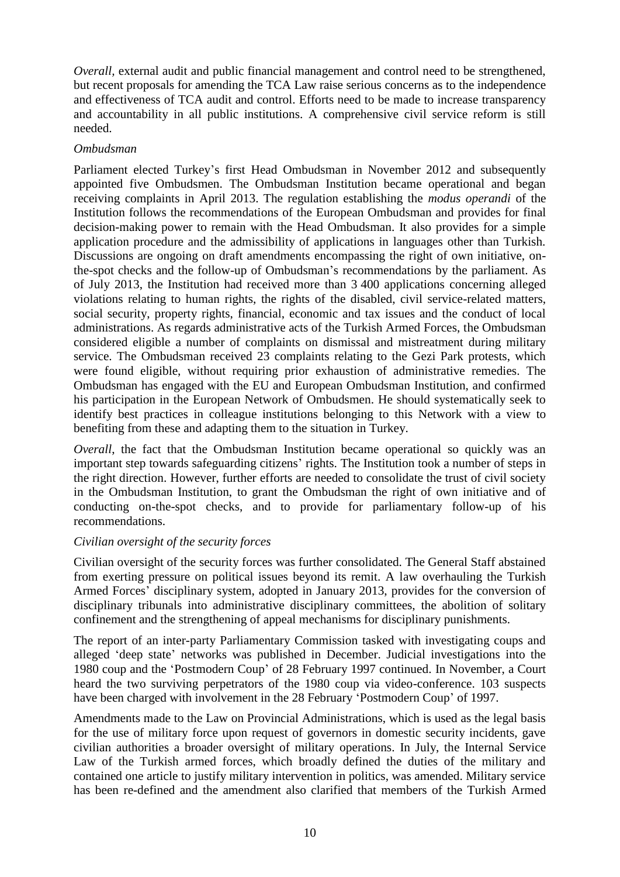*Overall*, external audit and public financial management and control need to be strengthened, but recent proposals for amending the TCA Law raise serious concerns as to the independence and effectiveness of TCA audit and control. Efforts need to be made to increase transparency and accountability in all public institutions. A comprehensive civil service reform is still needed.

#### *Ombudsman*

Parliament elected Turkey's first Head Ombudsman in November 2012 and subsequently appointed five Ombudsmen. The Ombudsman Institution became operational and began receiving complaints in April 2013. The regulation establishing the *modus operandi* of the Institution follows the recommendations of the European Ombudsman and provides for final decision-making power to remain with the Head Ombudsman. It also provides for a simple application procedure and the admissibility of applications in languages other than Turkish. Discussions are ongoing on draft amendments encompassing the right of own initiative, onthe-spot checks and the follow-up of Ombudsman's recommendations by the parliament. As of July 2013, the Institution had received more than 3 400 applications concerning alleged violations relating to human rights, the rights of the disabled, civil service-related matters, social security, property rights, financial, economic and tax issues and the conduct of local administrations. As regards administrative acts of the Turkish Armed Forces, the Ombudsman considered eligible a number of complaints on dismissal and mistreatment during military service. The Ombudsman received 23 complaints relating to the Gezi Park protests, which were found eligible, without requiring prior exhaustion of administrative remedies. The Ombudsman has engaged with the EU and European Ombudsman Institution, and confirmed his participation in the European Network of Ombudsmen. He should systematically seek to identify best practices in colleague institutions belonging to this Network with a view to benefiting from these and adapting them to the situation in Turkey.

*Overall*, the fact that the Ombudsman Institution became operational so quickly was an important step towards safeguarding citizens' rights. The Institution took a number of steps in the right direction. However, further efforts are needed to consolidate the trust of civil society in the Ombudsman Institution, to grant the Ombudsman the right of own initiative and of conducting on-the-spot checks, and to provide for parliamentary follow-up of his recommendations.

### *Civilian oversight of the security forces*

Civilian oversight of the security forces was further consolidated. The General Staff abstained from exerting pressure on political issues beyond its remit. A law overhauling the Turkish Armed Forces' disciplinary system, adopted in January 2013, provides for the conversion of disciplinary tribunals into administrative disciplinary committees, the abolition of solitary confinement and the strengthening of appeal mechanisms for disciplinary punishments.

The report of an inter-party Parliamentary Commission tasked with investigating coups and alleged 'deep state' networks was published in December. Judicial investigations into the 1980 coup and the 'Postmodern Coup' of 28 February 1997 continued. In November, a Court heard the two surviving perpetrators of the 1980 coup via video-conference. 103 suspects have been charged with involvement in the 28 February 'Postmodern Coup' of 1997.

Amendments made to the Law on Provincial Administrations, which is used as the legal basis for the use of military force upon request of governors in domestic security incidents, gave civilian authorities a broader oversight of military operations. In July, the Internal Service Law of the Turkish armed forces, which broadly defined the duties of the military and contained one article to justify military intervention in politics, was amended. Military service has been re-defined and the amendment also clarified that members of the Turkish Armed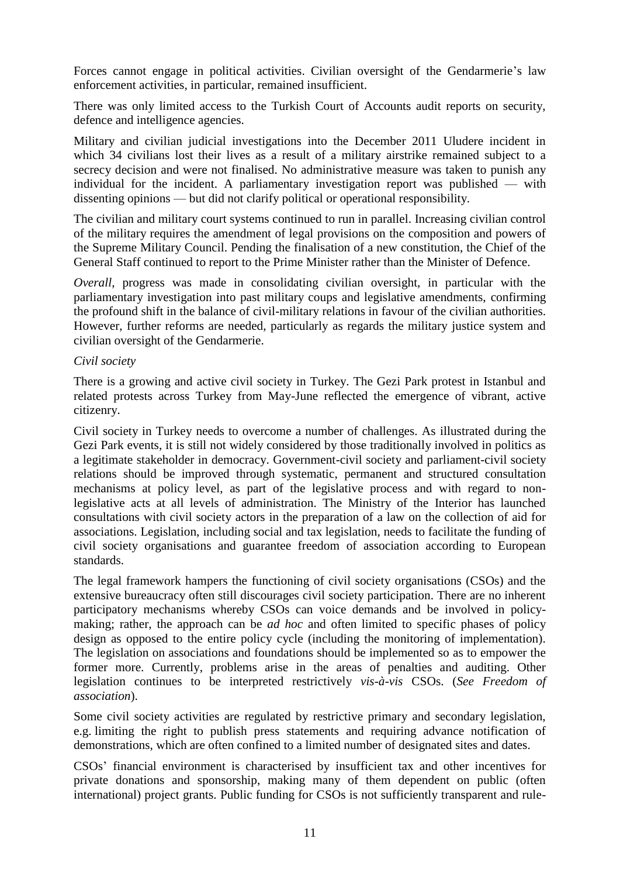Forces cannot engage in political activities. Civilian oversight of the Gendarmerie's law enforcement activities, in particular, remained insufficient.

There was only limited access to the Turkish Court of Accounts audit reports on security, defence and intelligence agencies.

Military and civilian judicial investigations into the December 2011 Uludere incident in which 34 civilians lost their lives as a result of a military airstrike remained subject to a secrecy decision and were not finalised. No administrative measure was taken to punish any individual for the incident. A parliamentary investigation report was published — with dissenting opinions — but did not clarify political or operational responsibility.

The civilian and military court systems continued to run in parallel. Increasing civilian control of the military requires the amendment of legal provisions on the composition and powers of the Supreme Military Council. Pending the finalisation of a new constitution, the Chief of the General Staff continued to report to the Prime Minister rather than the Minister of Defence.

*Overall*, progress was made in consolidating civilian oversight, in particular with the parliamentary investigation into past military coups and legislative amendments, confirming the profound shift in the balance of civil-military relations in favour of the civilian authorities. However, further reforms are needed, particularly as regards the military justice system and civilian oversight of the Gendarmerie.

#### *Civil society*

There is a growing and active civil society in Turkey. The Gezi Park protest in Istanbul and related protests across Turkey from May-June reflected the emergence of vibrant, active citizenry.

Civil society in Turkey needs to overcome a number of challenges. As illustrated during the Gezi Park events, it is still not widely considered by those traditionally involved in politics as a legitimate stakeholder in democracy. Government-civil society and parliament-civil society relations should be improved through systematic, permanent and structured consultation mechanisms at policy level, as part of the legislative process and with regard to nonlegislative acts at all levels of administration. The Ministry of the Interior has launched consultations with civil society actors in the preparation of a law on the collection of aid for associations. Legislation, including social and tax legislation, needs to facilitate the funding of civil society organisations and guarantee freedom of association according to European standards.

The legal framework hampers the functioning of civil society organisations (CSOs) and the extensive bureaucracy often still discourages civil society participation. There are no inherent participatory mechanisms whereby CSOs can voice demands and be involved in policymaking; rather, the approach can be *ad hoc* and often limited to specific phases of policy design as opposed to the entire policy cycle (including the monitoring of implementation). The legislation on associations and foundations should be implemented so as to empower the former more. Currently, problems arise in the areas of penalties and auditing. Other legislation continues to be interpreted restrictively *vis-à-vis* CSOs. (*See Freedom of association*).

Some civil society activities are regulated by restrictive primary and secondary legislation, e.g. limiting the right to publish press statements and requiring advance notification of demonstrations, which are often confined to a limited number of designated sites and dates.

CSOs' financial environment is characterised by insufficient tax and other incentives for private donations and sponsorship, making many of them dependent on public (often international) project grants. Public funding for CSOs is not sufficiently transparent and rule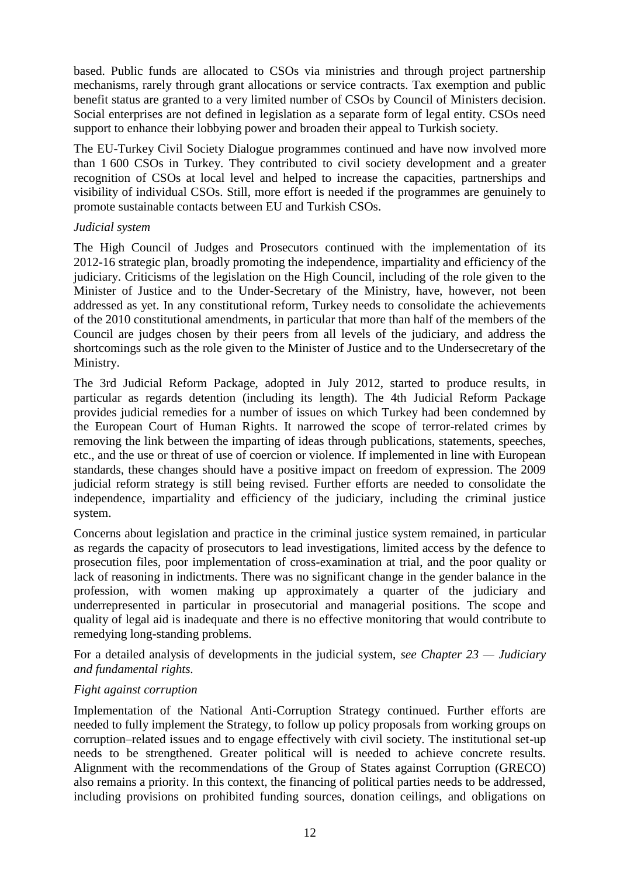based. Public funds are allocated to CSOs via ministries and through project partnership mechanisms, rarely through grant allocations or service contracts. Tax exemption and public benefit status are granted to a very limited number of CSOs by Council of Ministers decision. Social enterprises are not defined in legislation as a separate form of legal entity. CSOs need support to enhance their lobbying power and broaden their appeal to Turkish society.

The EU-Turkey Civil Society Dialogue programmes continued and have now involved more than 1 600 CSOs in Turkey. They contributed to civil society development and a greater recognition of CSOs at local level and helped to increase the capacities, partnerships and visibility of individual CSOs. Still, more effort is needed if the programmes are genuinely to promote sustainable contacts between EU and Turkish CSOs.

#### *Judicial system*

The High Council of Judges and Prosecutors continued with the implementation of its 2012-16 strategic plan, broadly promoting the independence, impartiality and efficiency of the judiciary. Criticisms of the legislation on the High Council, including of the role given to the Minister of Justice and to the Under-Secretary of the Ministry, have, however, not been addressed as yet. In any constitutional reform, Turkey needs to consolidate the achievements of the 2010 constitutional amendments, in particular that more than half of the members of the Council are judges chosen by their peers from all levels of the judiciary, and address the shortcomings such as the role given to the Minister of Justice and to the Undersecretary of the Ministry.

The 3rd Judicial Reform Package, adopted in July 2012, started to produce results, in particular as regards detention (including its length). The 4th Judicial Reform Package provides judicial remedies for a number of issues on which Turkey had been condemned by the European Court of Human Rights. It narrowed the scope of terror-related crimes by removing the link between the imparting of ideas through publications, statements, speeches, etc., and the use or threat of use of coercion or violence. If implemented in line with European standards, these changes should have a positive impact on freedom of expression. The 2009 judicial reform strategy is still being revised. Further efforts are needed to consolidate the independence, impartiality and efficiency of the judiciary, including the criminal justice system.

Concerns about legislation and practice in the criminal justice system remained, in particular as regards the capacity of prosecutors to lead investigations, limited access by the defence to prosecution files, poor implementation of cross-examination at trial, and the poor quality or lack of reasoning in indictments. There was no significant change in the gender balance in the profession, with women making up approximately a quarter of the judiciary and underrepresented in particular in prosecutorial and managerial positions. The scope and quality of legal aid is inadequate and there is no effective monitoring that would contribute to remedying long-standing problems.

For a detailed analysis of developments in the judicial system, *see Chapter 23 — Judiciary and fundamental rights.*

### *Fight against corruption*

Implementation of the National Anti-Corruption Strategy continued. Further efforts are needed to fully implement the Strategy, to follow up policy proposals from working groups on corruption–related issues and to engage effectively with civil society. The institutional set-up needs to be strengthened. Greater political will is needed to achieve concrete results. Alignment with the recommendations of the Group of States against Corruption (GRECO) also remains a priority. In this context, the financing of political parties needs to be addressed, including provisions on prohibited funding sources, donation ceilings, and obligations on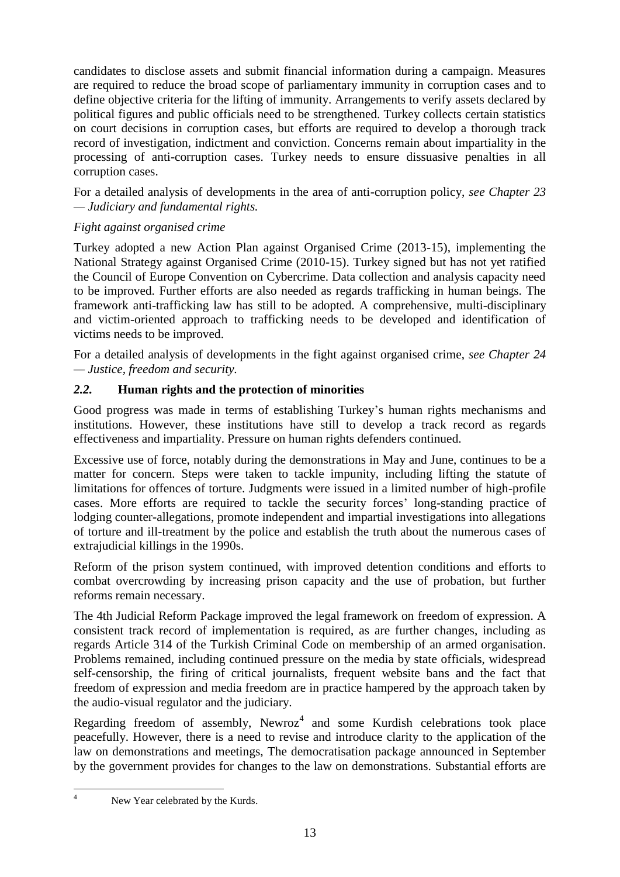candidates to disclose assets and submit financial information during a campaign. Measures are required to reduce the broad scope of parliamentary immunity in corruption cases and to define objective criteria for the lifting of immunity. Arrangements to verify assets declared by political figures and public officials need to be strengthened. Turkey collects certain statistics on court decisions in corruption cases, but efforts are required to develop a thorough track record of investigation, indictment and conviction. Concerns remain about impartiality in the processing of anti-corruption cases. Turkey needs to ensure dissuasive penalties in all corruption cases.

For a detailed analysis of developments in the area of anti-corruption policy, *see Chapter 23 — Judiciary and fundamental rights.*

### *Fight against organised crime*

Turkey adopted a new Action Plan against Organised Crime (2013-15), implementing the National Strategy against Organised Crime (2010-15). Turkey signed but has not yet ratified the Council of Europe Convention on Cybercrime. Data collection and analysis capacity need to be improved. Further efforts are also needed as regards trafficking in human beings. The framework anti-trafficking law has still to be adopted. A comprehensive, multi-disciplinary and victim-oriented approach to trafficking needs to be developed and identification of victims needs to be improved.

For a detailed analysis of developments in the fight against organised crime, *see Chapter 24 — Justice, freedom and security.*

### <span id="page-13-0"></span>*2.2.* **Human rights and the protection of minorities**

Good progress was made in terms of establishing Turkey's human rights mechanisms and institutions. However, these institutions have still to develop a track record as regards effectiveness and impartiality. Pressure on human rights defenders continued.

Excessive use of force, notably during the demonstrations in May and June, continues to be a matter for concern. Steps were taken to tackle impunity, including lifting the statute of limitations for offences of torture. Judgments were issued in a limited number of high-profile cases. More efforts are required to tackle the security forces' long-standing practice of lodging counter-allegations, promote independent and impartial investigations into allegations of torture and ill-treatment by the police and establish the truth about the numerous cases of extrajudicial killings in the 1990s.

Reform of the prison system continued, with improved detention conditions and efforts to combat overcrowding by increasing prison capacity and the use of probation, but further reforms remain necessary.

The 4th Judicial Reform Package improved the legal framework on freedom of expression. A consistent track record of implementation is required, as are further changes, including as regards Article 314 of the Turkish Criminal Code on membership of an armed organisation. Problems remained, including continued pressure on the media by state officials, widespread self-censorship, the firing of critical journalists, frequent website bans and the fact that freedom of expression and media freedom are in practice hampered by the approach taken by the audio-visual regulator and the judiciary.

Regarding freedom of assembly, Newroz<sup>4</sup> and some Kurdish celebrations took place peacefully. However, there is a need to revise and introduce clarity to the application of the law on demonstrations and meetings, The democratisation package announced in September by the government provides for changes to the law on demonstrations. Substantial efforts are

 $\overline{A}$ 

New Year celebrated by the Kurds.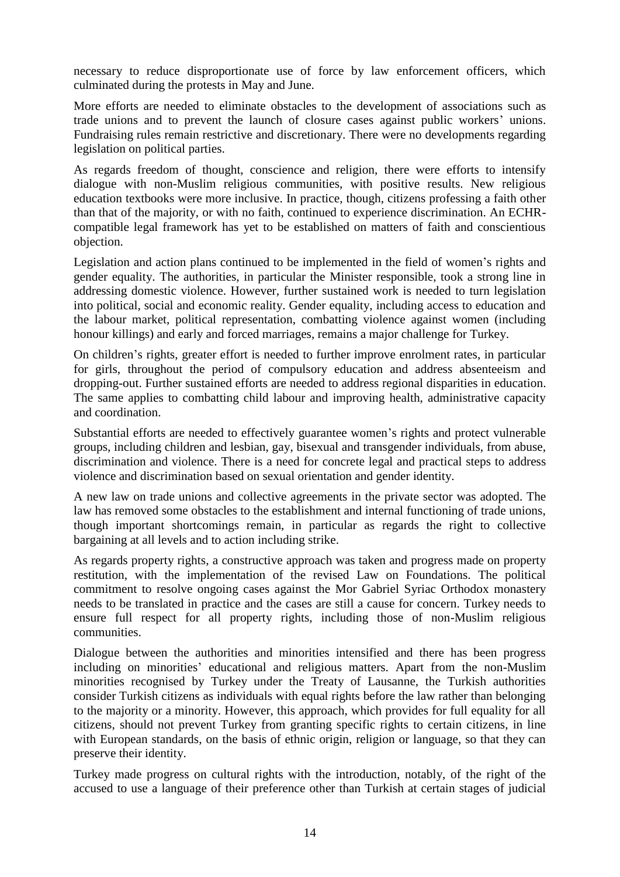necessary to reduce disproportionate use of force by law enforcement officers, which culminated during the protests in May and June.

More efforts are needed to eliminate obstacles to the development of associations such as trade unions and to prevent the launch of closure cases against public workers' unions. Fundraising rules remain restrictive and discretionary. There were no developments regarding legislation on political parties.

As regards freedom of thought, conscience and religion, there were efforts to intensify dialogue with non-Muslim religious communities, with positive results. New religious education textbooks were more inclusive. In practice, though, citizens professing a faith other than that of the majority, or with no faith, continued to experience discrimination. An ECHRcompatible legal framework has yet to be established on matters of faith and conscientious objection.

Legislation and action plans continued to be implemented in the field of women's rights and gender equality. The authorities, in particular the Minister responsible, took a strong line in addressing domestic violence. However, further sustained work is needed to turn legislation into political, social and economic reality. Gender equality, including access to education and the labour market, political representation, combatting violence against women (including honour killings) and early and forced marriages, remains a major challenge for Turkey.

On children's rights, greater effort is needed to further improve enrolment rates, in particular for girls, throughout the period of compulsory education and address absenteeism and dropping-out. Further sustained efforts are needed to address regional disparities in education. The same applies to combatting child labour and improving health, administrative capacity and coordination.

Substantial efforts are needed to effectively guarantee women's rights and protect vulnerable groups, including children and lesbian, gay, bisexual and transgender individuals, from abuse, discrimination and violence. There is a need for concrete legal and practical steps to address violence and discrimination based on sexual orientation and gender identity.

A new law on trade unions and collective agreements in the private sector was adopted. The law has removed some obstacles to the establishment and internal functioning of trade unions, though important shortcomings remain, in particular as regards the right to collective bargaining at all levels and to action including strike.

As regards property rights, a constructive approach was taken and progress made on property restitution, with the implementation of the revised Law on Foundations. The political commitment to resolve ongoing cases against the Mor Gabriel Syriac Orthodox monastery needs to be translated in practice and the cases are still a cause for concern. Turkey needs to ensure full respect for all property rights, including those of non-Muslim religious communities.

Dialogue between the authorities and minorities intensified and there has been progress including on minorities' educational and religious matters. Apart from the non-Muslim minorities recognised by Turkey under the Treaty of Lausanne, the Turkish authorities consider Turkish citizens as individuals with equal rights before the law rather than belonging to the majority or a minority. However, this approach, which provides for full equality for all citizens, should not prevent Turkey from granting specific rights to certain citizens, in line with European standards, on the basis of ethnic origin, religion or language, so that they can preserve their identity.

Turkey made progress on cultural rights with the introduction, notably, of the right of the accused to use a language of their preference other than Turkish at certain stages of judicial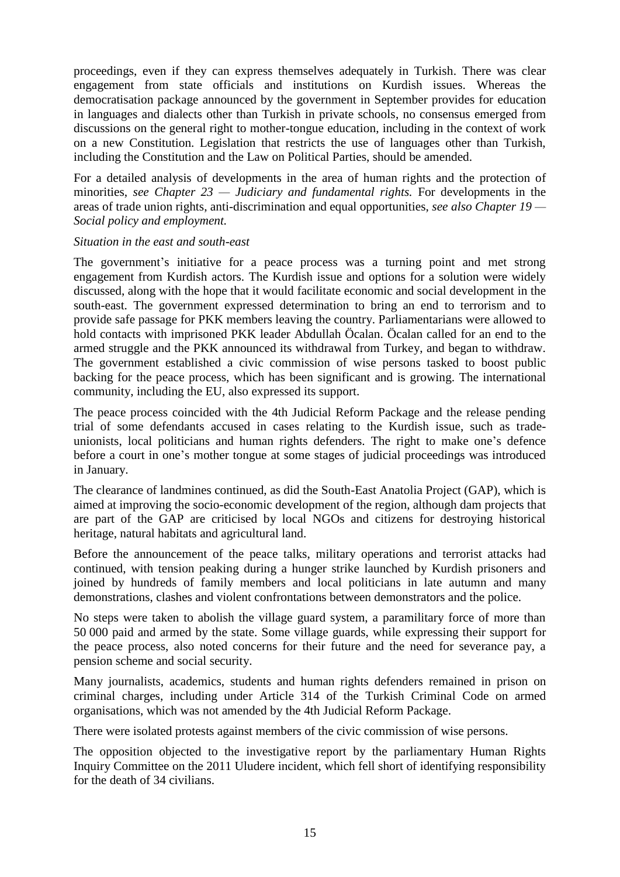proceedings, even if they can express themselves adequately in Turkish. There was clear engagement from state officials and institutions on Kurdish issues. Whereas the democratisation package announced by the government in September provides for education in languages and dialects other than Turkish in private schools, no consensus emerged from discussions on the general right to mother-tongue education, including in the context of work on a new Constitution. Legislation that restricts the use of languages other than Turkish, including the Constitution and the Law on Political Parties, should be amended.

For a detailed analysis of developments in the area of human rights and the protection of minorities, *see Chapter 23 — Judiciary and fundamental rights.* For developments in the areas of trade union rights, anti-discrimination and equal opportunities, *see also Chapter 19 — Social policy and employment.*

#### *Situation in the east and south-east*

The government's initiative for a peace process was a turning point and met strong engagement from Kurdish actors. The Kurdish issue and options for a solution were widely discussed, along with the hope that it would facilitate economic and social development in the south-east. The government expressed determination to bring an end to terrorism and to provide safe passage for PKK members leaving the country. Parliamentarians were allowed to hold contacts with imprisoned PKK leader Abdullah Öcalan. Öcalan called for an end to the armed struggle and the PKK announced its withdrawal from Turkey, and began to withdraw. The government established a civic commission of wise persons tasked to boost public backing for the peace process, which has been significant and is growing. The international community, including the EU, also expressed its support.

The peace process coincided with the 4th Judicial Reform Package and the release pending trial of some defendants accused in cases relating to the Kurdish issue, such as tradeunionists, local politicians and human rights defenders. The right to make one's defence before a court in one's mother tongue at some stages of judicial proceedings was introduced in January.

The clearance of landmines continued, as did the South-East Anatolia Project (GAP), which is aimed at improving the socio-economic development of the region, although dam projects that are part of the GAP are criticised by local NGOs and citizens for destroying historical heritage, natural habitats and agricultural land.

Before the announcement of the peace talks, military operations and terrorist attacks had continued, with tension peaking during a hunger strike launched by Kurdish prisoners and joined by hundreds of family members and local politicians in late autumn and many demonstrations, clashes and violent confrontations between demonstrators and the police.

No steps were taken to abolish the village guard system, a paramilitary force of more than 50 000 paid and armed by the state. Some village guards, while expressing their support for the peace process, also noted concerns for their future and the need for severance pay, a pension scheme and social security.

Many journalists, academics, students and human rights defenders remained in prison on criminal charges, including under Article 314 of the Turkish Criminal Code on armed organisations, which was not amended by the 4th Judicial Reform Package.

There were isolated protests against members of the civic commission of wise persons.

The opposition objected to the investigative report by the parliamentary Human Rights Inquiry Committee on the 2011 Uludere incident, which fell short of identifying responsibility for the death of 34 civilians.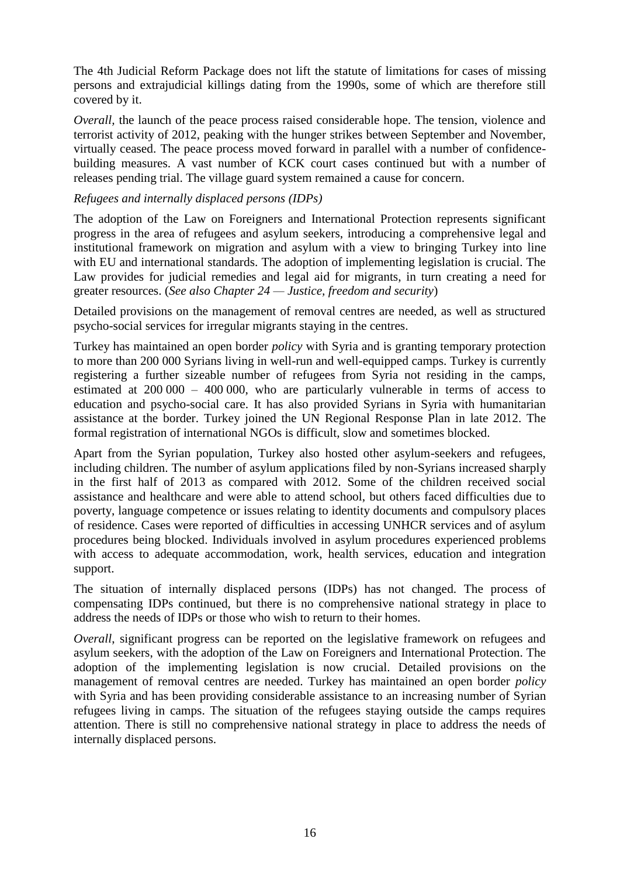The 4th Judicial Reform Package does not lift the statute of limitations for cases of missing persons and extrajudicial killings dating from the 1990s, some of which are therefore still covered by it.

*Overall*, the launch of the peace process raised considerable hope. The tension, violence and terrorist activity of 2012, peaking with the hunger strikes between September and November, virtually ceased. The peace process moved forward in parallel with a number of confidencebuilding measures. A vast number of KCK court cases continued but with a number of releases pending trial. The village guard system remained a cause for concern.

#### *Refugees and internally displaced persons (IDPs)*

The adoption of the Law on Foreigners and International Protection represents significant progress in the area of refugees and asylum seekers, introducing a comprehensive legal and institutional framework on migration and asylum with a view to bringing Turkey into line with EU and international standards. The adoption of implementing legislation is crucial. The Law provides for judicial remedies and legal aid for migrants, in turn creating a need for greater resources. (*See also Chapter 24 — Justice, freedom and security*)

Detailed provisions on the management of removal centres are needed, as well as structured psycho-social services for irregular migrants staying in the centres.

Turkey has maintained an open border *policy* with Syria and is granting temporary protection to more than 200 000 Syrians living in well-run and well-equipped camps. Turkey is currently registering a further sizeable number of refugees from Syria not residing in the camps, estimated at 200 000 – 400 000, who are particularly vulnerable in terms of access to education and psycho-social care. It has also provided Syrians in Syria with humanitarian assistance at the border. Turkey joined the UN Regional Response Plan in late 2012. The formal registration of international NGOs is difficult, slow and sometimes blocked.

Apart from the Syrian population, Turkey also hosted other asylum-seekers and refugees, including children. The number of asylum applications filed by non-Syrians increased sharply in the first half of 2013 as compared with 2012. Some of the children received social assistance and healthcare and were able to attend school, but others faced difficulties due to poverty, language competence or issues relating to identity documents and compulsory places of residence. Cases were reported of difficulties in accessing UNHCR services and of asylum procedures being blocked. Individuals involved in asylum procedures experienced problems with access to adequate accommodation, work, health services, education and integration support.

The situation of internally displaced persons (IDPs) has not changed. The process of compensating IDPs continued, but there is no comprehensive national strategy in place to address the needs of IDPs or those who wish to return to their homes.

*Overall*, significant progress can be reported on the legislative framework on refugees and asylum seekers, with the adoption of the Law on Foreigners and International Protection. The adoption of the implementing legislation is now crucial. Detailed provisions on the management of removal centres are needed. Turkey has maintained an open border *policy* with Syria and has been providing considerable assistance to an increasing number of Syrian refugees living in camps. The situation of the refugees staying outside the camps requires attention. There is still no comprehensive national strategy in place to address the needs of internally displaced persons.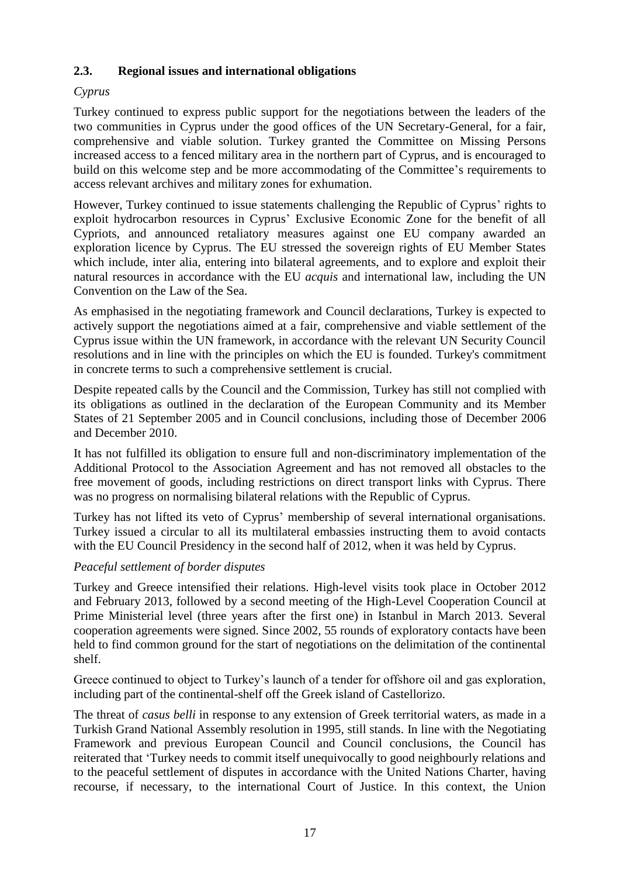### <span id="page-17-0"></span>**2.3. Regional issues and international obligations**

### *Cyprus*

Turkey continued to express public support for the negotiations between the leaders of the two communities in Cyprus under the good offices of the UN Secretary-General, for a fair, comprehensive and viable solution. Turkey granted the Committee on Missing Persons increased access to a fenced military area in the northern part of Cyprus, and is encouraged to build on this welcome step and be more accommodating of the Committee's requirements to access relevant archives and military zones for exhumation.

However, Turkey continued to issue statements challenging the Republic of Cyprus' rights to exploit hydrocarbon resources in Cyprus' Exclusive Economic Zone for the benefit of all Cypriots, and announced retaliatory measures against one EU company awarded an exploration licence by Cyprus. The EU stressed the sovereign rights of EU Member States which include, inter alia, entering into bilateral agreements, and to explore and exploit their natural resources in accordance with the EU *acquis* and international law, including the UN Convention on the Law of the Sea.

As emphasised in the negotiating framework and Council declarations, Turkey is expected to actively support the negotiations aimed at a fair, comprehensive and viable settlement of the Cyprus issue within the UN framework, in accordance with the relevant UN Security Council resolutions and in line with the principles on which the EU is founded. Turkey's commitment in concrete terms to such a comprehensive settlement is crucial.

Despite repeated calls by the Council and the Commission, Turkey has still not complied with its obligations as outlined in the declaration of the European Community and its Member States of 21 September 2005 and in Council conclusions, including those of December 2006 and December 2010.

It has not fulfilled its obligation to ensure full and non-discriminatory implementation of the Additional Protocol to the Association Agreement and has not removed all obstacles to the free movement of goods, including restrictions on direct transport links with Cyprus. There was no progress on normalising bilateral relations with the Republic of Cyprus.

Turkey has not lifted its veto of Cyprus' membership of several international organisations. Turkey issued a circular to all its multilateral embassies instructing them to avoid contacts with the EU Council Presidency in the second half of 2012, when it was held by Cyprus.

### *Peaceful settlement of border disputes*

Turkey and Greece intensified their relations. High-level visits took place in October 2012 and February 2013, followed by a second meeting of the High-Level Cooperation Council at Prime Ministerial level (three years after the first one) in Istanbul in March 2013. Several cooperation agreements were signed. Since 2002, 55 rounds of exploratory contacts have been held to find common ground for the start of negotiations on the delimitation of the continental shelf.

Greece continued to object to Turkey's launch of a tender for offshore oil and gas exploration, including part of the continental-shelf off the Greek island of Castellorizo.

The threat of *casus belli* in response to any extension of Greek territorial waters, as made in a Turkish Grand National Assembly resolution in 1995, still stands. In line with the Negotiating Framework and previous European Council and Council conclusions, the Council has reiterated that 'Turkey needs to commit itself unequivocally to good neighbourly relations and to the peaceful settlement of disputes in accordance with the United Nations Charter, having recourse, if necessary, to the international Court of Justice. In this context, the Union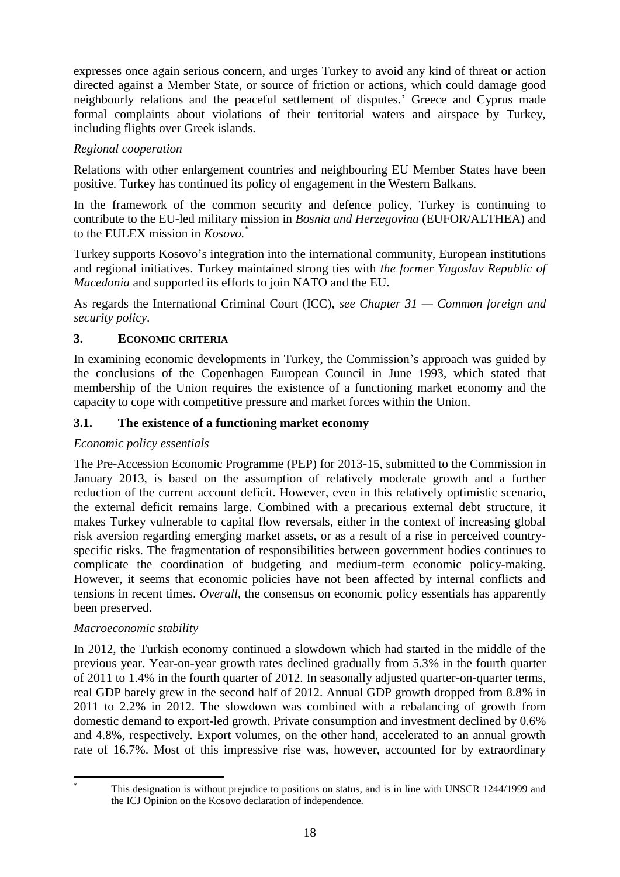expresses once again serious concern, and urges Turkey to avoid any kind of threat or action directed against a Member State, or source of friction or actions, which could damage good neighbourly relations and the peaceful settlement of disputes.' Greece and Cyprus made formal complaints about violations of their territorial waters and airspace by Turkey, including flights over Greek islands.

### *Regional cooperation*

Relations with other enlargement countries and neighbouring EU Member States have been positive. Turkey has continued its policy of engagement in the Western Balkans.

In the framework of the common security and defence policy, Turkey is continuing to contribute to the EU-led military mission in *Bosnia and Herzegovina* (EUFOR/ALTHEA) and to the EULEX mission in *Kosovo.*\*

Turkey supports Kosovo's integration into the international community, European institutions and regional initiatives. Turkey maintained strong ties with *the former Yugoslav Republic of Macedonia* and supported its efforts to join NATO and the EU.

As regards the International Criminal Court (ICC), *see Chapter 31 — Common foreign and security policy*.

### <span id="page-18-0"></span>**3. ECONOMIC CRITERIA**

In examining economic developments in Turkey, the Commission's approach was guided by the conclusions of the Copenhagen European Council in June 1993, which stated that membership of the Union requires the existence of a functioning market economy and the capacity to cope with competitive pressure and market forces within the Union.

### <span id="page-18-1"></span>**3.1. The existence of a functioning market economy**

### *Economic policy essentials*

The Pre-Accession Economic Programme (PEP) for 2013-15, submitted to the Commission in January 2013, is based on the assumption of relatively moderate growth and a further reduction of the current account deficit. However, even in this relatively optimistic scenario, the external deficit remains large. Combined with a precarious external debt structure, it makes Turkey vulnerable to capital flow reversals, either in the context of increasing global risk aversion regarding emerging market assets, or as a result of a rise in perceived countryspecific risks. The fragmentation of responsibilities between government bodies continues to complicate the coordination of budgeting and medium-term economic policy-making. However, it seems that economic policies have not been affected by internal conflicts and tensions in recent times. *Overall*, the consensus on economic policy essentials has apparently been preserved.

### *Macroeconomic stability*

In 2012, the Turkish economy continued a slowdown which had started in the middle of the previous year. Year-on-year growth rates declined gradually from 5.3% in the fourth quarter of 2011 to 1.4% in the fourth quarter of 2012. In seasonally adjusted quarter-on-quarter terms, real GDP barely grew in the second half of 2012. Annual GDP growth dropped from 8.8% in 2011 to 2.2% in 2012. The slowdown was combined with a rebalancing of growth from domestic demand to export-led growth. Private consumption and investment declined by 0.6% and 4.8%, respectively. Export volumes, on the other hand, accelerated to an annual growth rate of 16.7%. Most of this impressive rise was, however, accounted for by extraordinary

1

This designation is without prejudice to positions on status, and is in line with UNSCR 1244/1999 and the ICJ Opinion on the Kosovo declaration of independence.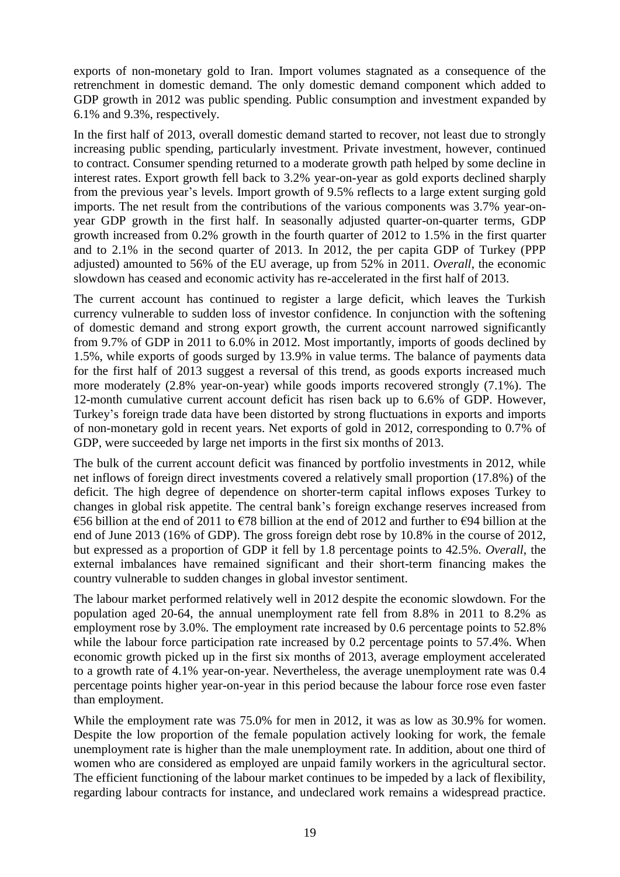exports of non-monetary gold to Iran. Import volumes stagnated as a consequence of the retrenchment in domestic demand. The only domestic demand component which added to GDP growth in 2012 was public spending. Public consumption and investment expanded by 6.1% and 9.3%, respectively.

In the first half of 2013, overall domestic demand started to recover, not least due to strongly increasing public spending, particularly investment. Private investment, however, continued to contract. Consumer spending returned to a moderate growth path helped by some decline in interest rates. Export growth fell back to 3.2% year-on-year as gold exports declined sharply from the previous year's levels. Import growth of 9.5% reflects to a large extent surging gold imports. The net result from the contributions of the various components was 3.7% year-onyear GDP growth in the first half. In seasonally adjusted quarter-on-quarter terms, GDP growth increased from 0.2% growth in the fourth quarter of 2012 to 1.5% in the first quarter and to 2.1% in the second quarter of 2013. In 2012, the per capita GDP of Turkey (PPP adjusted) amounted to 56% of the EU average, up from 52% in 2011. *Overall*, the economic slowdown has ceased and economic activity has re-accelerated in the first half of 2013.

The current account has continued to register a large deficit, which leaves the Turkish currency vulnerable to sudden loss of investor confidence. In conjunction with the softening of domestic demand and strong export growth, the current account narrowed significantly from 9.7% of GDP in 2011 to 6.0% in 2012. Most importantly, imports of goods declined by 1.5%, while exports of goods surged by 13.9% in value terms. The balance of payments data for the first half of 2013 suggest a reversal of this trend, as goods exports increased much more moderately (2.8% year-on-year) while goods imports recovered strongly (7.1%). The 12-month cumulative current account deficit has risen back up to 6.6% of GDP. However, Turkey's foreign trade data have been distorted by strong fluctuations in exports and imports of non-monetary gold in recent years. Net exports of gold in 2012, corresponding to 0.7% of GDP, were succeeded by large net imports in the first six months of 2013.

The bulk of the current account deficit was financed by portfolio investments in 2012, while net inflows of foreign direct investments covered a relatively small proportion (17.8%) of the deficit. The high degree of dependence on shorter-term capital inflows exposes Turkey to changes in global risk appetite. The central bank's foreign exchange reserves increased from €56 billion at the end of 2011 to €78 billion at the end of 2012 and further to €94 billion at the end of June 2013 (16% of GDP). The gross foreign debt rose by 10.8% in the course of 2012, but expressed as a proportion of GDP it fell by 1.8 percentage points to 42.5%. *Overall*, the external imbalances have remained significant and their short-term financing makes the country vulnerable to sudden changes in global investor sentiment.

The labour market performed relatively well in 2012 despite the economic slowdown. For the population aged 20-64, the annual unemployment rate fell from 8.8% in 2011 to 8.2% as employment rose by 3.0%. The employment rate increased by 0.6 percentage points to 52.8% while the labour force participation rate increased by 0.2 percentage points to 57.4%. When economic growth picked up in the first six months of 2013, average employment accelerated to a growth rate of 4.1% year-on-year. Nevertheless, the average unemployment rate was 0.4 percentage points higher year-on-year in this period because the labour force rose even faster than employment.

While the employment rate was 75.0% for men in 2012, it was as low as 30.9% for women. Despite the low proportion of the female population actively looking for work, the female unemployment rate is higher than the male unemployment rate. In addition, about one third of women who are considered as employed are unpaid family workers in the agricultural sector. The efficient functioning of the labour market continues to be impeded by a lack of flexibility, regarding labour contracts for instance, and undeclared work remains a widespread practice.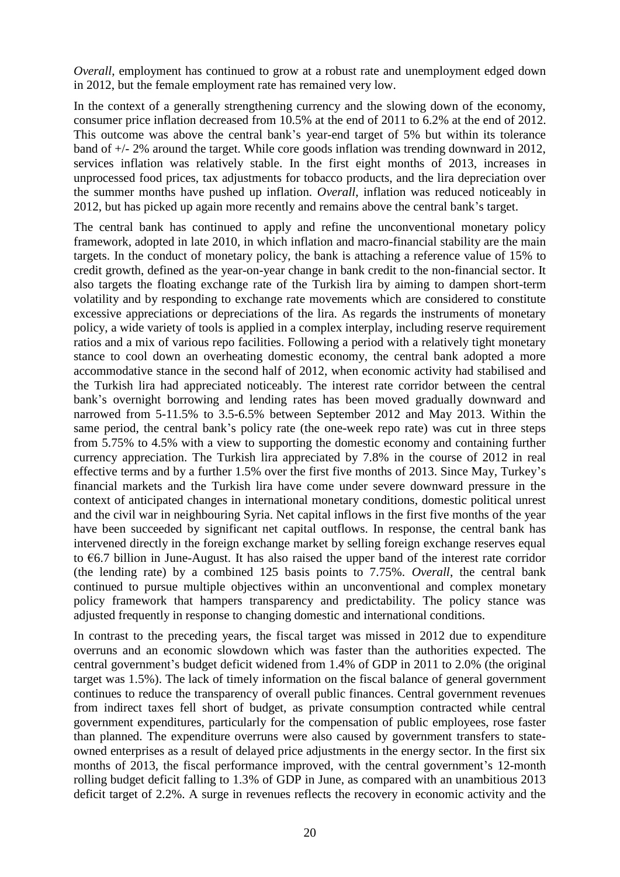*Overall*, employment has continued to grow at a robust rate and unemployment edged down in 2012, but the female employment rate has remained very low.

In the context of a generally strengthening currency and the slowing down of the economy, consumer price inflation decreased from 10.5% at the end of 2011 to 6.2% at the end of 2012. This outcome was above the central bank's year-end target of 5% but within its tolerance band of +/- 2% around the target. While core goods inflation was trending downward in 2012, services inflation was relatively stable. In the first eight months of 2013, increases in unprocessed food prices, tax adjustments for tobacco products, and the lira depreciation over the summer months have pushed up inflation. *Overall*, inflation was reduced noticeably in 2012, but has picked up again more recently and remains above the central bank's target.

The central bank has continued to apply and refine the unconventional monetary policy framework, adopted in late 2010, in which inflation and macro-financial stability are the main targets. In the conduct of monetary policy, the bank is attaching a reference value of 15% to credit growth, defined as the year-on-year change in bank credit to the non-financial sector. It also targets the floating exchange rate of the Turkish lira by aiming to dampen short-term volatility and by responding to exchange rate movements which are considered to constitute excessive appreciations or depreciations of the lira. As regards the instruments of monetary policy, a wide variety of tools is applied in a complex interplay, including reserve requirement ratios and a mix of various repo facilities. Following a period with a relatively tight monetary stance to cool down an overheating domestic economy, the central bank adopted a more accommodative stance in the second half of 2012, when economic activity had stabilised and the Turkish lira had appreciated noticeably. The interest rate corridor between the central bank's overnight borrowing and lending rates has been moved gradually downward and narrowed from 5-11.5% to 3.5-6.5% between September 2012 and May 2013. Within the same period, the central bank's policy rate (the one-week repo rate) was cut in three steps from 5.75% to 4.5% with a view to supporting the domestic economy and containing further currency appreciation. The Turkish lira appreciated by 7.8% in the course of 2012 in real effective terms and by a further 1.5% over the first five months of 2013. Since May, Turkey's financial markets and the Turkish lira have come under severe downward pressure in the context of anticipated changes in international monetary conditions, domestic political unrest and the civil war in neighbouring Syria. Net capital inflows in the first five months of the year have been succeeded by significant net capital outflows. In response, the central bank has intervened directly in the foreign exchange market by selling foreign exchange reserves equal to €6.7 billion in June-August. It has also raised the upper band of the interest rate corridor (the lending rate) by a combined 125 basis points to 7.75%. *Overall*, the central bank continued to pursue multiple objectives within an unconventional and complex monetary policy framework that hampers transparency and predictability. The policy stance was adjusted frequently in response to changing domestic and international conditions.

In contrast to the preceding years, the fiscal target was missed in 2012 due to expenditure overruns and an economic slowdown which was faster than the authorities expected. The central government's budget deficit widened from 1.4% of GDP in 2011 to 2.0% (the original target was 1.5%). The lack of timely information on the fiscal balance of general government continues to reduce the transparency of overall public finances. Central government revenues from indirect taxes fell short of budget, as private consumption contracted while central government expenditures, particularly for the compensation of public employees, rose faster than planned. The expenditure overruns were also caused by government transfers to stateowned enterprises as a result of delayed price adjustments in the energy sector. In the first six months of 2013, the fiscal performance improved, with the central government's 12-month rolling budget deficit falling to 1.3% of GDP in June, as compared with an unambitious 2013 deficit target of 2.2%. A surge in revenues reflects the recovery in economic activity and the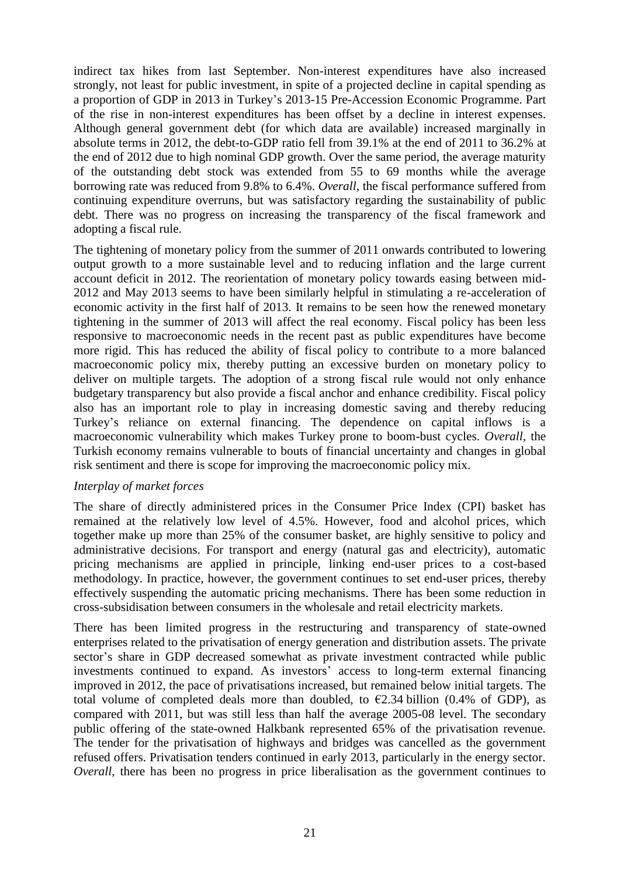indirect tax hikes from last September. Non-interest expenditures have also increased strongly, not least for public investment, in spite of a projected decline in capital spending as a proportion of GDP in 2013 in Turkey's 2013-15 Pre-Accession Economic Programme. Part of the rise in non-interest expenditures has been offset by a decline in interest expenses. Although general government debt (for which data are available) increased marginally in absolute terms in 2012, the debt-to-GDP ratio fell from 39.1% at the end of 2011 to 36.2% at the end of 2012 due to high nominal GDP growth. Over the same period, the average maturity of the outstanding debt stock was extended from 55 to 69 months while the average borrowing rate was reduced from 9.8% to 6.4%. *Overall*, the fiscal performance suffered from continuing expenditure overruns, but was satisfactory regarding the sustainability of public debt. There was no progress on increasing the transparency of the fiscal framework and adopting a fiscal rule.

The tightening of monetary policy from the summer of 2011 onwards contributed to lowering output growth to a more sustainable level and to reducing inflation and the large current account deficit in 2012. The reorientation of monetary policy towards easing between mid-2012 and May 2013 seems to have been similarly helpful in stimulating a re-acceleration of economic activity in the first half of 2013. It remains to be seen how the renewed monetary tightening in the summer of 2013 will affect the real economy. Fiscal policy has been less responsive to macroeconomic needs in the recent past as public expenditures have become more rigid. This has reduced the ability of fiscal policy to contribute to a more balanced macroeconomic policy mix, thereby putting an excessive burden on monetary policy to deliver on multiple targets. The adoption of a strong fiscal rule would not only enhance budgetary transparency but also provide a fiscal anchor and enhance credibility. Fiscal policy also has an important role to play in increasing domestic saving and thereby reducing Turkey's reliance on external financing. The dependence on capital inflows is a macroeconomic vulnerability which makes Turkey prone to boom-bust cycles. *Overall*, the Turkish economy remains vulnerable to bouts of financial uncertainty and changes in global risk sentiment and there is scope for improving the macroeconomic policy mix.

#### *Interplay of market forces*

The share of directly administered prices in the Consumer Price Index (CPI) basket has remained at the relatively low level of 4.5%. However, food and alcohol prices, which together make up more than 25% of the consumer basket, are highly sensitive to policy and administrative decisions. For transport and energy (natural gas and electricity), automatic pricing mechanisms are applied in principle, linking end-user prices to a cost-based methodology. In practice, however, the government continues to set end-user prices, thereby effectively suspending the automatic pricing mechanisms. There has been some reduction in cross-subsidisation between consumers in the wholesale and retail electricity markets.

There has been limited progress in the restructuring and transparency of state-owned enterprises related to the privatisation of energy generation and distribution assets. The private sector's share in GDP decreased somewhat as private investment contracted while public investments continued to expand. As investors' access to long-term external financing improved in 2012, the pace of privatisations increased, but remained below initial targets. The total volume of completed deals more than doubled, to  $\epsilon$ 2.34 billion (0.4% of GDP), as compared with 2011, but was still less than half the average 2005-08 level. The secondary public offering of the state-owned Halkbank represented 65% of the privatisation revenue. The tender for the privatisation of highways and bridges was cancelled as the government refused offers. Privatisation tenders continued in early 2013, particularly in the energy sector. *Overall*, there has been no progress in price liberalisation as the government continues to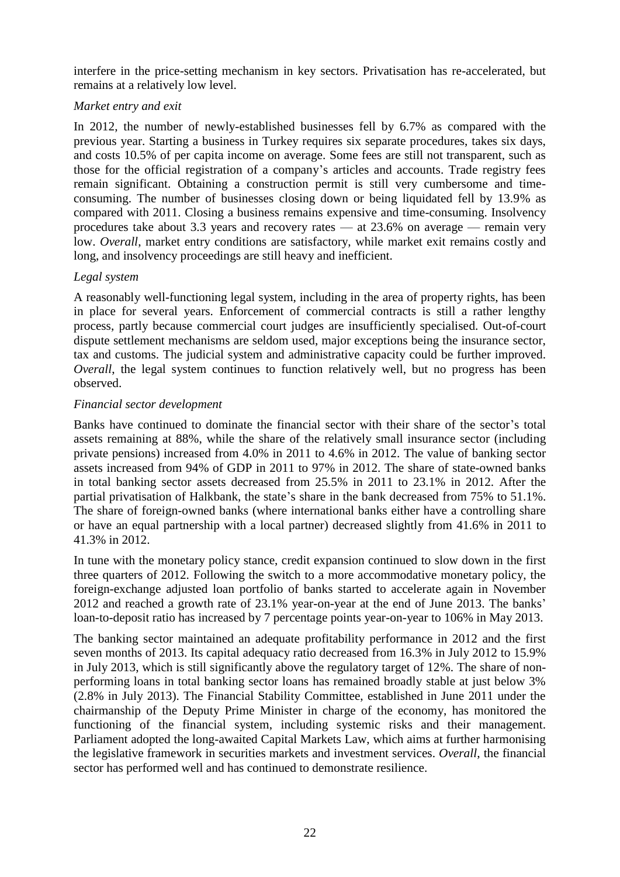interfere in the price-setting mechanism in key sectors. Privatisation has re-accelerated, but remains at a relatively low level.

#### *Market entry and exit*

In 2012, the number of newly-established businesses fell by 6.7% as compared with the previous year. Starting a business in Turkey requires six separate procedures, takes six days, and costs 10.5% of per capita income on average. Some fees are still not transparent, such as those for the official registration of a company's articles and accounts. Trade registry fees remain significant. Obtaining a construction permit is still very cumbersome and timeconsuming. The number of businesses closing down or being liquidated fell by 13.9% as compared with 2011. Closing a business remains expensive and time-consuming. Insolvency procedures take about 3.3 years and recovery rates — at 23.6% on average — remain very low. *Overall*, market entry conditions are satisfactory, while market exit remains costly and long, and insolvency proceedings are still heavy and inefficient.

#### *Legal system*

A reasonably well-functioning legal system, including in the area of property rights, has been in place for several years. Enforcement of commercial contracts is still a rather lengthy process, partly because commercial court judges are insufficiently specialised. Out-of-court dispute settlement mechanisms are seldom used, major exceptions being the insurance sector, tax and customs. The judicial system and administrative capacity could be further improved. *Overall*, the legal system continues to function relatively well, but no progress has been observed.

#### *Financial sector development*

Banks have continued to dominate the financial sector with their share of the sector's total assets remaining at 88%, while the share of the relatively small insurance sector (including private pensions) increased from 4.0% in 2011 to 4.6% in 2012. The value of banking sector assets increased from 94% of GDP in 2011 to 97% in 2012. The share of state-owned banks in total banking sector assets decreased from 25.5% in 2011 to 23.1% in 2012. After the partial privatisation of Halkbank, the state's share in the bank decreased from 75% to 51.1%. The share of foreign-owned banks (where international banks either have a controlling share or have an equal partnership with a local partner) decreased slightly from 41.6% in 2011 to 41.3% in 2012.

In tune with the monetary policy stance, credit expansion continued to slow down in the first three quarters of 2012. Following the switch to a more accommodative monetary policy, the foreign-exchange adjusted loan portfolio of banks started to accelerate again in November 2012 and reached a growth rate of 23.1% year-on-year at the end of June 2013. The banks' loan-to-deposit ratio has increased by 7 percentage points year-on-year to 106% in May 2013.

The banking sector maintained an adequate profitability performance in 2012 and the first seven months of 2013. Its capital adequacy ratio decreased from 16.3% in July 2012 to 15.9% in July 2013, which is still significantly above the regulatory target of 12%. The share of nonperforming loans in total banking sector loans has remained broadly stable at just below 3% (2.8% in July 2013). The Financial Stability Committee, established in June 2011 under the chairmanship of the Deputy Prime Minister in charge of the economy, has monitored the functioning of the financial system, including systemic risks and their management. Parliament adopted the long-awaited Capital Markets Law, which aims at further harmonising the legislative framework in securities markets and investment services. *Overall*, the financial sector has performed well and has continued to demonstrate resilience.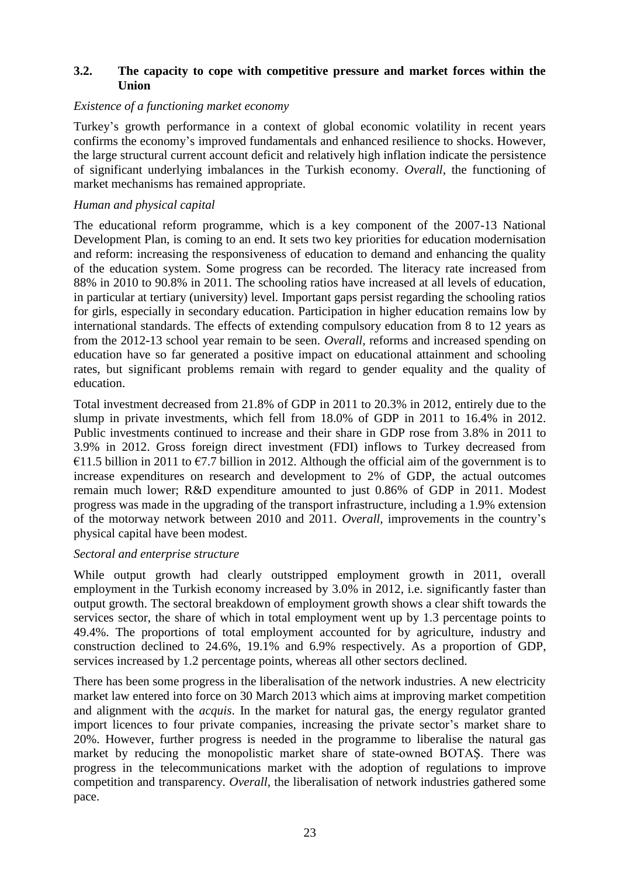### <span id="page-23-0"></span>**3.2. The capacity to cope with competitive pressure and market forces within the Union**

#### *Existence of a functioning market economy*

Turkey's growth performance in a context of global economic volatility in recent years confirms the economy's improved fundamentals and enhanced resilience to shocks. However, the large structural current account deficit and relatively high inflation indicate the persistence of significant underlying imbalances in the Turkish economy. *Overall*, the functioning of market mechanisms has remained appropriate.

#### *Human and physical capital*

The educational reform programme, which is a key component of the 2007-13 National Development Plan, is coming to an end. It sets two key priorities for education modernisation and reform: increasing the responsiveness of education to demand and enhancing the quality of the education system. Some progress can be recorded. The literacy rate increased from 88% in 2010 to 90.8% in 2011. The schooling ratios have increased at all levels of education, in particular at tertiary (university) level. Important gaps persist regarding the schooling ratios for girls, especially in secondary education. Participation in higher education remains low by international standards. The effects of extending compulsory education from 8 to 12 years as from the 2012-13 school year remain to be seen. *Overall*, reforms and increased spending on education have so far generated a positive impact on educational attainment and schooling rates, but significant problems remain with regard to gender equality and the quality of education.

Total investment decreased from 21.8% of GDP in 2011 to 20.3% in 2012, entirely due to the slump in private investments, which fell from 18.0% of GDP in 2011 to 16.4% in 2012. Public investments continued to increase and their share in GDP rose from 3.8% in 2011 to 3.9% in 2012. Gross foreign direct investment (FDI) inflows to Turkey decreased from €11.5 billion in 2011 to €7.7 billion in 2012. Although the official aim of the government is to increase expenditures on research and development to 2% of GDP, the actual outcomes remain much lower; R&D expenditure amounted to just 0.86% of GDP in 2011. Modest progress was made in the upgrading of the transport infrastructure, including a 1.9% extension of the motorway network between 2010 and 2011. *Overall*, improvements in the country's physical capital have been modest.

#### *Sectoral and enterprise structure*

While output growth had clearly outstripped employment growth in 2011, overall employment in the Turkish economy increased by 3.0% in 2012, i.e. significantly faster than output growth. The sectoral breakdown of employment growth shows a clear shift towards the services sector, the share of which in total employment went up by 1.3 percentage points to 49.4%. The proportions of total employment accounted for by agriculture, industry and construction declined to 24.6%, 19.1% and 6.9% respectively. As a proportion of GDP, services increased by 1.2 percentage points, whereas all other sectors declined.

There has been some progress in the liberalisation of the network industries. A new electricity market law entered into force on 30 March 2013 which aims at improving market competition and alignment with the *acquis*. In the market for natural gas, the energy regulator granted import licences to four private companies, increasing the private sector's market share to 20%. However, further progress is needed in the programme to liberalise the natural gas market by reducing the monopolistic market share of state-owned BOTAŞ. There was progress in the telecommunications market with the adoption of regulations to improve competition and transparency. *Overall*, the liberalisation of network industries gathered some pace.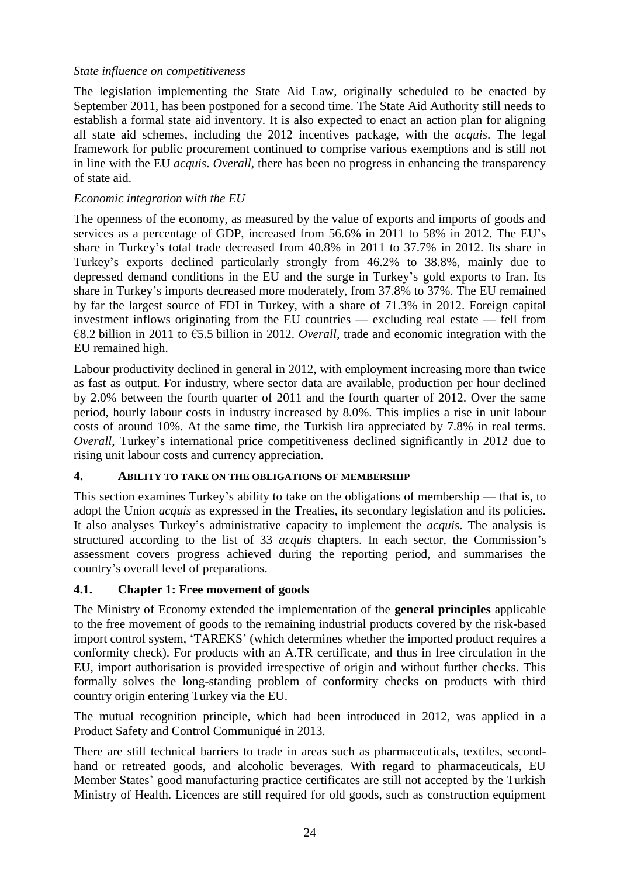### *State influence on competitiveness*

The legislation implementing the State Aid Law, originally scheduled to be enacted by September 2011, has been postponed for a second time. The State Aid Authority still needs to establish a formal state aid inventory. It is also expected to enact an action plan for aligning all state aid schemes, including the 2012 incentives package, with the *acquis*. The legal framework for public procurement continued to comprise various exemptions and is still not in line with the EU *acquis*. *Overall*, there has been no progress in enhancing the transparency of state aid.

#### *Economic integration with the EU*

The openness of the economy, as measured by the value of exports and imports of goods and services as a percentage of GDP, increased from 56.6% in 2011 to 58% in 2012. The EU's share in Turkey's total trade decreased from 40.8% in 2011 to 37.7% in 2012. Its share in Turkey's exports declined particularly strongly from 46.2% to 38.8%, mainly due to depressed demand conditions in the EU and the surge in Turkey's gold exports to Iran. Its share in Turkey's imports decreased more moderately, from 37.8% to 37%. The EU remained by far the largest source of FDI in Turkey, with a share of 71.3% in 2012. Foreign capital investment inflows originating from the EU countries — excluding real estate — fell from €8.2 billion in 2011 to €5.5 billion in 2012. *Overall,* trade and economic integration with the EU remained high.

Labour productivity declined in general in 2012, with employment increasing more than twice as fast as output. For industry, where sector data are available, production per hour declined by 2.0% between the fourth quarter of 2011 and the fourth quarter of 2012. Over the same period, hourly labour costs in industry increased by 8.0%. This implies a rise in unit labour costs of around 10%. At the same time, the Turkish lira appreciated by 7.8% in real terms. *Overall*, Turkey's international price competitiveness declined significantly in 2012 due to rising unit labour costs and currency appreciation.

### <span id="page-24-0"></span>**4. ABILITY TO TAKE ON THE OBLIGATIONS OF MEMBERSHIP**

This section examines Turkey's ability to take on the obligations of membership — that is, to adopt the Union *acquis* as expressed in the Treaties, its secondary legislation and its policies. It also analyses Turkey's administrative capacity to implement the *acquis*. The analysis is structured according to the list of 33 *acquis* chapters. In each sector, the Commission's assessment covers progress achieved during the reporting period, and summarises the country's overall level of preparations.

### <span id="page-24-1"></span>**4.1. Chapter 1: Free movement of goods**

The Ministry of Economy extended the implementation of the **general principles** applicable to the free movement of goods to the remaining industrial products covered by the risk-based import control system, 'TAREKS' (which determines whether the imported product requires a conformity check). For products with an A.TR certificate, and thus in free circulation in the EU, import authorisation is provided irrespective of origin and without further checks. This formally solves the long-standing problem of conformity checks on products with third country origin entering Turkey via the EU.

The mutual recognition principle, which had been introduced in 2012, was applied in a Product Safety and Control Communiqué in 2013.

There are still technical barriers to trade in areas such as pharmaceuticals, textiles, secondhand or retreated goods, and alcoholic beverages. With regard to pharmaceuticals, EU Member States' good manufacturing practice certificates are still not accepted by the Turkish Ministry of Health. Licences are still required for old goods, such as construction equipment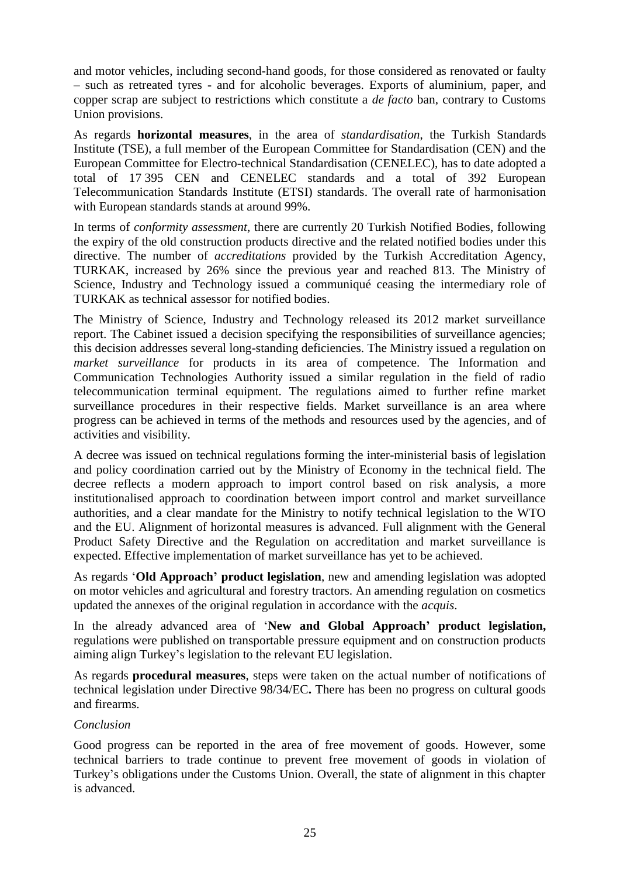and motor vehicles, including second-hand goods, for those considered as renovated or faulty – such as retreated tyres - and for alcoholic beverages. Exports of aluminium, paper, and copper scrap are subject to restrictions which constitute a *de facto* ban, contrary to Customs Union provisions.

As regards **horizontal measures**, in the area of *standardisation*, the Turkish Standards Institute (TSE), a full member of the European Committee for Standardisation (CEN) and the European Committee for Electro-technical Standardisation (CENELEC), has to date adopted a total of 17 395 CEN and CENELEC standards and a total of 392 European Telecommunication Standards Institute (ETSI) standards. The overall rate of harmonisation with European standards stands at around 99%.

In terms of *conformity assessment*, there are currently 20 Turkish Notified Bodies, following the expiry of the old construction products directive and the related notified bodies under this directive. The number of *accreditations* provided by the Turkish Accreditation Agency, TURKAK, increased by 26% since the previous year and reached 813. The Ministry of Science, Industry and Technology issued a communiqué ceasing the intermediary role of TURKAK as technical assessor for notified bodies.

The Ministry of Science, Industry and Technology released its 2012 market surveillance report. The Cabinet issued a decision specifying the responsibilities of surveillance agencies; this decision addresses several long-standing deficiencies. The Ministry issued a regulation on *market surveillance* for products in its area of competence. The Information and Communication Technologies Authority issued a similar regulation in the field of radio telecommunication terminal equipment. The regulations aimed to further refine market surveillance procedures in their respective fields. Market surveillance is an area where progress can be achieved in terms of the methods and resources used by the agencies, and of activities and visibility.

A decree was issued on technical regulations forming the inter-ministerial basis of legislation and policy coordination carried out by the Ministry of Economy in the technical field. The decree reflects a modern approach to import control based on risk analysis, a more institutionalised approach to coordination between import control and market surveillance authorities, and a clear mandate for the Ministry to notify technical legislation to the WTO and the EU. Alignment of horizontal measures is advanced. Full alignment with the General Product Safety Directive and the Regulation on accreditation and market surveillance is expected. Effective implementation of market surveillance has yet to be achieved.

As regards '**Old Approach' product legislation**, new and amending legislation was adopted on motor vehicles and agricultural and forestry tractors. An amending regulation on cosmetics updated the annexes of the original regulation in accordance with the *acquis*.

In the already advanced area of '**New and Global Approach' product legislation,**  regulations were published on transportable pressure equipment and on construction products aiming align Turkey's legislation to the relevant EU legislation.

As regards **procedural measures**, steps were taken on the actual number of notifications of technical legislation under Directive 98/34/EC**.** There has been no progress on cultural goods and firearms.

#### *Conclusion*

Good progress can be reported in the area of free movement of goods. However, some technical barriers to trade continue to prevent free movement of goods in violation of Turkey's obligations under the Customs Union. Overall, the state of alignment in this chapter is advanced.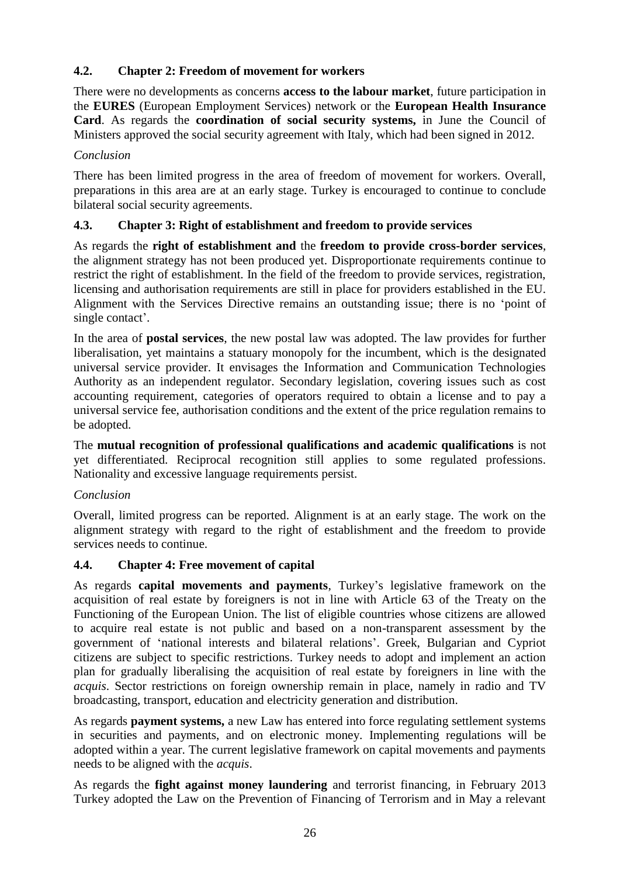## <span id="page-26-0"></span>**4.2. Chapter 2: Freedom of movement for workers**

There were no developments as concerns **access to the labour market**, future participation in the **EURES** (European Employment Services) network or the **European Health Insurance Card**. As regards the **coordination of social security systems,** in June the Council of Ministers approved the social security agreement with Italy, which had been signed in 2012.

### *Conclusion*

There has been limited progress in the area of freedom of movement for workers. Overall, preparations in this area are at an early stage. Turkey is encouraged to continue to conclude bilateral social security agreements.

## <span id="page-26-1"></span>**4.3. Chapter 3: Right of establishment and freedom to provide services**

As regards the **right of establishment and** the **freedom to provide cross-border services**, the alignment strategy has not been produced yet. Disproportionate requirements continue to restrict the right of establishment. In the field of the freedom to provide services, registration, licensing and authorisation requirements are still in place for providers established in the EU. Alignment with the Services Directive remains an outstanding issue; there is no 'point of single contact'.

In the area of **postal services**, the new postal law was adopted. The law provides for further liberalisation, yet maintains a statuary monopoly for the incumbent, which is the designated universal service provider. It envisages the Information and Communication Technologies Authority as an independent regulator. Secondary legislation, covering issues such as cost accounting requirement, categories of operators required to obtain a license and to pay a universal service fee, authorisation conditions and the extent of the price regulation remains to be adopted.

The **mutual recognition of professional qualifications and academic qualifications** is not yet differentiated. Reciprocal recognition still applies to some regulated professions. Nationality and excessive language requirements persist.

## *Conclusion*

Overall, limited progress can be reported. Alignment is at an early stage. The work on the alignment strategy with regard to the right of establishment and the freedom to provide services needs to continue.

### <span id="page-26-2"></span>**4.4. Chapter 4: Free movement of capital**

As regards **capital movements and payments**, Turkey's legislative framework on the acquisition of real estate by foreigners is not in line with Article 63 of the Treaty on the Functioning of the European Union. The list of eligible countries whose citizens are allowed to acquire real estate is not public and based on a non-transparent assessment by the government of 'national interests and bilateral relations'. Greek, Bulgarian and Cypriot citizens are subject to specific restrictions. Turkey needs to adopt and implement an action plan for gradually liberalising the acquisition of real estate by foreigners in line with the *acquis*. Sector restrictions on foreign ownership remain in place, namely in radio and TV broadcasting, transport, education and electricity generation and distribution.

As regards **payment systems,** a new Law has entered into force regulating settlement systems in securities and payments, and on electronic money. Implementing regulations will be adopted within a year. The current legislative framework on capital movements and payments needs to be aligned with the *acquis*.

As regards the **fight against money laundering** and terrorist financing*,* in February 2013 Turkey adopted the Law on the Prevention of Financing of Terrorism and in May a relevant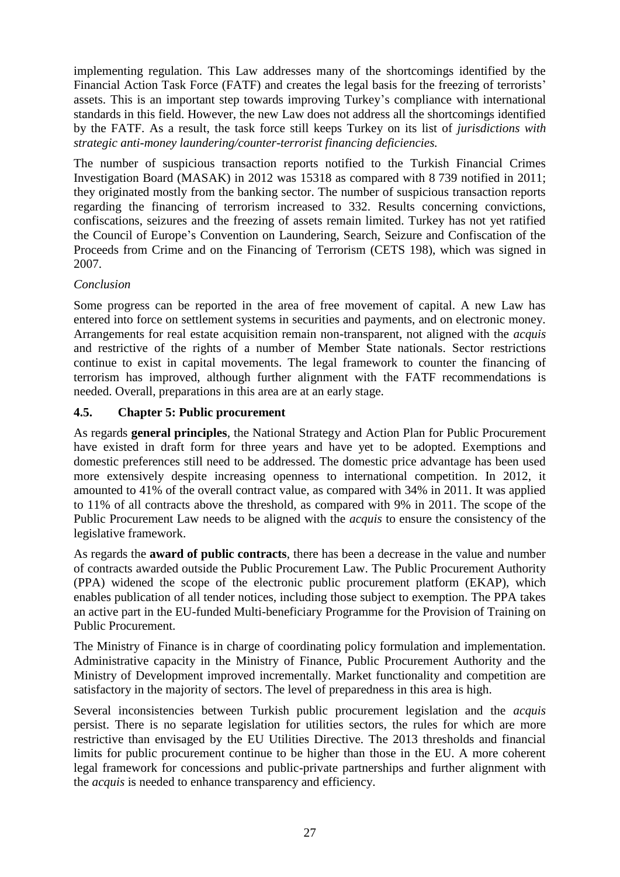implementing regulation. This Law addresses many of the shortcomings identified by the Financial Action Task Force (FATF) and creates the legal basis for the freezing of terrorists' assets. This is an important step towards improving Turkey's compliance with international standards in this field. However, the new Law does not address all the shortcomings identified by the FATF. As a result, the task force still keeps Turkey on its list of *jurisdictions with strategic anti-money laundering/counter-terrorist financing deficiencies.* 

The number of suspicious transaction reports notified to the Turkish Financial Crimes Investigation Board (MASAK) in 2012 was 15318 as compared with 8 739 notified in 2011; they originated mostly from the banking sector. The number of suspicious transaction reports regarding the financing of terrorism increased to 332. Results concerning convictions, confiscations, seizures and the freezing of assets remain limited. Turkey has not yet ratified the Council of Europe's Convention on Laundering, Search, Seizure and Confiscation of the Proceeds from Crime and on the Financing of Terrorism (CETS 198), which was signed in 2007.

### *Conclusion*

Some progress can be reported in the area of free movement of capital. A new Law has entered into force on settlement systems in securities and payments, and on electronic money. Arrangements for real estate acquisition remain non-transparent, not aligned with the *acquis* and restrictive of the rights of a number of Member State nationals. Sector restrictions continue to exist in capital movements. The legal framework to counter the financing of terrorism has improved, although further alignment with the FATF recommendations is needed. Overall, preparations in this area are at an early stage.

### <span id="page-27-0"></span>**4.5. Chapter 5: Public procurement**

As regards **general principles**, the National Strategy and Action Plan for Public Procurement have existed in draft form for three years and have yet to be adopted. Exemptions and domestic preferences still need to be addressed. The domestic price advantage has been used more extensively despite increasing openness to international competition. In 2012, it amounted to 41% of the overall contract value, as compared with 34% in 2011. It was applied to 11% of all contracts above the threshold, as compared with 9% in 2011. The scope of the Public Procurement Law needs to be aligned with the *acquis* to ensure the consistency of the legislative framework.

As regards the **award of public contracts**, there has been a decrease in the value and number of contracts awarded outside the Public Procurement Law. The Public Procurement Authority (PPA) widened the scope of the electronic public procurement platform (EKAP), which enables publication of all tender notices, including those subject to exemption. The PPA takes an active part in the EU-funded Multi-beneficiary Programme for the Provision of Training on Public Procurement.

The Ministry of Finance is in charge of coordinating policy formulation and implementation. Administrative capacity in the Ministry of Finance, Public Procurement Authority and the Ministry of Development improved incrementally. Market functionality and competition are satisfactory in the majority of sectors. The level of preparedness in this area is high.

Several inconsistencies between Turkish public procurement legislation and the *acquis*  persist. There is no separate legislation for utilities sectors, the rules for which are more restrictive than envisaged by the EU Utilities Directive. The 2013 thresholds and financial limits for public procurement continue to be higher than those in the EU. A more coherent legal framework for concessions and public-private partnerships and further alignment with the *acquis* is needed to enhance transparency and efficiency.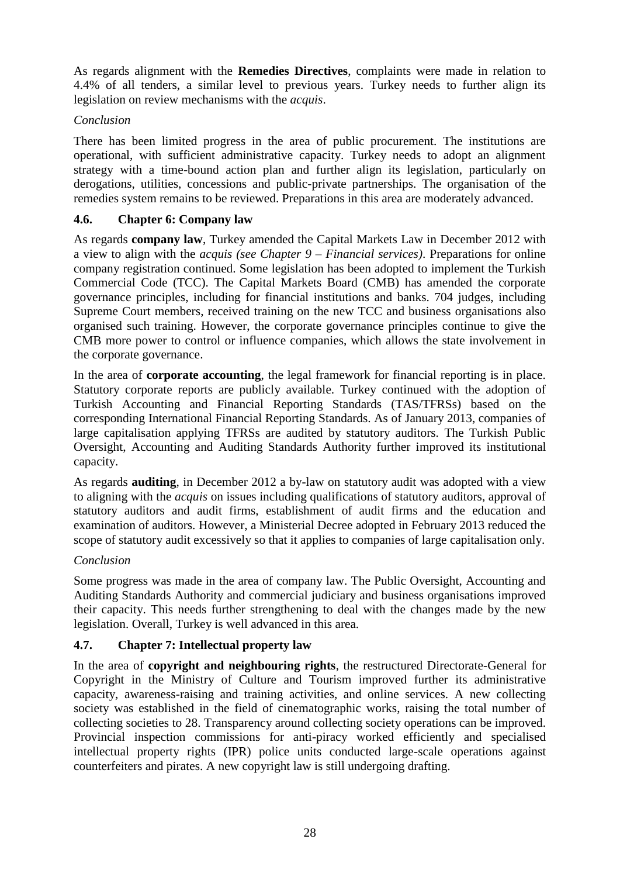As regards alignment with the **Remedies Directives**, complaints were made in relation to 4.4% of all tenders, a similar level to previous years. Turkey needs to further align its legislation on review mechanisms with the *acquis*.

## *Conclusion*

There has been limited progress in the area of public procurement. The institutions are operational, with sufficient administrative capacity. Turkey needs to adopt an alignment strategy with a time-bound action plan and further align its legislation, particularly on derogations, utilities, concessions and public-private partnerships. The organisation of the remedies system remains to be reviewed. Preparations in this area are moderately advanced.

### <span id="page-28-0"></span>**4.6. Chapter 6: Company law**

As regards **company law**, Turkey amended the Capital Markets Law in December 2012 with a view to align with the *acquis (see Chapter 9 – Financial services)*. Preparations for online company registration continued. Some legislation has been adopted to implement the Turkish Commercial Code (TCC). The Capital Markets Board (CMB) has amended the corporate governance principles, including for financial institutions and banks. 704 judges, including Supreme Court members, received training on the new TCC and business organisations also organised such training. However, the corporate governance principles continue to give the CMB more power to control or influence companies, which allows the state involvement in the corporate governance.

In the area of **corporate accounting**, the legal framework for financial reporting is in place. Statutory corporate reports are publicly available. Turkey continued with the adoption of Turkish Accounting and Financial Reporting Standards (TAS/TFRSs) based on the corresponding International Financial Reporting Standards. As of January 2013, companies of large capitalisation applying TFRSs are audited by statutory auditors. The Turkish Public Oversight, Accounting and Auditing Standards Authority further improved its institutional capacity.

As regards **auditing**, in December 2012 a by-law on statutory audit was adopted with a view to aligning with the *acquis* on issues including qualifications of statutory auditors, approval of statutory auditors and audit firms, establishment of audit firms and the education and examination of auditors. However, a Ministerial Decree adopted in February 2013 reduced the scope of statutory audit excessively so that it applies to companies of large capitalisation only.

### *Conclusion*

Some progress was made in the area of company law. The Public Oversight, Accounting and Auditing Standards Authority and commercial judiciary and business organisations improved their capacity. This needs further strengthening to deal with the changes made by the new legislation. Overall, Turkey is well advanced in this area.

## <span id="page-28-1"></span>**4.7. Chapter 7: Intellectual property law**

In the area of **copyright and neighbouring rights**, the restructured Directorate-General for Copyright in the Ministry of Culture and Tourism improved further its administrative capacity, awareness-raising and training activities, and online services. A new collecting society was established in the field of cinematographic works, raising the total number of collecting societies to 28. Transparency around collecting society operations can be improved. Provincial inspection commissions for anti-piracy worked efficiently and specialised intellectual property rights (IPR) police units conducted large-scale operations against counterfeiters and pirates. A new copyright law is still undergoing drafting.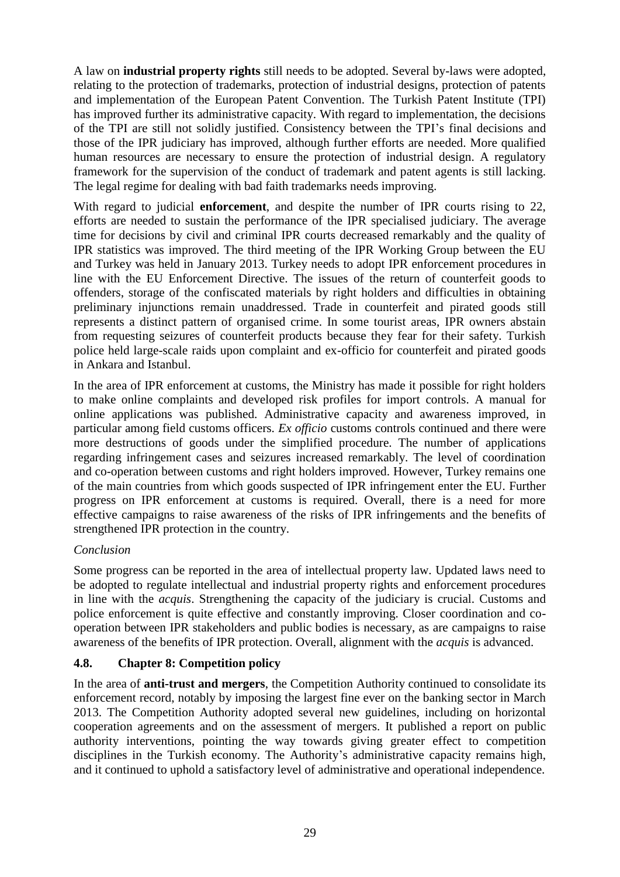A law on **industrial property rights** still needs to be adopted. Several by-laws were adopted, relating to the protection of trademarks, protection of industrial designs, protection of patents and implementation of the European Patent Convention. The Turkish Patent Institute (TPI) has improved further its administrative capacity. With regard to implementation, the decisions of the TPI are still not solidly justified. Consistency between the TPI's final decisions and those of the IPR judiciary has improved, although further efforts are needed. More qualified human resources are necessary to ensure the protection of industrial design. A regulatory framework for the supervision of the conduct of trademark and patent agents is still lacking. The legal regime for dealing with bad faith trademarks needs improving.

With regard to judicial **enforcement**, and despite the number of IPR courts rising to 22, efforts are needed to sustain the performance of the IPR specialised judiciary. The average time for decisions by civil and criminal IPR courts decreased remarkably and the quality of IPR statistics was improved. The third meeting of the IPR Working Group between the EU and Turkey was held in January 2013. Turkey needs to adopt IPR enforcement procedures in line with the EU Enforcement Directive. The issues of the return of counterfeit goods to offenders, storage of the confiscated materials by right holders and difficulties in obtaining preliminary injunctions remain unaddressed. Trade in counterfeit and pirated goods still represents a distinct pattern of organised crime. In some tourist areas, IPR owners abstain from requesting seizures of counterfeit products because they fear for their safety. Turkish police held large-scale raids upon complaint and ex-officio for counterfeit and pirated goods in Ankara and Istanbul.

In the area of IPR enforcement at customs, the Ministry has made it possible for right holders to make online complaints and developed risk profiles for import controls. A manual for online applications was published. Administrative capacity and awareness improved, in particular among field customs officers. *Ex officio* customs controls continued and there were more destructions of goods under the simplified procedure. The number of applications regarding infringement cases and seizures increased remarkably. The level of coordination and co-operation between customs and right holders improved. However, Turkey remains one of the main countries from which goods suspected of IPR infringement enter the EU. Further progress on IPR enforcement at customs is required. Overall, there is a need for more effective campaigns to raise awareness of the risks of IPR infringements and the benefits of strengthened IPR protection in the country.

### *Conclusion*

Some progress can be reported in the area of intellectual property law. Updated laws need to be adopted to regulate intellectual and industrial property rights and enforcement procedures in line with the *acquis*. Strengthening the capacity of the judiciary is crucial. Customs and police enforcement is quite effective and constantly improving. Closer coordination and cooperation between IPR stakeholders and public bodies is necessary, as are campaigns to raise awareness of the benefits of IPR protection. Overall, alignment with the *acquis* is advanced.

## <span id="page-29-0"></span>**4.8. Chapter 8: Competition policy**

In the area of **anti-trust and mergers**, the Competition Authority continued to consolidate its enforcement record, notably by imposing the largest fine ever on the banking sector in March 2013. The Competition Authority adopted several new guidelines, including on horizontal cooperation agreements and on the assessment of mergers. It published a report on public authority interventions, pointing the way towards giving greater effect to competition disciplines in the Turkish economy. The Authority's administrative capacity remains high, and it continued to uphold a satisfactory level of administrative and operational independence.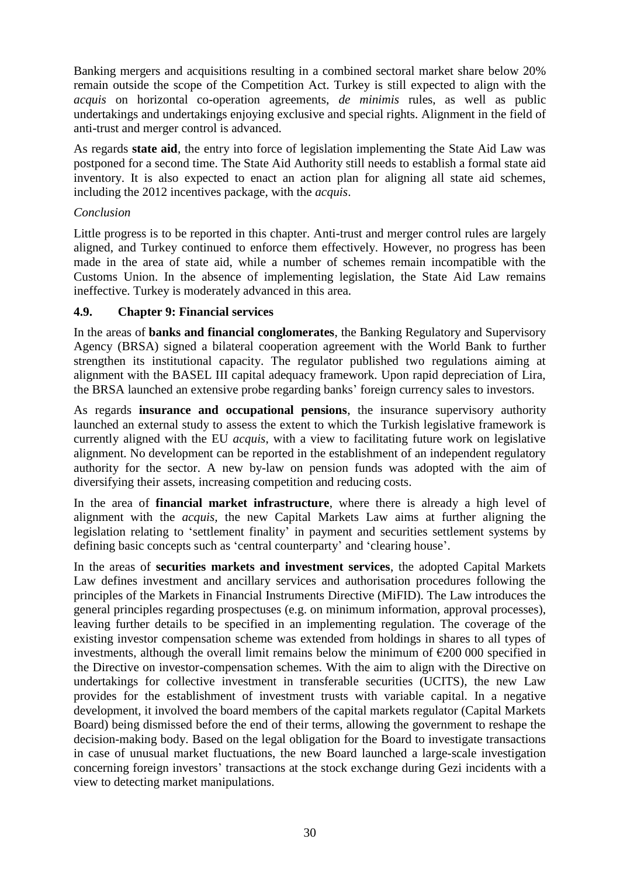Banking mergers and acquisitions resulting in a combined sectoral market share below 20% remain outside the scope of the Competition Act. Turkey is still expected to align with the *acquis* on horizontal co-operation agreements, *de minimis* rules, as well as public undertakings and undertakings enjoying exclusive and special rights. Alignment in the field of anti-trust and merger control is advanced.

As regards **state aid**, the entry into force of legislation implementing the State Aid Law was postponed for a second time. The State Aid Authority still needs to establish a formal state aid inventory. It is also expected to enact an action plan for aligning all state aid schemes, including the 2012 incentives package, with the *acquis*.

#### *Conclusion*

Little progress is to be reported in this chapter. Anti-trust and merger control rules are largely aligned, and Turkey continued to enforce them effectively. However, no progress has been made in the area of state aid, while a number of schemes remain incompatible with the Customs Union. In the absence of implementing legislation, the State Aid Law remains ineffective. Turkey is moderately advanced in this area.

### <span id="page-30-0"></span>**4.9. Chapter 9: Financial services**

In the areas of **banks and financial conglomerates**, the Banking Regulatory and Supervisory Agency (BRSA) signed a bilateral cooperation agreement with the World Bank to further strengthen its institutional capacity. The regulator published two regulations aiming at alignment with the BASEL III capital adequacy framework. Upon rapid depreciation of Lira, the BRSA launched an extensive probe regarding banks' foreign currency sales to investors.

As regards **insurance and occupational pensions**, the insurance supervisory authority launched an external study to assess the extent to which the Turkish legislative framework is currently aligned with the EU *acquis*, with a view to facilitating future work on legislative alignment. No development can be reported in the establishment of an independent regulatory authority for the sector. A new by-law on pension funds was adopted with the aim of diversifying their assets, increasing competition and reducing costs.

In the area of **financial market infrastructure**, where there is already a high level of alignment with the *acquis,* the new Capital Markets Law aims at further aligning the legislation relating to 'settlement finality' in payment and securities settlement systems by defining basic concepts such as 'central counterparty' and 'clearing house'.

In the areas of **securities markets and investment services**, the adopted Capital Markets Law defines investment and ancillary services and authorisation procedures following the principles of the Markets in Financial Instruments Directive (MiFID). The Law introduces the general principles regarding prospectuses (e.g. on minimum information, approval processes), leaving further details to be specified in an implementing regulation. The coverage of the existing investor compensation scheme was extended from holdings in shares to all types of investments, although the overall limit remains below the minimum of  $\epsilon$ 200 000 specified in the Directive on investor-compensation schemes. With the aim to align with the Directive on undertakings for collective investment in transferable securities (UCITS), the new Law provides for the establishment of investment trusts with variable capital. In a negative development, it involved the board members of the capital markets regulator (Capital Markets Board) being dismissed before the end of their terms, allowing the government to reshape the decision-making body. Based on the legal obligation for the Board to investigate transactions in case of unusual market fluctuations, the new Board launched a large-scale investigation concerning foreign investors' transactions at the stock exchange during Gezi incidents with a view to detecting market manipulations.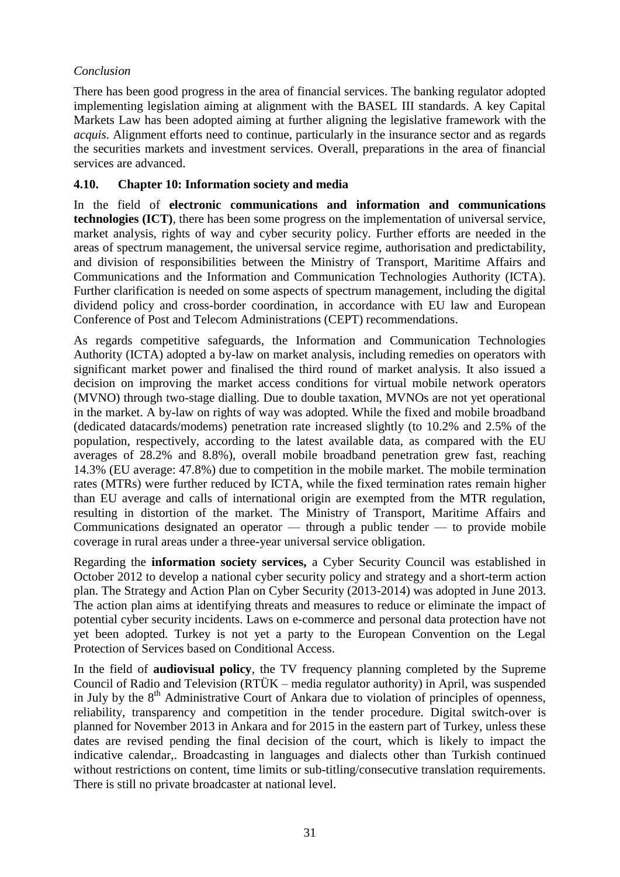## *Conclusion*

There has been good progress in the area of financial services. The banking regulator adopted implementing legislation aiming at alignment with the BASEL III standards. A key Capital Markets Law has been adopted aiming at further aligning the legislative framework with the *acquis*. Alignment efforts need to continue, particularly in the insurance sector and as regards the securities markets and investment services. Overall, preparations in the area of financial services are advanced.

### <span id="page-31-0"></span>**4.10. Chapter 10: Information society and media**

In the field of **electronic communications and information and communications technologies (ICT)**, there has been some progress on the implementation of universal service, market analysis, rights of way and cyber security policy. Further efforts are needed in the areas of spectrum management, the universal service regime, authorisation and predictability, and division of responsibilities between the Ministry of Transport, Maritime Affairs and Communications and the Information and Communication Technologies Authority (ICTA). Further clarification is needed on some aspects of spectrum management, including the digital dividend policy and cross-border coordination, in accordance with EU law and European Conference of Post and Telecom Administrations (CEPT) recommendations.

As regards competitive safeguards, the Information and Communication Technologies Authority (ICTA) adopted a by-law on market analysis, including remedies on operators with significant market power and finalised the third round of market analysis. It also issued a decision on improving the market access conditions for virtual mobile network operators (MVNO) through two-stage dialling. Due to double taxation, MVNOs are not yet operational in the market. A by-law on rights of way was adopted. While the fixed and mobile broadband (dedicated datacards/modems) penetration rate increased slightly (to 10.2% and 2.5% of the population, respectively, according to the latest available data, as compared with the EU averages of 28.2% and 8.8%), overall mobile broadband penetration grew fast, reaching 14.3% (EU average: 47.8%) due to competition in the mobile market. The mobile termination rates (MTRs) were further reduced by ICTA, while the fixed termination rates remain higher than EU average and calls of international origin are exempted from the MTR regulation, resulting in distortion of the market. The Ministry of Transport, Maritime Affairs and Communications designated an operator — through a public tender — to provide mobile coverage in rural areas under a three-year universal service obligation.

Regarding the **information society services,** a Cyber Security Council was established in October 2012 to develop a national cyber security policy and strategy and a short-term action plan. The Strategy and Action Plan on Cyber Security (2013-2014) was adopted in June 2013. The action plan aims at identifying threats and measures to reduce or eliminate the impact of potential cyber security incidents. Laws on e-commerce and personal data protection have not yet been adopted. Turkey is not yet a party to the European Convention on the Legal Protection of Services based on Conditional Access.

In the field of **audiovisual policy**, the TV frequency planning completed by the Supreme Council of Radio and Television (RTÜK – media regulator authority) in April, was suspended in July by the  $8<sup>th</sup>$  Administrative Court of Ankara due to violation of principles of openness, reliability, transparency and competition in the tender procedure. Digital switch-over is planned for November 2013 in Ankara and for 2015 in the eastern part of Turkey, unless these dates are revised pending the final decision of the court, which is likely to impact the indicative calendar,. Broadcasting in languages and dialects other than Turkish continued without restrictions on content, time limits or sub-titling/consecutive translation requirements. There is still no private broadcaster at national level.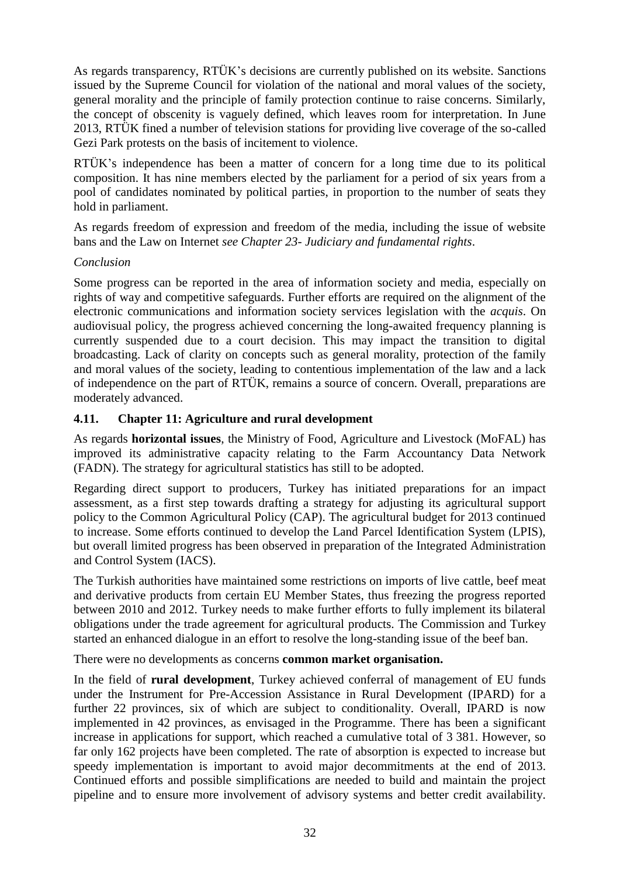As regards transparency, RTÜK's decisions are currently published on its website. Sanctions issued by the Supreme Council for violation of the national and moral values of the society, general morality and the principle of family protection continue to raise concerns. Similarly, the concept of obscenity is vaguely defined, which leaves room for interpretation. In June 2013, RTÜK fined a number of television stations for providing live coverage of the so-called Gezi Park protests on the basis of incitement to violence.

RTÜK's independence has been a matter of concern for a long time due to its political composition. It has nine members elected by the parliament for a period of six years from a pool of candidates nominated by political parties, in proportion to the number of seats they hold in parliament.

As regards freedom of expression and freedom of the media, including the issue of website bans and the Law on Internet *see Chapter 23- Judiciary and fundamental rights*.

#### *Conclusion*

Some progress can be reported in the area of information society and media, especially on rights of way and competitive safeguards. Further efforts are required on the alignment of the electronic communications and information society services legislation with the *acquis*. On audiovisual policy, the progress achieved concerning the long-awaited frequency planning is currently suspended due to a court decision. This may impact the transition to digital broadcasting. Lack of clarity on concepts such as general morality, protection of the family and moral values of the society, leading to contentious implementation of the law and a lack of independence on the part of RTÜK, remains a source of concern. Overall, preparations are moderately advanced.

### <span id="page-32-0"></span>**4.11. Chapter 11: Agriculture and rural development**

As regards **horizontal issues**, the Ministry of Food, Agriculture and Livestock (MoFAL) has improved its administrative capacity relating to the Farm Accountancy Data Network (FADN). The strategy for agricultural statistics has still to be adopted.

Regarding direct support to producers, Turkey has initiated preparations for an impact assessment, as a first step towards drafting a strategy for adjusting its agricultural support policy to the Common Agricultural Policy (CAP). The agricultural budget for 2013 continued to increase. Some efforts continued to develop the Land Parcel Identification System (LPIS), but overall limited progress has been observed in preparation of the Integrated Administration and Control System (IACS).

The Turkish authorities have maintained some restrictions on imports of live cattle, beef meat and derivative products from certain EU Member States, thus freezing the progress reported between 2010 and 2012. Turkey needs to make further efforts to fully implement its bilateral obligations under the trade agreement for agricultural products. The Commission and Turkey started an enhanced dialogue in an effort to resolve the long-standing issue of the beef ban.

There were no developments as concerns **common market organisation.**

In the field of **rural development**, Turkey achieved conferral of management of EU funds under the Instrument for Pre-Accession Assistance in Rural Development (IPARD) for a further 22 provinces, six of which are subject to conditionality. Overall, IPARD is now implemented in 42 provinces, as envisaged in the Programme. There has been a significant increase in applications for support, which reached a cumulative total of 3 381. However, so far only 162 projects have been completed. The rate of absorption is expected to increase but speedy implementation is important to avoid major decommitments at the end of 2013. Continued efforts and possible simplifications are needed to build and maintain the project pipeline and to ensure more involvement of advisory systems and better credit availability.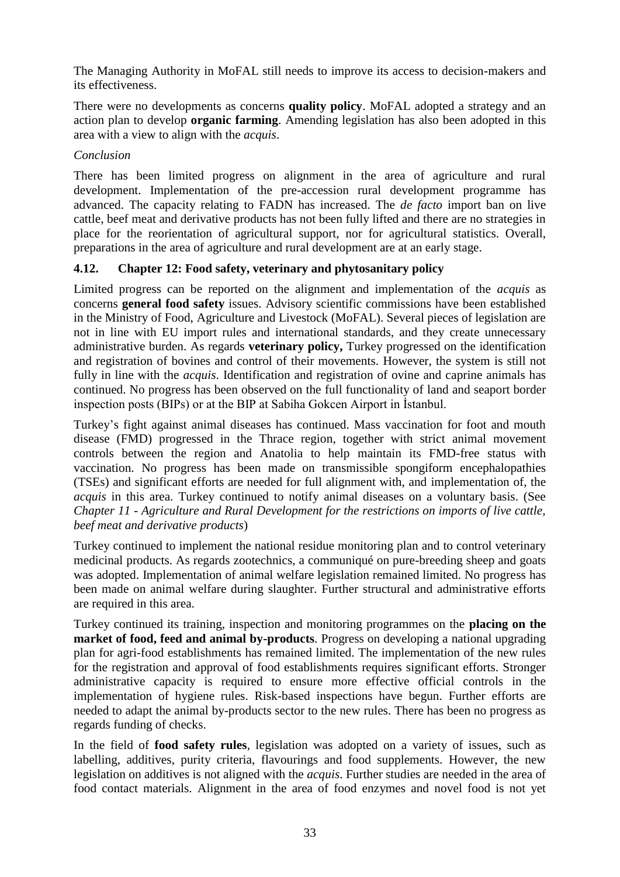The Managing Authority in MoFAL still needs to improve its access to decision-makers and its effectiveness.

There were no developments as concerns **quality policy**. MoFAL adopted a strategy and an action plan to develop **organic farming**. Amending legislation has also been adopted in this area with a view to align with the *acquis*.

### *Conclusion*

There has been limited progress on alignment in the area of agriculture and rural development. Implementation of the pre-accession rural development programme has advanced. The capacity relating to FADN has increased. The *de facto* import ban on live cattle, beef meat and derivative products has not been fully lifted and there are no strategies in place for the reorientation of agricultural support, nor for agricultural statistics. Overall, preparations in the area of agriculture and rural development are at an early stage.

## <span id="page-33-0"></span>**4.12. Chapter 12: Food safety, veterinary and phytosanitary policy**

Limited progress can be reported on the alignment and implementation of the *acquis* as concerns **general food safety** issues. Advisory scientific commissions have been established in the Ministry of Food, Agriculture and Livestock (MoFAL). Several pieces of legislation are not in line with EU import rules and international standards, and they create unnecessary administrative burden. As regards **veterinary policy,** Turkey progressed on the identification and registration of bovines and control of their movements. However, the system is still not fully in line with the *acquis*. Identification and registration of ovine and caprine animals has continued. No progress has been observed on the full functionality of land and seaport border inspection posts (BIPs) or at the BIP at Sabiha Gokcen Airport in İstanbul.

Turkey's fight against animal diseases has continued. Mass vaccination for foot and mouth disease (FMD) progressed in the Thrace region, together with strict animal movement controls between the region and Anatolia to help maintain its FMD-free status with vaccination. No progress has been made on transmissible spongiform encephalopathies (TSEs) and significant efforts are needed for full alignment with, and implementation of, the *acquis* in this area. Turkey continued to notify animal diseases on a voluntary basis. (See *Chapter 11 - Agriculture and Rural Development for the restrictions on imports of live cattle, beef meat and derivative products*)

Turkey continued to implement the national residue monitoring plan and to control veterinary medicinal products. As regards zootechnics, a communiqué on pure-breeding sheep and goats was adopted. Implementation of animal welfare legislation remained limited. No progress has been made on animal welfare during slaughter. Further structural and administrative efforts are required in this area.

Turkey continued its training, inspection and monitoring programmes on the **placing on the market of food, feed and animal by-products**. Progress on developing a national upgrading plan for agri-food establishments has remained limited. The implementation of the new rules for the registration and approval of food establishments requires significant efforts. Stronger administrative capacity is required to ensure more effective official controls in the implementation of hygiene rules. Risk-based inspections have begun. Further efforts are needed to adapt the animal by-products sector to the new rules. There has been no progress as regards funding of checks.

In the field of **food safety rules**, legislation was adopted on a variety of issues, such as labelling, additives, purity criteria, flavourings and food supplements. However, the new legislation on additives is not aligned with the *acquis*. Further studies are needed in the area of food contact materials. Alignment in the area of food enzymes and novel food is not yet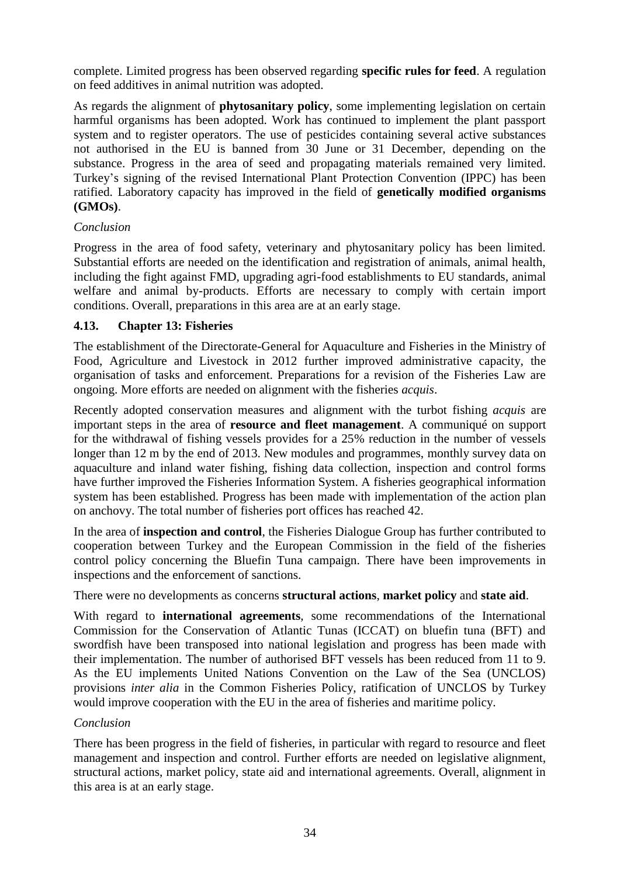complete. Limited progress has been observed regarding **specific rules for feed**. A regulation on feed additives in animal nutrition was adopted.

As regards the alignment of **phytosanitary policy**, some implementing legislation on certain harmful organisms has been adopted. Work has continued to implement the plant passport system and to register operators. The use of pesticides containing several active substances not authorised in the EU is banned from 30 June or 31 December, depending on the substance. Progress in the area of seed and propagating materials remained very limited. Turkey's signing of the revised International Plant Protection Convention (IPPC) has been ratified. Laboratory capacity has improved in the field of **genetically modified organisms (GMOs)**.

### *Conclusion*

Progress in the area of food safety, veterinary and phytosanitary policy has been limited. Substantial efforts are needed on the identification and registration of animals, animal health, including the fight against FMD, upgrading agri-food establishments to EU standards, animal welfare and animal by-products. Efforts are necessary to comply with certain import conditions. Overall, preparations in this area are at an early stage.

### <span id="page-34-0"></span>**4.13. Chapter 13: Fisheries**

The establishment of the Directorate-General for Aquaculture and Fisheries in the Ministry of Food, Agriculture and Livestock in 2012 further improved administrative capacity, the organisation of tasks and enforcement. Preparations for a revision of the Fisheries Law are ongoing. More efforts are needed on alignment with the fisheries *acquis*.

Recently adopted conservation measures and alignment with the turbot fishing *acquis* are important steps in the area of **resource and fleet management**. A communiqué on support for the withdrawal of fishing vessels provides for a 25% reduction in the number of vessels longer than 12 m by the end of 2013. New modules and programmes, monthly survey data on aquaculture and inland water fishing, fishing data collection, inspection and control forms have further improved the Fisheries Information System. A fisheries geographical information system has been established. Progress has been made with implementation of the action plan on anchovy. The total number of fisheries port offices has reached 42.

In the area of **inspection and control**, the Fisheries Dialogue Group has further contributed to cooperation between Turkey and the European Commission in the field of the fisheries control policy concerning the Bluefin Tuna campaign. There have been improvements in inspections and the enforcement of sanctions.

There were no developments as concerns **structural actions**, **market policy** and **state aid**.

With regard to **international agreements**, some recommendations of the International Commission for the Conservation of Atlantic Tunas (ICCAT) on bluefin tuna (BFT) and swordfish have been transposed into national legislation and progress has been made with their implementation. The number of authorised BFT vessels has been reduced from 11 to 9. As the EU implements United Nations Convention on the Law of the Sea (UNCLOS) provisions *inter alia* in the Common Fisheries Policy, ratification of UNCLOS by Turkey would improve cooperation with the EU in the area of fisheries and maritime policy.

### *Conclusion*

There has been progress in the field of fisheries, in particular with regard to resource and fleet management and inspection and control. Further efforts are needed on legislative alignment, structural actions, market policy, state aid and international agreements. Overall, alignment in this area is at an early stage.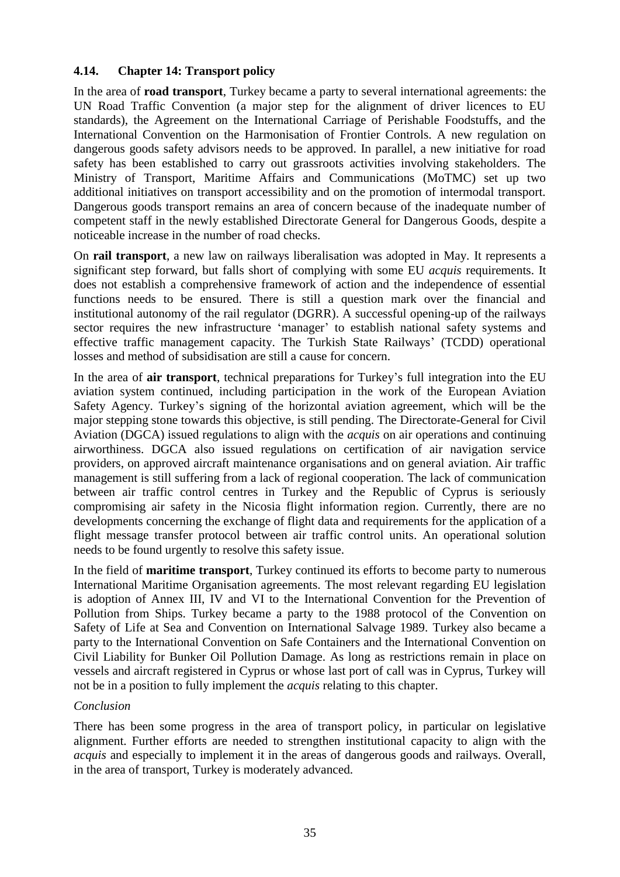### <span id="page-35-0"></span>**4.14. Chapter 14: Transport policy**

In the area of **road transport**, Turkey became a party to several international agreements: the UN Road Traffic Convention (a major step for the alignment of driver licences to EU standards), the Agreement on the International Carriage of Perishable Foodstuffs, and the International Convention on the Harmonisation of Frontier Controls. A new regulation on dangerous goods safety advisors needs to be approved. In parallel, a new initiative for road safety has been established to carry out grassroots activities involving stakeholders. The Ministry of Transport, Maritime Affairs and Communications (MoTMC) set up two additional initiatives on transport accessibility and on the promotion of intermodal transport. Dangerous goods transport remains an area of concern because of the inadequate number of competent staff in the newly established Directorate General for Dangerous Goods, despite a noticeable increase in the number of road checks.

On **rail transport**, a new law on railways liberalisation was adopted in May. It represents a significant step forward, but falls short of complying with some EU *acquis* requirements. It does not establish a comprehensive framework of action and the independence of essential functions needs to be ensured. There is still a question mark over the financial and institutional autonomy of the rail regulator (DGRR). A successful opening-up of the railways sector requires the new infrastructure 'manager' to establish national safety systems and effective traffic management capacity. The Turkish State Railways' (TCDD) operational losses and method of subsidisation are still a cause for concern.

In the area of **air transport**, technical preparations for Turkey's full integration into the EU aviation system continued, including participation in the work of the European Aviation Safety Agency. Turkey's signing of the horizontal aviation agreement, which will be the major stepping stone towards this objective, is still pending. The Directorate-General for Civil Aviation (DGCA) issued regulations to align with the *acquis* on air operations and continuing airworthiness. DGCA also issued regulations on certification of air navigation service providers, on approved aircraft maintenance organisations and on general aviation. Air traffic management is still suffering from a lack of regional cooperation. The lack of communication between air traffic control centres in Turkey and the Republic of Cyprus is seriously compromising air safety in the Nicosia flight information region. Currently, there are no developments concerning the exchange of flight data and requirements for the application of a flight message transfer protocol between air traffic control units. An operational solution needs to be found urgently to resolve this safety issue.

In the field of **maritime transport**, Turkey continued its efforts to become party to numerous International Maritime Organisation agreements. The most relevant regarding EU legislation is adoption of Annex III, IV and VI to the International Convention for the Prevention of Pollution from Ships. Turkey became a party to the 1988 protocol of the Convention on Safety of Life at Sea and Convention on International Salvage 1989. Turkey also became a party to the International Convention on Safe Containers and the International Convention on Civil Liability for Bunker Oil Pollution Damage. As long as restrictions remain in place on vessels and aircraft registered in Cyprus or whose last port of call was in Cyprus, Turkey will not be in a position to fully implement the *acquis* relating to this chapter.

#### *Conclusion*

There has been some progress in the area of transport policy, in particular on legislative alignment. Further efforts are needed to strengthen institutional capacity to align with the *acquis* and especially to implement it in the areas of dangerous goods and railways. Overall, in the area of transport, Turkey is moderately advanced.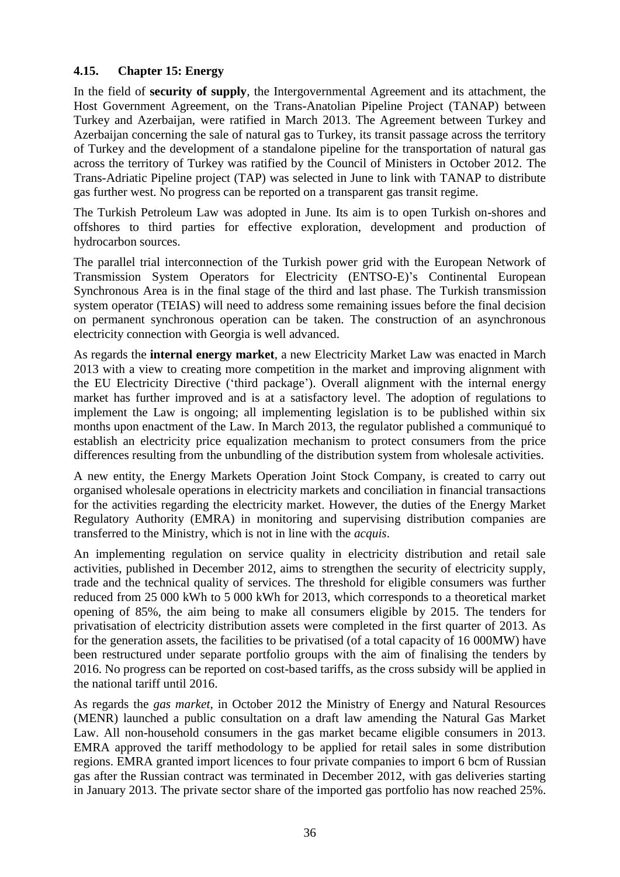## **4.15. Chapter 15: Energy**

In the field of **security of supply**, the Intergovernmental Agreement and its attachment, the Host Government Agreement, on the Trans-Anatolian Pipeline Project (TANAP) between Turkey and Azerbaijan, were ratified in March 2013. The Agreement between Turkey and Azerbaijan concerning the sale of natural gas to Turkey, its transit passage across the territory of Turkey and the development of a standalone pipeline for the transportation of natural gas across the territory of Turkey was ratified by the Council of Ministers in October 2012. The Trans-Adriatic Pipeline project (TAP) was selected in June to link with TANAP to distribute gas further west. No progress can be reported on a transparent gas transit regime.

The Turkish Petroleum Law was adopted in June. Its aim is to open Turkish on-shores and offshores to third parties for effective exploration, development and production of hydrocarbon sources.

The parallel trial interconnection of the Turkish power grid with the European Network of Transmission System Operators for Electricity (ENTSO-E)'s Continental European Synchronous Area is in the final stage of the third and last phase. The Turkish transmission system operator (TEIAS) will need to address some remaining issues before the final decision on permanent synchronous operation can be taken. The construction of an asynchronous electricity connection with Georgia is well advanced.

As regards the **internal energy market**, a new Electricity Market Law was enacted in March 2013 with a view to creating more competition in the market and improving alignment with the EU Electricity Directive ('third package'). Overall alignment with the internal energy market has further improved and is at a satisfactory level. The adoption of regulations to implement the Law is ongoing; all implementing legislation is to be published within six months upon enactment of the Law. In March 2013, the regulator published a communiqué to establish an electricity price equalization mechanism to protect consumers from the price differences resulting from the unbundling of the distribution system from wholesale activities.

A new entity, the Energy Markets Operation Joint Stock Company, is created to carry out organised wholesale operations in electricity markets and conciliation in financial transactions for the activities regarding the electricity market. However, the duties of the Energy Market Regulatory Authority (EMRA) in monitoring and supervising distribution companies are transferred to the Ministry, which is not in line with the *acquis*.

An implementing regulation on service quality in electricity distribution and retail sale activities, published in December 2012, aims to strengthen the security of electricity supply, trade and the technical quality of services. The threshold for eligible consumers was further reduced from 25 000 kWh to 5 000 kWh for 2013, which corresponds to a theoretical market opening of 85%, the aim being to make all consumers eligible by 2015. The tenders for privatisation of electricity distribution assets were completed in the first quarter of 2013. As for the generation assets, the facilities to be privatised (of a total capacity of 16 000MW) have been restructured under separate portfolio groups with the aim of finalising the tenders by 2016. No progress can be reported on cost-based tariffs, as the cross subsidy will be applied in the national tariff until 2016.

As regards the *gas market*, in October 2012 the Ministry of Energy and Natural Resources (MENR) launched a public consultation on a draft law amending the Natural Gas Market Law. All non-household consumers in the gas market became eligible consumers in 2013. EMRA approved the tariff methodology to be applied for retail sales in some distribution regions. EMRA granted import licences to four private companies to import 6 bcm of Russian gas after the Russian contract was terminated in December 2012, with gas deliveries starting in January 2013. The private sector share of the imported gas portfolio has now reached 25%.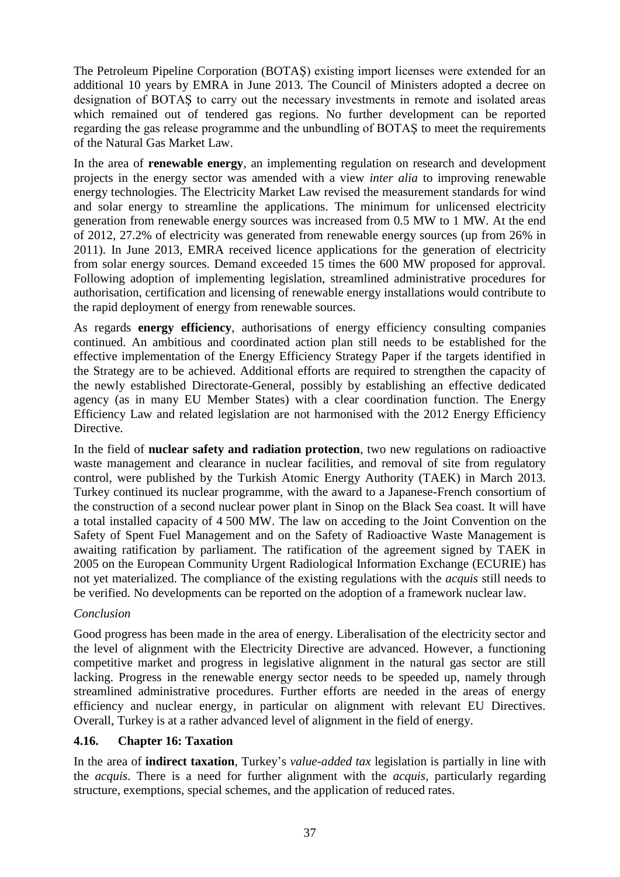The Petroleum Pipeline Corporation (BOTAŞ) existing import licenses were extended for an additional 10 years by EMRA in June 2013. The Council of Ministers adopted a decree on designation of BOTAŞ to carry out the necessary investments in remote and isolated areas which remained out of tendered gas regions. No further development can be reported regarding the gas release programme and the unbundling of BOTAŞ to meet the requirements of the Natural Gas Market Law.

In the area of **renewable energy**, an implementing regulation on research and development projects in the energy sector was amended with a view *inter alia* to improving renewable energy technologies. The Electricity Market Law revised the measurement standards for wind and solar energy to streamline the applications. The minimum for unlicensed electricity generation from renewable energy sources was increased from 0.5 MW to 1 MW. At the end of 2012, 27.2% of electricity was generated from renewable energy sources (up from 26% in 2011). In June 2013, EMRA received licence applications for the generation of electricity from solar energy sources. Demand exceeded 15 times the 600 MW proposed for approval. Following adoption of implementing legislation, streamlined administrative procedures for authorisation, certification and licensing of renewable energy installations would contribute to the rapid deployment of energy from renewable sources.

As regards **energy efficiency**, authorisations of energy efficiency consulting companies continued. An ambitious and coordinated action plan still needs to be established for the effective implementation of the Energy Efficiency Strategy Paper if the targets identified in the Strategy are to be achieved. Additional efforts are required to strengthen the capacity of the newly established Directorate-General, possibly by establishing an effective dedicated agency (as in many EU Member States) with a clear coordination function. The Energy Efficiency Law and related legislation are not harmonised with the 2012 Energy Efficiency Directive.

In the field of **nuclear safety and radiation protection**, two new regulations on radioactive waste management and clearance in nuclear facilities, and removal of site from regulatory control, were published by the Turkish Atomic Energy Authority (TAEK) in March 2013. Turkey continued its nuclear programme, with the award to a Japanese-French consortium of the construction of a second nuclear power plant in Sinop on the Black Sea coast. It will have a total installed capacity of 4 500 MW. The law on acceding to the Joint Convention on the Safety of Spent Fuel Management and on the Safety of Radioactive Waste Management is awaiting ratification by parliament. The ratification of the agreement signed by TAEK in 2005 on the European Community Urgent Radiological Information Exchange (ECURIE) has not yet materialized. The compliance of the existing regulations with the *acquis* still needs to be verified. No developments can be reported on the adoption of a framework nuclear law.

## *Conclusion*

Good progress has been made in the area of energy. Liberalisation of the electricity sector and the level of alignment with the Electricity Directive are advanced. However, a functioning competitive market and progress in legislative alignment in the natural gas sector are still lacking. Progress in the renewable energy sector needs to be speeded up, namely through streamlined administrative procedures. Further efforts are needed in the areas of energy efficiency and nuclear energy, in particular on alignment with relevant EU Directives. Overall, Turkey is at a rather advanced level of alignment in the field of energy.

## **4.16. Chapter 16: Taxation**

In the area of **indirect taxation**, Turkey's *value-added tax* legislation is partially in line with the *acquis*. There is a need for further alignment with the *acquis*, particularly regarding structure, exemptions, special schemes, and the application of reduced rates.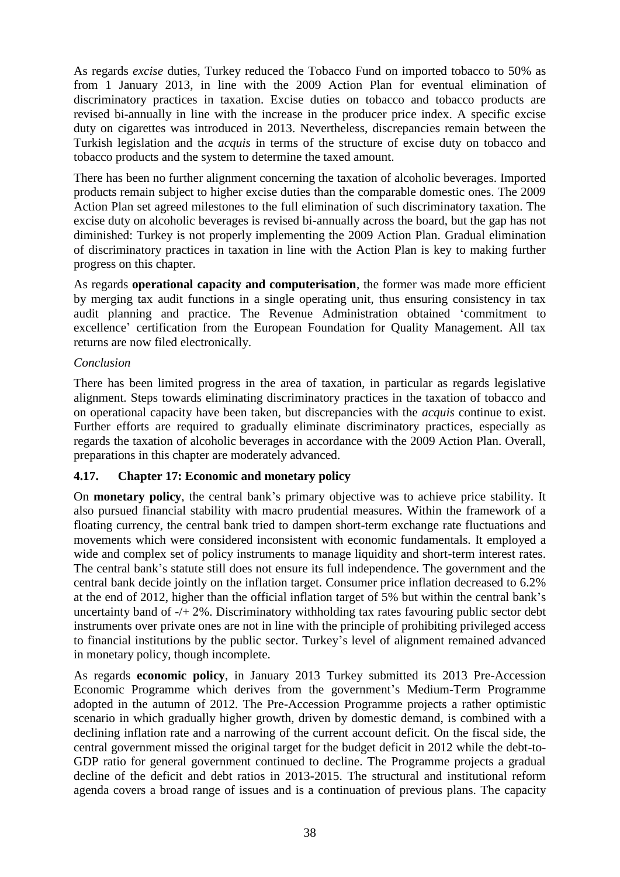As regards *excise* duties, Turkey reduced the Tobacco Fund on imported tobacco to 50% as from 1 January 2013, in line with the 2009 Action Plan for eventual elimination of discriminatory practices in taxation. Excise duties on tobacco and tobacco products are revised bi-annually in line with the increase in the producer price index. A specific excise duty on cigarettes was introduced in 2013. Nevertheless, discrepancies remain between the Turkish legislation and the *acquis* in terms of the structure of excise duty on tobacco and tobacco products and the system to determine the taxed amount.

There has been no further alignment concerning the taxation of alcoholic beverages. Imported products remain subject to higher excise duties than the comparable domestic ones. The 2009 Action Plan set agreed milestones to the full elimination of such discriminatory taxation. The excise duty on alcoholic beverages is revised bi-annually across the board, but the gap has not diminished: Turkey is not properly implementing the 2009 Action Plan. Gradual elimination of discriminatory practices in taxation in line with the Action Plan is key to making further progress on this chapter.

As regards **operational capacity and computerisation**, the former was made more efficient by merging tax audit functions in a single operating unit, thus ensuring consistency in tax audit planning and practice. The Revenue Administration obtained 'commitment to excellence' certification from the European Foundation for Quality Management. All tax returns are now filed electronically.

## *Conclusion*

There has been limited progress in the area of taxation, in particular as regards legislative alignment. Steps towards eliminating discriminatory practices in the taxation of tobacco and on operational capacity have been taken, but discrepancies with the *acquis* continue to exist. Further efforts are required to gradually eliminate discriminatory practices, especially as regards the taxation of alcoholic beverages in accordance with the 2009 Action Plan. Overall, preparations in this chapter are moderately advanced.

# **4.17. Chapter 17: Economic and monetary policy**

On **monetary policy**, the central bank's primary objective was to achieve price stability. It also pursued financial stability with macro prudential measures. Within the framework of a floating currency, the central bank tried to dampen short-term exchange rate fluctuations and movements which were considered inconsistent with economic fundamentals. It employed a wide and complex set of policy instruments to manage liquidity and short-term interest rates. The central bank's statute still does not ensure its full independence. The government and the central bank decide jointly on the inflation target. Consumer price inflation decreased to 6.2% at the end of 2012, higher than the official inflation target of 5% but within the central bank's uncertainty band of -/+ 2%. Discriminatory withholding tax rates favouring public sector debt instruments over private ones are not in line with the principle of prohibiting privileged access to financial institutions by the public sector. Turkey's level of alignment remained advanced in monetary policy, though incomplete.

As regards **economic policy**, in January 2013 Turkey submitted its 2013 Pre-Accession Economic Programme which derives from the government's Medium-Term Programme adopted in the autumn of 2012. The Pre-Accession Programme projects a rather optimistic scenario in which gradually higher growth, driven by domestic demand, is combined with a declining inflation rate and a narrowing of the current account deficit. On the fiscal side, the central government missed the original target for the budget deficit in 2012 while the debt-to-GDP ratio for general government continued to decline. The Programme projects a gradual decline of the deficit and debt ratios in 2013-2015. The structural and institutional reform agenda covers a broad range of issues and is a continuation of previous plans. The capacity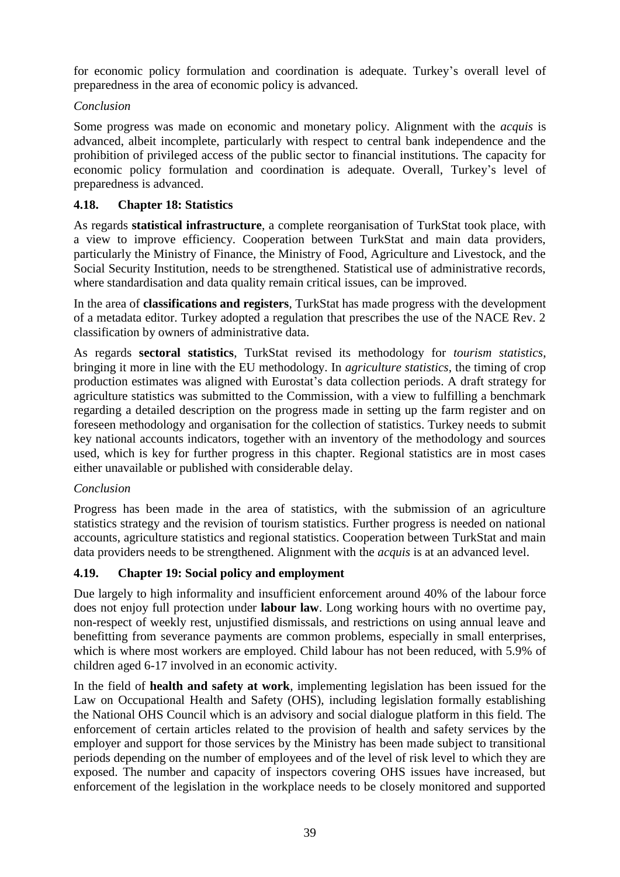for economic policy formulation and coordination is adequate. Turkey's overall level of preparedness in the area of economic policy is advanced.

# *Conclusion*

Some progress was made on economic and monetary policy. Alignment with the *acquis* is advanced, albeit incomplete, particularly with respect to central bank independence and the prohibition of privileged access of the public sector to financial institutions. The capacity for economic policy formulation and coordination is adequate. Overall, Turkey's level of preparedness is advanced.

# **4.18. Chapter 18: Statistics**

As regards **statistical infrastructure**, a complete reorganisation of TurkStat took place, with a view to improve efficiency. Cooperation between TurkStat and main data providers, particularly the Ministry of Finance, the Ministry of Food, Agriculture and Livestock, and the Social Security Institution, needs to be strengthened. Statistical use of administrative records, where standardisation and data quality remain critical issues, can be improved.

In the area of **classifications and registers**, TurkStat has made progress with the development of a metadata editor. Turkey adopted a regulation that prescribes the use of the NACE Rev. 2 classification by owners of administrative data.

As regards **sectoral statistics**, TurkStat revised its methodology for *tourism statistics*, bringing it more in line with the EU methodology. In *agriculture statistics*, the timing of crop production estimates was aligned with Eurostat's data collection periods. A draft strategy for agriculture statistics was submitted to the Commission, with a view to fulfilling a benchmark regarding a detailed description on the progress made in setting up the farm register and on foreseen methodology and organisation for the collection of statistics. Turkey needs to submit key national accounts indicators, together with an inventory of the methodology and sources used, which is key for further progress in this chapter. Regional statistics are in most cases either unavailable or published with considerable delay.

# *Conclusion*

Progress has been made in the area of statistics, with the submission of an agriculture statistics strategy and the revision of tourism statistics. Further progress is needed on national accounts, agriculture statistics and regional statistics. Cooperation between TurkStat and main data providers needs to be strengthened. Alignment with the *acquis* is at an advanced level.

# **4.19. Chapter 19: Social policy and employment**

Due largely to high informality and insufficient enforcement around 40% of the labour force does not enjoy full protection under **labour law**. Long working hours with no overtime pay, non-respect of weekly rest, unjustified dismissals, and restrictions on using annual leave and benefitting from severance payments are common problems, especially in small enterprises, which is where most workers are employed. Child labour has not been reduced, with 5.9% of children aged 6-17 involved in an economic activity.

In the field of **health and safety at work**, implementing legislation has been issued for the Law on Occupational Health and Safety (OHS), including legislation formally establishing the National OHS Council which is an advisory and social dialogue platform in this field. The enforcement of certain articles related to the provision of health and safety services by the employer and support for those services by the Ministry has been made subject to transitional periods depending on the number of employees and of the level of risk level to which they are exposed. The number and capacity of inspectors covering OHS issues have increased, but enforcement of the legislation in the workplace needs to be closely monitored and supported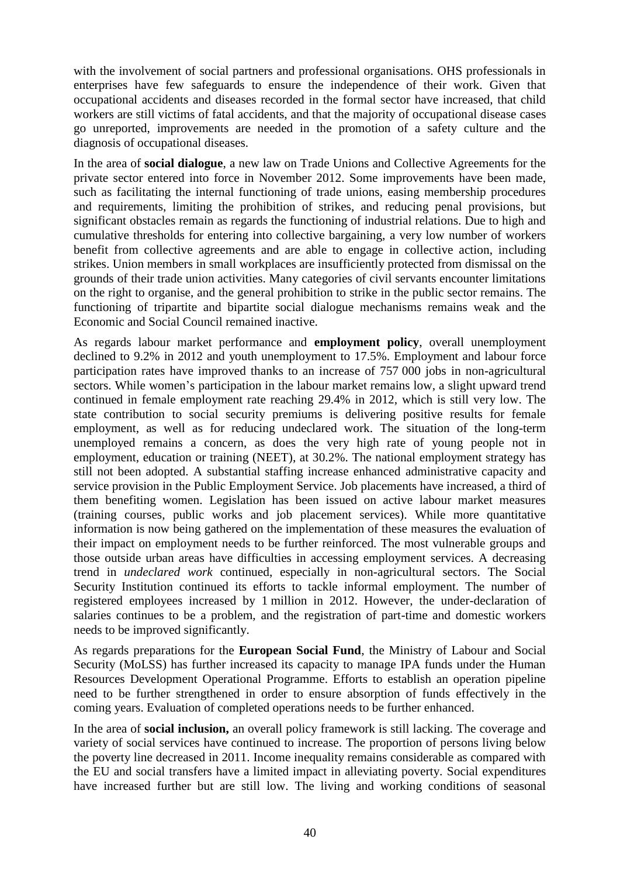with the involvement of social partners and professional organisations. OHS professionals in enterprises have few safeguards to ensure the independence of their work. Given that occupational accidents and diseases recorded in the formal sector have increased, that child workers are still victims of fatal accidents, and that the majority of occupational disease cases go unreported, improvements are needed in the promotion of a safety culture and the diagnosis of occupational diseases.

In the area of **social dialogue**, a new law on Trade Unions and Collective Agreements for the private sector entered into force in November 2012. Some improvements have been made, such as facilitating the internal functioning of trade unions, easing membership procedures and requirements, limiting the prohibition of strikes, and reducing penal provisions, but significant obstacles remain as regards the functioning of industrial relations. Due to high and cumulative thresholds for entering into collective bargaining, a very low number of workers benefit from collective agreements and are able to engage in collective action, including strikes. Union members in small workplaces are insufficiently protected from dismissal on the grounds of their trade union activities. Many categories of civil servants encounter limitations on the right to organise, and the general prohibition to strike in the public sector remains. The functioning of tripartite and bipartite social dialogue mechanisms remains weak and the Economic and Social Council remained inactive.

As regards labour market performance and **employment policy**, overall unemployment declined to 9.2% in 2012 and youth unemployment to 17.5%. Employment and labour force participation rates have improved thanks to an increase of 757 000 jobs in non-agricultural sectors. While women's participation in the labour market remains low, a slight upward trend continued in female employment rate reaching 29.4% in 2012, which is still very low. The state contribution to social security premiums is delivering positive results for female employment, as well as for reducing undeclared work. The situation of the long-term unemployed remains a concern, as does the very high rate of young people not in employment, education or training (NEET), at 30.2%. The national employment strategy has still not been adopted. A substantial staffing increase enhanced administrative capacity and service provision in the Public Employment Service. Job placements have increased, a third of them benefiting women. Legislation has been issued on active labour market measures (training courses, public works and job placement services). While more quantitative information is now being gathered on the implementation of these measures the evaluation of their impact on employment needs to be further reinforced. The most vulnerable groups and those outside urban areas have difficulties in accessing employment services. A decreasing trend in *undeclared work* continued, especially in non-agricultural sectors. The Social Security Institution continued its efforts to tackle informal employment. The number of registered employees increased by 1 million in 2012. However, the under-declaration of salaries continues to be a problem, and the registration of part-time and domestic workers needs to be improved significantly.

As regards preparations for the **European Social Fund**, the Ministry of Labour and Social Security (MoLSS) has further increased its capacity to manage IPA funds under the Human Resources Development Operational Programme. Efforts to establish an operation pipeline need to be further strengthened in order to ensure absorption of funds effectively in the coming years. Evaluation of completed operations needs to be further enhanced.

In the area of **social inclusion,** an overall policy framework is still lacking. The coverage and variety of social services have continued to increase. The proportion of persons living below the poverty line decreased in 2011. Income inequality remains considerable as compared with the EU and social transfers have a limited impact in alleviating poverty. Social expenditures have increased further but are still low. The living and working conditions of seasonal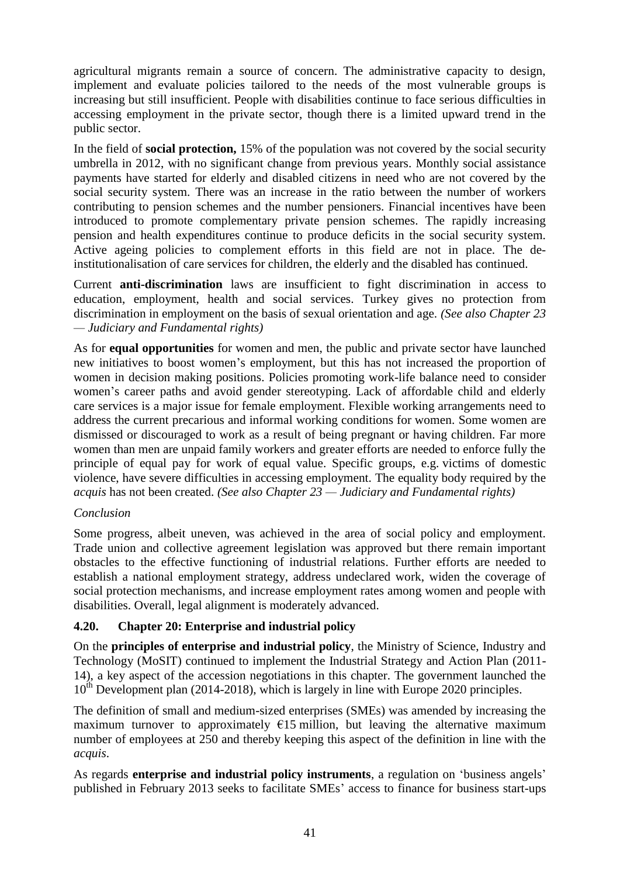agricultural migrants remain a source of concern. The administrative capacity to design, implement and evaluate policies tailored to the needs of the most vulnerable groups is increasing but still insufficient. People with disabilities continue to face serious difficulties in accessing employment in the private sector, though there is a limited upward trend in the public sector.

In the field of **social protection,** 15% of the population was not covered by the social security umbrella in 2012, with no significant change from previous years. Monthly social assistance payments have started for elderly and disabled citizens in need who are not covered by the social security system. There was an increase in the ratio between the number of workers contributing to pension schemes and the number pensioners. Financial incentives have been introduced to promote complementary private pension schemes. The rapidly increasing pension and health expenditures continue to produce deficits in the social security system. Active ageing policies to complement efforts in this field are not in place. The deinstitutionalisation of care services for children, the elderly and the disabled has continued.

Current **anti-discrimination** laws are insufficient to fight discrimination in access to education, employment, health and social services. Turkey gives no protection from discrimination in employment on the basis of sexual orientation and age. *(See also Chapter 23 — Judiciary and Fundamental rights)*

As for **equal opportunities** for women and men, the public and private sector have launched new initiatives to boost women's employment, but this has not increased the proportion of women in decision making positions. Policies promoting work-life balance need to consider women's career paths and avoid gender stereotyping. Lack of affordable child and elderly care services is a major issue for female employment. Flexible working arrangements need to address the current precarious and informal working conditions for women. Some women are dismissed or discouraged to work as a result of being pregnant or having children. Far more women than men are unpaid family workers and greater efforts are needed to enforce fully the principle of equal pay for work of equal value. Specific groups, e.g. victims of domestic violence, have severe difficulties in accessing employment. The equality body required by the *acquis* has not been created. *(See also Chapter 23 — Judiciary and Fundamental rights)*

## *Conclusion*

Some progress, albeit uneven, was achieved in the area of social policy and employment. Trade union and collective agreement legislation was approved but there remain important obstacles to the effective functioning of industrial relations. Further efforts are needed to establish a national employment strategy, address undeclared work, widen the coverage of social protection mechanisms, and increase employment rates among women and people with disabilities. Overall, legal alignment is moderately advanced.

## **4.20. Chapter 20: Enterprise and industrial policy**

On the **principles of enterprise and industrial policy**, the Ministry of Science, Industry and Technology (MoSIT) continued to implement the Industrial Strategy and Action Plan (2011- 14), a key aspect of the accession negotiations in this chapter. The government launched the  $10^{th}$  Development plan (2014-2018), which is largely in line with Europe 2020 principles.

The definition of small and medium-sized enterprises (SMEs) was amended by increasing the maximum turnover to approximately  $E15$  million, but leaving the alternative maximum number of employees at 250 and thereby keeping this aspect of the definition in line with the *acquis*.

As regards **enterprise and industrial policy instruments**, a regulation on 'business angels' published in February 2013 seeks to facilitate SMEs' access to finance for business start-ups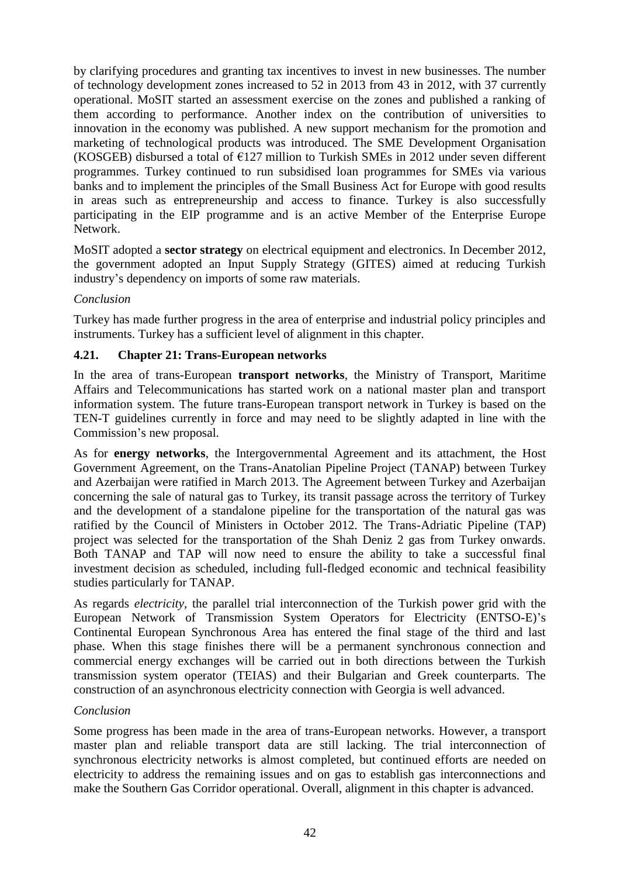by clarifying procedures and granting tax incentives to invest in new businesses. The number of technology development zones increased to 52 in 2013 from 43 in 2012, with 37 currently operational. MoSIT started an assessment exercise on the zones and published a ranking of them according to performance. Another index on the contribution of universities to innovation in the economy was published. A new support mechanism for the promotion and marketing of technological products was introduced. The SME Development Organisation (KOSGEB) disbursed a total of  $E127$  million to Turkish SMEs in 2012 under seven different programmes. Turkey continued to run subsidised loan programmes for SMEs via various banks and to implement the principles of the Small Business Act for Europe with good results in areas such as entrepreneurship and access to finance. Turkey is also successfully participating in the EIP programme and is an active Member of the Enterprise Europe Network.

MoSIT adopted a **sector strategy** on electrical equipment and electronics. In December 2012, the government adopted an Input Supply Strategy (GITES) aimed at reducing Turkish industry's dependency on imports of some raw materials.

## *Conclusion*

Turkey has made further progress in the area of enterprise and industrial policy principles and instruments. Turkey has a sufficient level of alignment in this chapter.

#### **4.21. Chapter 21: Trans-European networks**

In the area of trans-European **transport networks**, the Ministry of Transport, Maritime Affairs and Telecommunications has started work on a national master plan and transport information system. The future trans-European transport network in Turkey is based on the TEN-T guidelines currently in force and may need to be slightly adapted in line with the Commission's new proposal.

As for **energy networks**, the Intergovernmental Agreement and its attachment, the Host Government Agreement, on the Trans-Anatolian Pipeline Project (TANAP) between Turkey and Azerbaijan were ratified in March 2013. The Agreement between Turkey and Azerbaijan concerning the sale of natural gas to Turkey, its transit passage across the territory of Turkey and the development of a standalone pipeline for the transportation of the natural gas was ratified by the Council of Ministers in October 2012. The Trans-Adriatic Pipeline (TAP) project was selected for the transportation of the Shah Deniz 2 gas from Turkey onwards. Both TANAP and TAP will now need to ensure the ability to take a successful final investment decision as scheduled, including full-fledged economic and technical feasibility studies particularly for TANAP.

As regards *electricity*, the parallel trial interconnection of the Turkish power grid with the European Network of Transmission System Operators for Electricity (ENTSO-E)'s Continental European Synchronous Area has entered the final stage of the third and last phase. When this stage finishes there will be a permanent synchronous connection and commercial energy exchanges will be carried out in both directions between the Turkish transmission system operator (TEIAS) and their Bulgarian and Greek counterparts. The construction of an asynchronous electricity connection with Georgia is well advanced.

#### *Conclusion*

Some progress has been made in the area of trans-European networks. However, a transport master plan and reliable transport data are still lacking. The trial interconnection of synchronous electricity networks is almost completed, but continued efforts are needed on electricity to address the remaining issues and on gas to establish gas interconnections and make the Southern Gas Corridor operational. Overall, alignment in this chapter is advanced.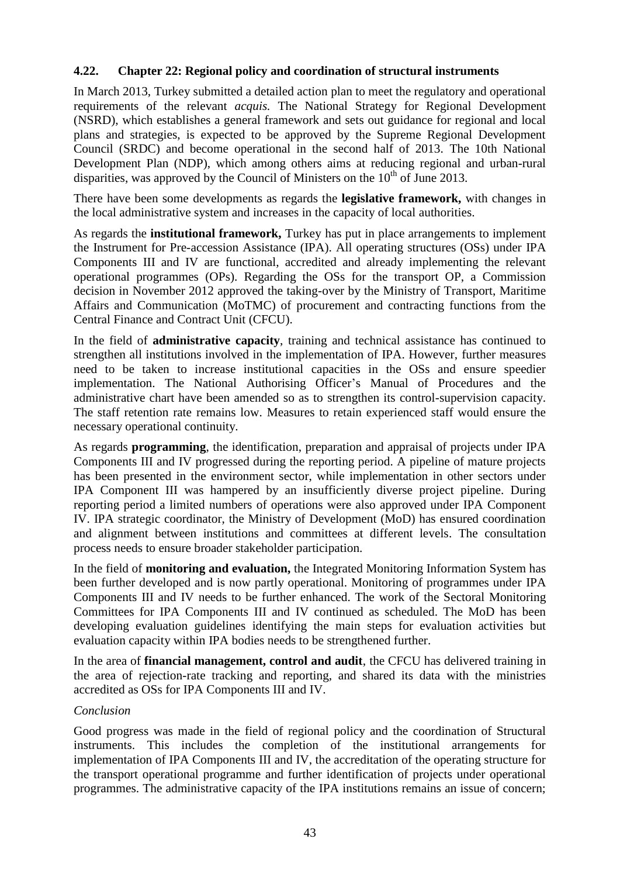## **4.22. Chapter 22: Regional policy and coordination of structural instruments**

In March 2013, Turkey submitted a detailed action plan to meet the regulatory and operational requirements of the relevant *acquis.* The National Strategy for Regional Development (NSRD), which establishes a general framework and sets out guidance for regional and local plans and strategies, is expected to be approved by the Supreme Regional Development Council (SRDC) and become operational in the second half of 2013. The 10th National Development Plan (NDP), which among others aims at reducing regional and urban-rural disparities, was approved by the Council of Ministers on the  $10<sup>th</sup>$  of June 2013.

There have been some developments as regards the **legislative framework,** with changes in the local administrative system and increases in the capacity of local authorities.

As regards the **institutional framework,** Turkey has put in place arrangements to implement the Instrument for Pre-accession Assistance (IPA). All operating structures (OSs) under IPA Components III and IV are functional, accredited and already implementing the relevant operational programmes (OPs). Regarding the OSs for the transport OP, a Commission decision in November 2012 approved the taking-over by the Ministry of Transport, Maritime Affairs and Communication (MoTMC) of procurement and contracting functions from the Central Finance and Contract Unit (CFCU).

In the field of **administrative capacity**, training and technical assistance has continued to strengthen all institutions involved in the implementation of IPA. However, further measures need to be taken to increase institutional capacities in the OSs and ensure speedier implementation. The National Authorising Officer's Manual of Procedures and the administrative chart have been amended so as to strengthen its control-supervision capacity. The staff retention rate remains low. Measures to retain experienced staff would ensure the necessary operational continuity.

As regards **programming**, the identification, preparation and appraisal of projects under IPA Components III and IV progressed during the reporting period. A pipeline of mature projects has been presented in the environment sector, while implementation in other sectors under IPA Component III was hampered by an insufficiently diverse project pipeline. During reporting period a limited numbers of operations were also approved under IPA Component IV. IPA strategic coordinator, the Ministry of Development (MoD) has ensured coordination and alignment between institutions and committees at different levels. The consultation process needs to ensure broader stakeholder participation.

In the field of **monitoring and evaluation,** the Integrated Monitoring Information System has been further developed and is now partly operational. Monitoring of programmes under IPA Components III and IV needs to be further enhanced. The work of the Sectoral Monitoring Committees for IPA Components III and IV continued as scheduled. The MoD has been developing evaluation guidelines identifying the main steps for evaluation activities but evaluation capacity within IPA bodies needs to be strengthened further.

In the area of **financial management, control and audit**, the CFCU has delivered training in the area of rejection-rate tracking and reporting, and shared its data with the ministries accredited as OSs for IPA Components III and IV.

#### *Conclusion*

Good progress was made in the field of regional policy and the coordination of Structural instruments. This includes the completion of the institutional arrangements for implementation of IPA Components III and IV, the accreditation of the operating structure for the transport operational programme and further identification of projects under operational programmes. The administrative capacity of the IPA institutions remains an issue of concern;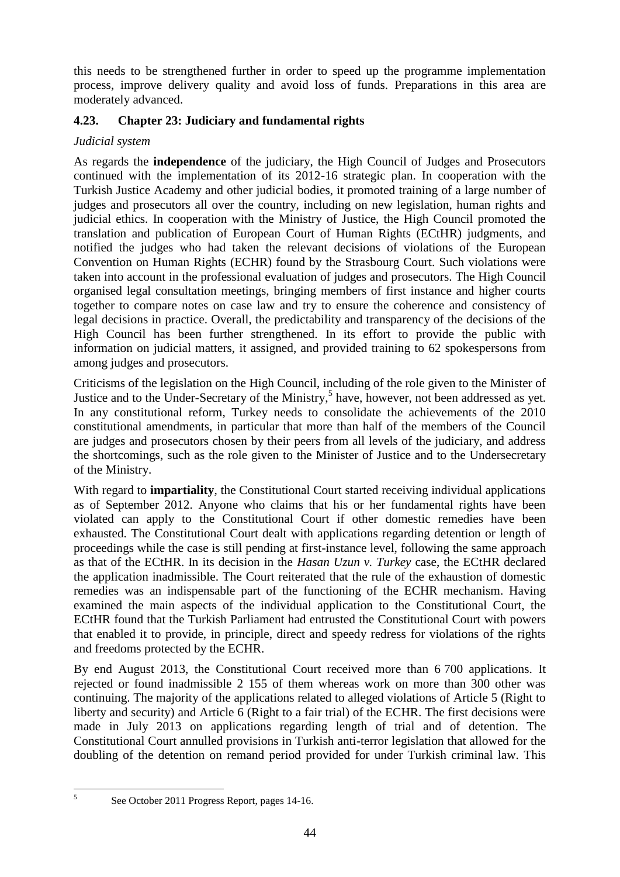this needs to be strengthened further in order to speed up the programme implementation process, improve delivery quality and avoid loss of funds. Preparations in this area are moderately advanced.

## **4.23. Chapter 23: Judiciary and fundamental rights**

#### *Judicial system*

As regards the **independence** of the judiciary, the High Council of Judges and Prosecutors continued with the implementation of its 2012-16 strategic plan. In cooperation with the Turkish Justice Academy and other judicial bodies, it promoted training of a large number of judges and prosecutors all over the country, including on new legislation, human rights and judicial ethics. In cooperation with the Ministry of Justice, the High Council promoted the translation and publication of European Court of Human Rights (ECtHR) judgments, and notified the judges who had taken the relevant decisions of violations of the European Convention on Human Rights (ECHR) found by the Strasbourg Court. Such violations were taken into account in the professional evaluation of judges and prosecutors. The High Council organised legal consultation meetings, bringing members of first instance and higher courts together to compare notes on case law and try to ensure the coherence and consistency of legal decisions in practice. Overall, the predictability and transparency of the decisions of the High Council has been further strengthened. In its effort to provide the public with information on judicial matters, it assigned, and provided training to 62 spokespersons from among judges and prosecutors.

Criticisms of the legislation on the High Council, including of the role given to the Minister of Justice and to the Under-Secretary of the Ministry,<sup>5</sup> have, however, not been addressed as yet. In any constitutional reform, Turkey needs to consolidate the achievements of the 2010 constitutional amendments, in particular that more than half of the members of the Council are judges and prosecutors chosen by their peers from all levels of the judiciary, and address the shortcomings, such as the role given to the Minister of Justice and to the Undersecretary of the Ministry.

With regard to **impartiality**, the Constitutional Court started receiving individual applications as of September 2012. Anyone who claims that his or her fundamental rights have been violated can apply to the Constitutional Court if other domestic remedies have been exhausted. The Constitutional Court dealt with applications regarding detention or length of proceedings while the case is still pending at first-instance level, following the same approach as that of the ECtHR. In its decision in the *Hasan Uzun v. Turkey* case, the ECtHR declared the application inadmissible. The Court reiterated that the rule of the exhaustion of domestic remedies was an indispensable part of the functioning of the ECHR mechanism. Having examined the main aspects of the individual application to the Constitutional Court, the ECtHR found that the Turkish Parliament had entrusted the Constitutional Court with powers that enabled it to provide, in principle, direct and speedy redress for violations of the rights and freedoms protected by the ECHR.

By end August 2013, the Constitutional Court received more than 6 700 applications. It rejected or found inadmissible 2 155 of them whereas work on more than 300 other was continuing. The majority of the applications related to alleged violations of Article 5 (Right to liberty and security) and Article 6 (Right to a fair trial) of the ECHR. The first decisions were made in July 2013 on applications regarding length of trial and of detention. The Constitutional Court annulled provisions in Turkish anti-terror legislation that allowed for the doubling of the detention on remand period provided for under Turkish criminal law. This

 $\frac{1}{5}$ 

See October 2011 Progress Report, pages 14-16.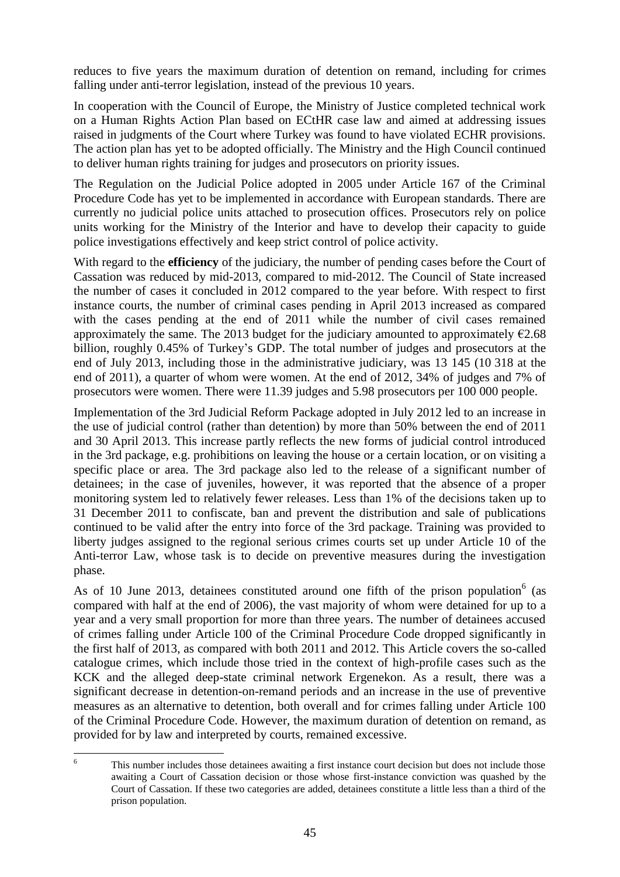reduces to five years the maximum duration of detention on remand, including for crimes falling under anti-terror legislation, instead of the previous 10 years.

In cooperation with the Council of Europe, the Ministry of Justice completed technical work on a Human Rights Action Plan based on ECtHR case law and aimed at addressing issues raised in judgments of the Court where Turkey was found to have violated ECHR provisions. The action plan has yet to be adopted officially. The Ministry and the High Council continued to deliver human rights training for judges and prosecutors on priority issues.

The Regulation on the Judicial Police adopted in 2005 under Article 167 of the Criminal Procedure Code has yet to be implemented in accordance with European standards. There are currently no judicial police units attached to prosecution offices. Prosecutors rely on police units working for the Ministry of the Interior and have to develop their capacity to guide police investigations effectively and keep strict control of police activity.

With regard to the **efficiency** of the judiciary, the number of pending cases before the Court of Cassation was reduced by mid-2013, compared to mid-2012. The Council of State increased the number of cases it concluded in 2012 compared to the year before. With respect to first instance courts, the number of criminal cases pending in April 2013 increased as compared with the cases pending at the end of 2011 while the number of civil cases remained approximately the same. The 2013 budget for the judiciary amounted to approximately  $\epsilon$ 2.68 billion, roughly 0.45% of Turkey's GDP. The total number of judges and prosecutors at the end of July 2013, including those in the administrative judiciary, was 13 145 (10 318 at the end of 2011), a quarter of whom were women. At the end of 2012, 34% of judges and 7% of prosecutors were women. There were 11.39 judges and 5.98 prosecutors per 100 000 people.

Implementation of the 3rd Judicial Reform Package adopted in July 2012 led to an increase in the use of judicial control (rather than detention) by more than 50% between the end of 2011 and 30 April 2013. This increase partly reflects the new forms of judicial control introduced in the 3rd package, e.g. prohibitions on leaving the house or a certain location, or on visiting a specific place or area. The 3rd package also led to the release of a significant number of detainees; in the case of juveniles, however, it was reported that the absence of a proper monitoring system led to relatively fewer releases. Less than 1% of the decisions taken up to 31 December 2011 to confiscate, ban and prevent the distribution and sale of publications continued to be valid after the entry into force of the 3rd package. Training was provided to liberty judges assigned to the regional serious crimes courts set up under Article 10 of the Anti-terror Law, whose task is to decide on preventive measures during the investigation phase.

As of 10 June 2013, detainees constituted around one fifth of the prison population<sup>6</sup> (as compared with half at the end of 2006), the vast majority of whom were detained for up to a year and a very small proportion for more than three years. The number of detainees accused of crimes falling under Article 100 of the Criminal Procedure Code dropped significantly in the first half of 2013, as compared with both 2011 and 2012. This Article covers the so-called catalogue crimes, which include those tried in the context of high-profile cases such as the KCK and the alleged deep-state criminal network Ergenekon. As a result, there was a significant decrease in detention-on-remand periods and an increase in the use of preventive measures as an alternative to detention, both overall and for crimes falling under Article 100 of the Criminal Procedure Code. However, the maximum duration of detention on remand, as provided for by law and interpreted by courts, remained excessive.

<sup>6</sup> This number includes those detainees awaiting a first instance court decision but does not include those awaiting a Court of Cassation decision or those whose first-instance conviction was quashed by the Court of Cassation. If these two categories are added, detainees constitute a little less than a third of the prison population.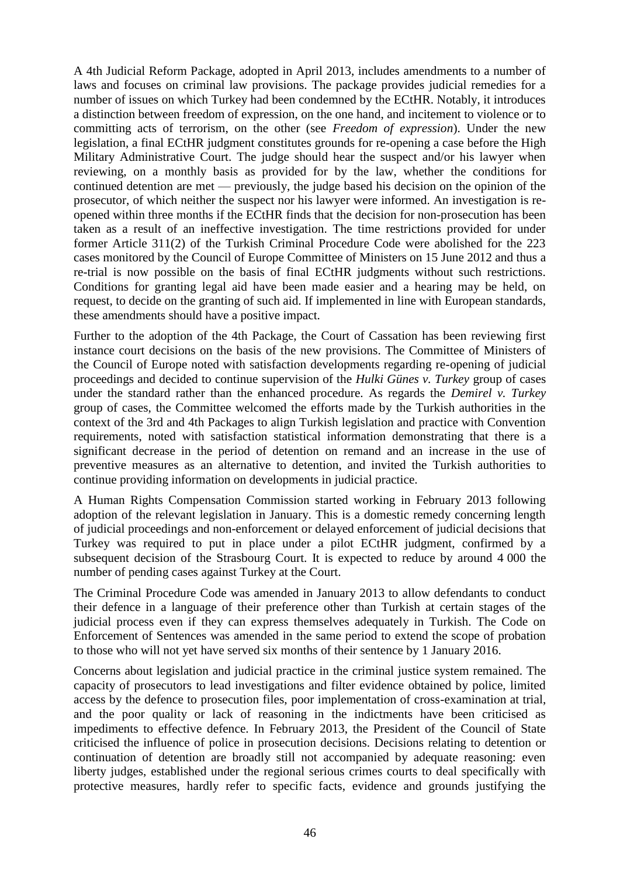A 4th Judicial Reform Package, adopted in April 2013, includes amendments to a number of laws and focuses on criminal law provisions. The package provides judicial remedies for a number of issues on which Turkey had been condemned by the ECtHR. Notably, it introduces a distinction between freedom of expression, on the one hand, and incitement to violence or to committing acts of terrorism, on the other (see *Freedom of expression*). Under the new legislation, a final ECtHR judgment constitutes grounds for re-opening a case before the High Military Administrative Court. The judge should hear the suspect and/or his lawyer when reviewing, on a monthly basis as provided for by the law, whether the conditions for continued detention are met — previously, the judge based his decision on the opinion of the prosecutor, of which neither the suspect nor his lawyer were informed. An investigation is reopened within three months if the ECtHR finds that the decision for non-prosecution has been taken as a result of an ineffective investigation. The time restrictions provided for under former Article 311(2) of the Turkish Criminal Procedure Code were abolished for the 223 cases monitored by the Council of Europe Committee of Ministers on 15 June 2012 and thus a re-trial is now possible on the basis of final ECtHR judgments without such restrictions. Conditions for granting legal aid have been made easier and a hearing may be held, on request, to decide on the granting of such aid. If implemented in line with European standards, these amendments should have a positive impact.

Further to the adoption of the 4th Package, the Court of Cassation has been reviewing first instance court decisions on the basis of the new provisions. The Committee of Ministers of the Council of Europe noted with satisfaction developments regarding re-opening of judicial proceedings and decided to continue supervision of the *Hulki Günes v. Turkey* group of cases under the standard rather than the enhanced procedure. As regards the *Demirel v. Turkey*  group of cases, the Committee welcomed the efforts made by the Turkish authorities in the context of the 3rd and 4th Packages to align Turkish legislation and practice with Convention requirements, noted with satisfaction statistical information demonstrating that there is a significant decrease in the period of detention on remand and an increase in the use of preventive measures as an alternative to detention, and invited the Turkish authorities to continue providing information on developments in judicial practice.

A Human Rights Compensation Commission started working in February 2013 following adoption of the relevant legislation in January. This is a domestic remedy concerning length of judicial proceedings and non-enforcement or delayed enforcement of judicial decisions that Turkey was required to put in place under a pilot ECtHR judgment, confirmed by a subsequent decision of the Strasbourg Court. It is expected to reduce by around 4 000 the number of pending cases against Turkey at the Court.

The Criminal Procedure Code was amended in January 2013 to allow defendants to conduct their defence in a language of their preference other than Turkish at certain stages of the judicial process even if they can express themselves adequately in Turkish. The Code on Enforcement of Sentences was amended in the same period to extend the scope of probation to those who will not yet have served six months of their sentence by 1 January 2016.

Concerns about legislation and judicial practice in the criminal justice system remained. The capacity of prosecutors to lead investigations and filter evidence obtained by police, limited access by the defence to prosecution files, poor implementation of cross-examination at trial, and the poor quality or lack of reasoning in the indictments have been criticised as impediments to effective defence. In February 2013, the President of the Council of State criticised the influence of police in prosecution decisions. Decisions relating to detention or continuation of detention are broadly still not accompanied by adequate reasoning: even liberty judges, established under the regional serious crimes courts to deal specifically with protective measures, hardly refer to specific facts, evidence and grounds justifying the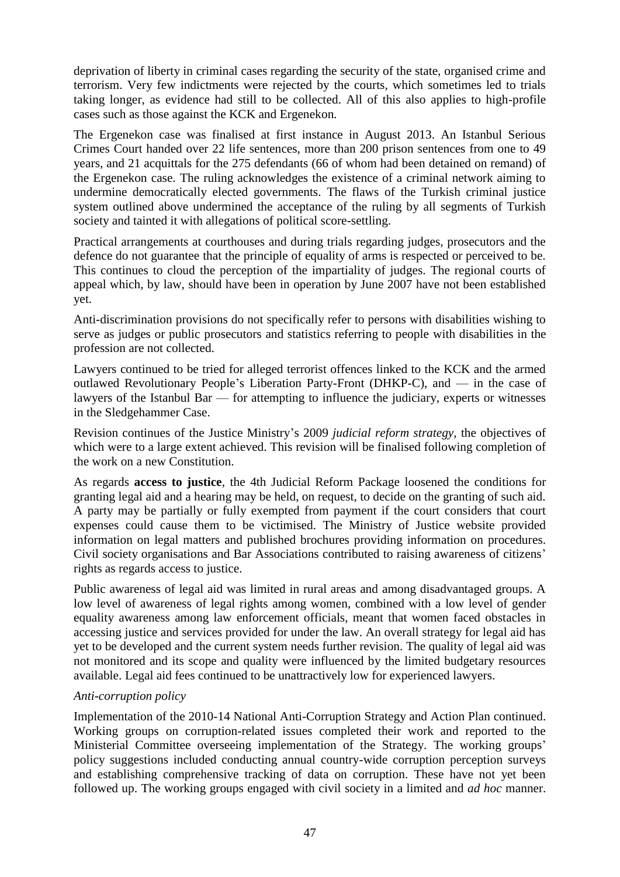deprivation of liberty in criminal cases regarding the security of the state, organised crime and terrorism. Very few indictments were rejected by the courts, which sometimes led to trials taking longer, as evidence had still to be collected. All of this also applies to high-profile cases such as those against the KCK and Ergenekon*.*

The Ergenekon case was finalised at first instance in August 2013. An Istanbul Serious Crimes Court handed over 22 life sentences, more than 200 prison sentences from one to 49 years, and 21 acquittals for the 275 defendants (66 of whom had been detained on remand) of the Ergenekon case. The ruling acknowledges the existence of a criminal network aiming to undermine democratically elected governments. The flaws of the Turkish criminal justice system outlined above undermined the acceptance of the ruling by all segments of Turkish society and tainted it with allegations of political score-settling.

Practical arrangements at courthouses and during trials regarding judges, prosecutors and the defence do not guarantee that the principle of equality of arms is respected or perceived to be. This continues to cloud the perception of the impartiality of judges. The regional courts of appeal which, by law, should have been in operation by June 2007 have not been established yet.

Anti-discrimination provisions do not specifically refer to persons with disabilities wishing to serve as judges or public prosecutors and statistics referring to people with disabilities in the profession are not collected.

Lawyers continued to be tried for alleged terrorist offences linked to the KCK and the armed outlawed Revolutionary People's Liberation Party-Front (DHKP-C), and — in the case of lawyers of the Istanbul Bar — for attempting to influence the judiciary, experts or witnesses in the Sledgehammer Case.

Revision continues of the Justice Ministry's 2009 *judicial reform strategy*, the objectives of which were to a large extent achieved. This revision will be finalised following completion of the work on a new Constitution.

As regards **access to justice**, the 4th Judicial Reform Package loosened the conditions for granting legal aid and a hearing may be held, on request, to decide on the granting of such aid. A party may be partially or fully exempted from payment if the court considers that court expenses could cause them to be victimised. The Ministry of Justice website provided information on legal matters and published brochures providing information on procedures. Civil society organisations and Bar Associations contributed to raising awareness of citizens' rights as regards access to justice.

Public awareness of legal aid was limited in rural areas and among disadvantaged groups. A low level of awareness of legal rights among women, combined with a low level of gender equality awareness among law enforcement officials, meant that women faced obstacles in accessing justice and services provided for under the law. An overall strategy for legal aid has yet to be developed and the current system needs further revision. The quality of legal aid was not monitored and its scope and quality were influenced by the limited budgetary resources available. Legal aid fees continued to be unattractively low for experienced lawyers.

## *Anti-corruption policy*

Implementation of the 2010-14 National Anti-Corruption Strategy and Action Plan continued. Working groups on corruption-related issues completed their work and reported to the Ministerial Committee overseeing implementation of the Strategy. The working groups' policy suggestions included conducting annual country-wide corruption perception surveys and establishing comprehensive tracking of data on corruption. These have not yet been followed up. The working groups engaged with civil society in a limited and *ad hoc* manner.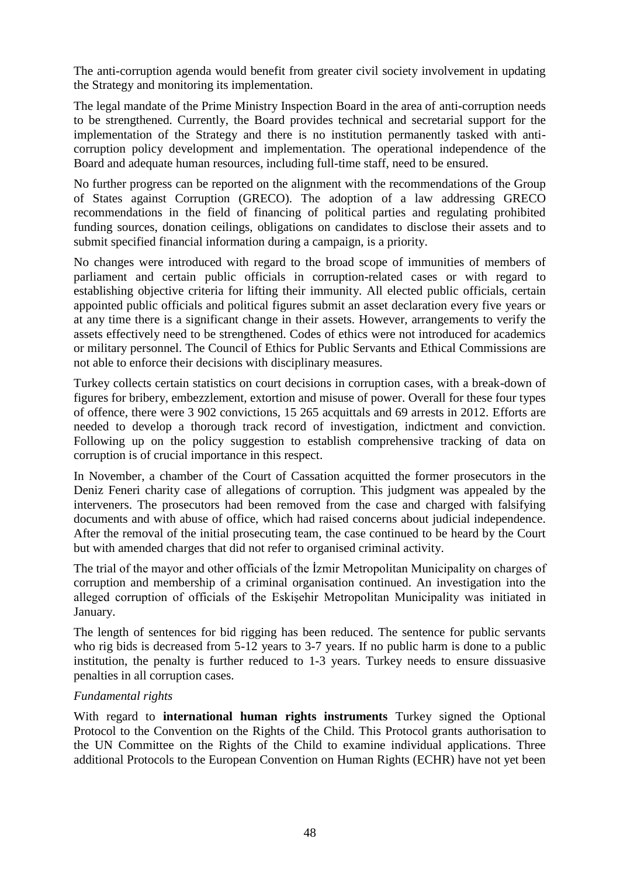The anti-corruption agenda would benefit from greater civil society involvement in updating the Strategy and monitoring its implementation.

The legal mandate of the Prime Ministry Inspection Board in the area of anti-corruption needs to be strengthened. Currently, the Board provides technical and secretarial support for the implementation of the Strategy and there is no institution permanently tasked with anticorruption policy development and implementation. The operational independence of the Board and adequate human resources, including full-time staff, need to be ensured.

No further progress can be reported on the alignment with the recommendations of the Group of States against Corruption (GRECO). The adoption of a law addressing GRECO recommendations in the field of financing of political parties and regulating prohibited funding sources, donation ceilings, obligations on candidates to disclose their assets and to submit specified financial information during a campaign, is a priority.

No changes were introduced with regard to the broad scope of immunities of members of parliament and certain public officials in corruption-related cases or with regard to establishing objective criteria for lifting their immunity. All elected public officials, certain appointed public officials and political figures submit an asset declaration every five years or at any time there is a significant change in their assets. However, arrangements to verify the assets effectively need to be strengthened. Codes of ethics were not introduced for academics or military personnel. The Council of Ethics for Public Servants and Ethical Commissions are not able to enforce their decisions with disciplinary measures.

Turkey collects certain statistics on court decisions in corruption cases, with a break-down of figures for bribery, embezzlement, extortion and misuse of power. Overall for these four types of offence, there were 3 902 convictions, 15 265 acquittals and 69 arrests in 2012. Efforts are needed to develop a thorough track record of investigation, indictment and conviction. Following up on the policy suggestion to establish comprehensive tracking of data on corruption is of crucial importance in this respect.

In November, a chamber of the Court of Cassation acquitted the former prosecutors in the Deniz Feneri charity case of allegations of corruption. This judgment was appealed by the interveners. The prosecutors had been removed from the case and charged with falsifying documents and with abuse of office, which had raised concerns about judicial independence. After the removal of the initial prosecuting team, the case continued to be heard by the Court but with amended charges that did not refer to organised criminal activity.

The trial of the mayor and other officials of the İzmir Metropolitan Municipality on charges of corruption and membership of a criminal organisation continued. An investigation into the alleged corruption of officials of the Eskişehir Metropolitan Municipality was initiated in January.

The length of sentences for bid rigging has been reduced. The sentence for public servants who rig bids is decreased from 5-12 years to 3-7 years. If no public harm is done to a public institution, the penalty is further reduced to 1-3 years. Turkey needs to ensure dissuasive penalties in all corruption cases.

## *Fundamental rights*

With regard to **international human rights instruments** Turkey signed the Optional Protocol to the Convention on the Rights of the Child. This Protocol grants authorisation to the UN Committee on the Rights of the Child to examine individual applications. Three additional Protocols to the European Convention on Human Rights (ECHR) have not yet been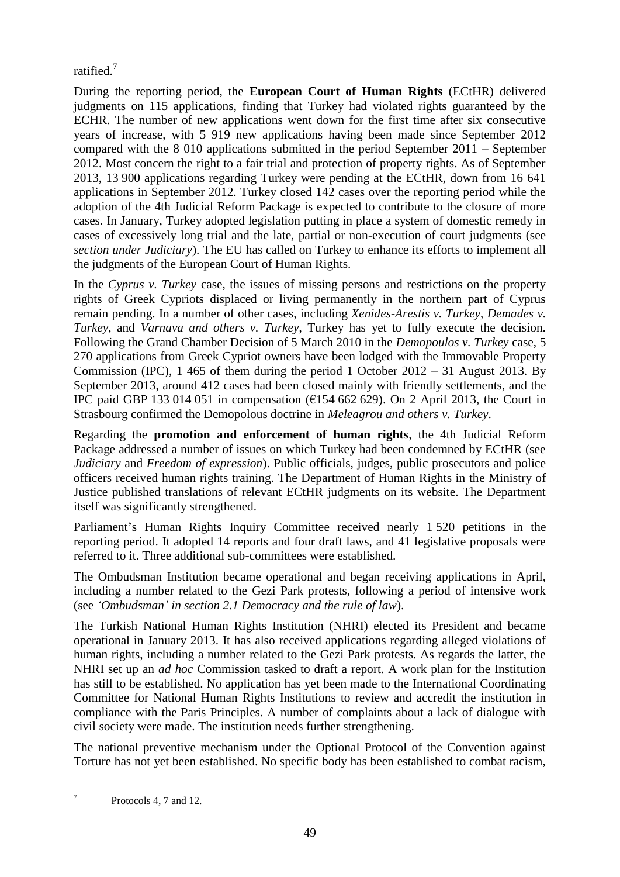ratified.<sup>7</sup>

During the reporting period, the **European Court of Human Rights** (ECtHR) delivered judgments on 115 applications, finding that Turkey had violated rights guaranteed by the ECHR. The number of new applications went down for the first time after six consecutive years of increase, with 5 919 new applications having been made since September 2012 compared with the 8 010 applications submitted in the period September 2011 – September 2012. Most concern the right to a fair trial and protection of property rights. As of September 2013, 13 900 applications regarding Turkey were pending at the ECtHR, down from 16 641 applications in September 2012. Turkey closed 142 cases over the reporting period while the adoption of the 4th Judicial Reform Package is expected to contribute to the closure of more cases. In January, Turkey adopted legislation putting in place a system of domestic remedy in cases of excessively long trial and the late, partial or non-execution of court judgments (see *section under Judiciary*). The EU has called on Turkey to enhance its efforts to implement all the judgments of the European Court of Human Rights.

In the *Cyprus v. Turkey* case, the issues of missing persons and restrictions on the property rights of Greek Cypriots displaced or living permanently in the northern part of Cyprus remain pending. In a number of other cases, including *Xenides-Arestis v. Turkey*, *Demades v. Turkey*, and *Varnava and others v. Turkey*, Turkey has yet to fully execute the decision. Following the Grand Chamber Decision of 5 March 2010 in the *Demopoulos v. Turkey* case, 5 270 applications from Greek Cypriot owners have been lodged with the Immovable Property Commission (IPC), 1 465 of them during the period 1 October 2012 – 31 August 2013. By September 2013, around 412 cases had been closed mainly with friendly settlements, and the IPC paid GBP 133 014 051 in compensation ( $\epsilon$ 154 662 629). On 2 April 2013, the Court in Strasbourg confirmed the Demopolous doctrine in *Meleagrou and others v. Turkey*.

Regarding the **promotion and enforcement of human rights**, the 4th Judicial Reform Package addressed a number of issues on which Turkey had been condemned by ECtHR (see *Judiciary* and *Freedom of expression*). Public officials, judges, public prosecutors and police officers received human rights training. The Department of Human Rights in the Ministry of Justice published translations of relevant ECtHR judgments on its website. The Department itself was significantly strengthened.

Parliament's Human Rights Inquiry Committee received nearly 1 520 petitions in the reporting period. It adopted 14 reports and four draft laws, and 41 legislative proposals were referred to it. Three additional sub-committees were established.

The Ombudsman Institution became operational and began receiving applications in April, including a number related to the Gezi Park protests, following a period of intensive work (see *'Ombudsman' in section 2.1 Democracy and the rule of law*).

The Turkish National Human Rights Institution (NHRI) elected its President and became operational in January 2013. It has also received applications regarding alleged violations of human rights, including a number related to the Gezi Park protests. As regards the latter, the NHRI set up an *ad hoc* Commission tasked to draft a report. A work plan for the Institution has still to be established. No application has yet been made to the International Coordinating Committee for National Human Rights Institutions to review and accredit the institution in compliance with the Paris Principles. A number of complaints about a lack of dialogue with civil society were made. The institution needs further strengthening.

The national preventive mechanism under the Optional Protocol of the Convention against Torture has not yet been established. No specific body has been established to combat racism,

 $\frac{1}{7}$ 

Protocols 4, 7 and 12.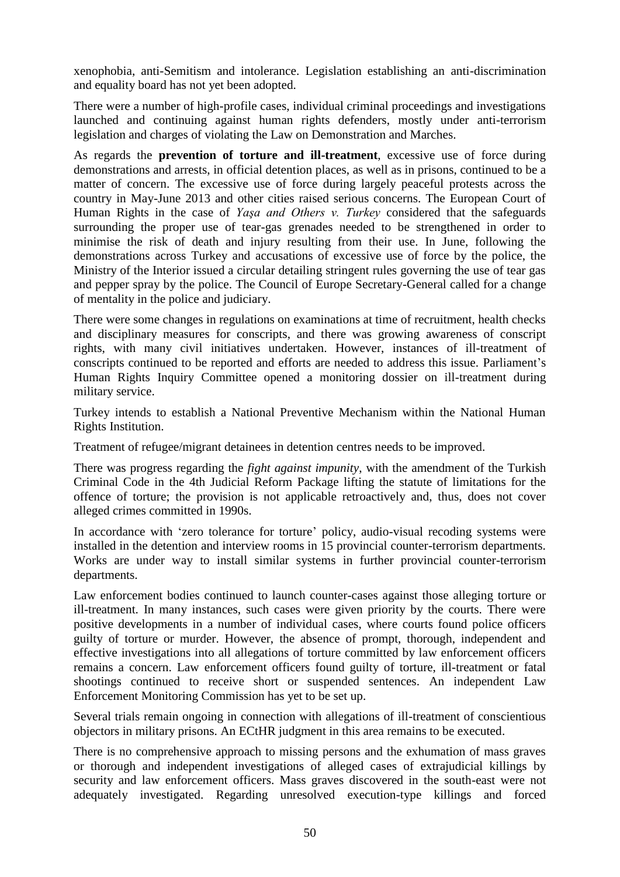xenophobia, anti-Semitism and intolerance. Legislation establishing an anti-discrimination and equality board has not yet been adopted.

There were a number of high-profile cases, individual criminal proceedings and investigations launched and continuing against human rights defenders, mostly under anti-terrorism legislation and charges of violating the Law on Demonstration and Marches.

As regards the **prevention of torture and ill-treatment**, excessive use of force during demonstrations and arrests, in official detention places, as well as in prisons, continued to be a matter of concern. The excessive use of force during largely peaceful protests across the country in May-June 2013 and other cities raised serious concerns. The European Court of Human Rights in the case of *Yaşa and Others v. Turkey* considered that the safeguards surrounding the proper use of tear-gas grenades needed to be strengthened in order to minimise the risk of death and injury resulting from their use. In June, following the demonstrations across Turkey and accusations of excessive use of force by the police, the Ministry of the Interior issued a circular detailing stringent rules governing the use of tear gas and pepper spray by the police. The Council of Europe Secretary-General called for a change of mentality in the police and judiciary.

There were some changes in regulations on examinations at time of recruitment, health checks and disciplinary measures for conscripts, and there was growing awareness of conscript rights, with many civil initiatives undertaken. However, instances of ill-treatment of conscripts continued to be reported and efforts are needed to address this issue. Parliament's Human Rights Inquiry Committee opened a monitoring dossier on ill-treatment during military service.

Turkey intends to establish a National Preventive Mechanism within the National Human Rights Institution.

Treatment of refugee/migrant detainees in detention centres needs to be improved.

There was progress regarding the *fight against impunity*, with the amendment of the Turkish Criminal Code in the 4th Judicial Reform Package lifting the statute of limitations for the offence of torture; the provision is not applicable retroactively and, thus, does not cover alleged crimes committed in 1990s.

In accordance with 'zero tolerance for torture' policy, audio-visual recoding systems were installed in the detention and interview rooms in 15 provincial counter-terrorism departments. Works are under way to install similar systems in further provincial counter-terrorism departments.

Law enforcement bodies continued to launch counter-cases against those alleging torture or ill-treatment. In many instances, such cases were given priority by the courts. There were positive developments in a number of individual cases, where courts found police officers guilty of torture or murder. However, the absence of prompt, thorough, independent and effective investigations into all allegations of torture committed by law enforcement officers remains a concern. Law enforcement officers found guilty of torture, ill-treatment or fatal shootings continued to receive short or suspended sentences. An independent Law Enforcement Monitoring Commission has yet to be set up.

Several trials remain ongoing in connection with allegations of ill-treatment of conscientious objectors in military prisons. An ECtHR judgment in this area remains to be executed.

There is no comprehensive approach to missing persons and the exhumation of mass graves or thorough and independent investigations of alleged cases of extrajudicial killings by security and law enforcement officers. Mass graves discovered in the south-east were not adequately investigated. Regarding unresolved execution-type killings and forced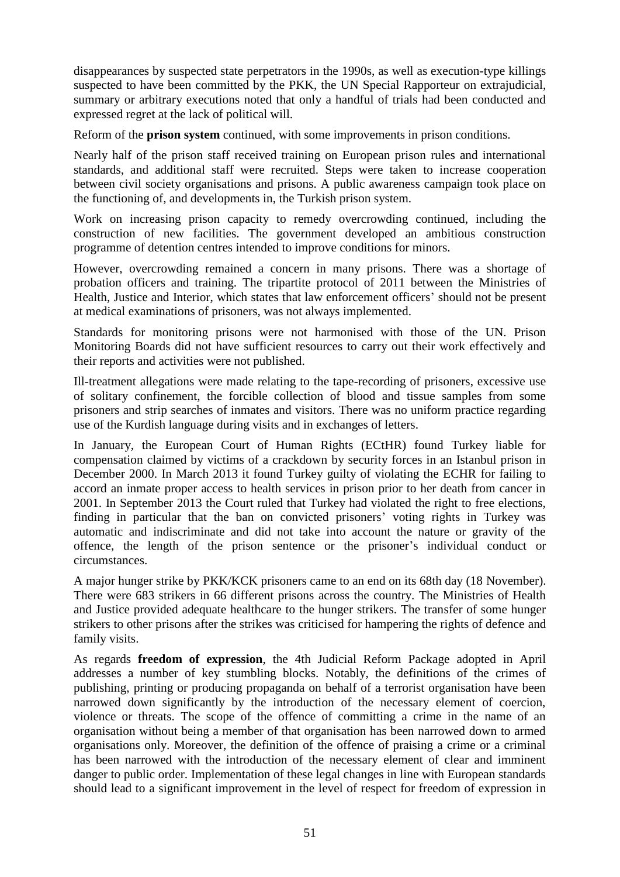disappearances by suspected state perpetrators in the 1990s, as well as execution-type killings suspected to have been committed by the PKK, the UN Special Rapporteur on extrajudicial, summary or arbitrary executions noted that only a handful of trials had been conducted and expressed regret at the lack of political will.

Reform of the **prison system** continued, with some improvements in prison conditions.

Nearly half of the prison staff received training on European prison rules and international standards, and additional staff were recruited. Steps were taken to increase cooperation between civil society organisations and prisons. A public awareness campaign took place on the functioning of, and developments in, the Turkish prison system.

Work on increasing prison capacity to remedy overcrowding continued, including the construction of new facilities. The government developed an ambitious construction programme of detention centres intended to improve conditions for minors.

However, overcrowding remained a concern in many prisons. There was a shortage of probation officers and training. The tripartite protocol of 2011 between the Ministries of Health, Justice and Interior, which states that law enforcement officers' should not be present at medical examinations of prisoners, was not always implemented.

Standards for monitoring prisons were not harmonised with those of the UN. Prison Monitoring Boards did not have sufficient resources to carry out their work effectively and their reports and activities were not published.

Ill-treatment allegations were made relating to the tape-recording of prisoners, excessive use of solitary confinement, the forcible collection of blood and tissue samples from some prisoners and strip searches of inmates and visitors. There was no uniform practice regarding use of the Kurdish language during visits and in exchanges of letters.

In January, the European Court of Human Rights (ECtHR) found Turkey liable for compensation claimed by victims of a crackdown by security forces in an Istanbul prison in December 2000. In March 2013 it found Turkey guilty of violating the ECHR for failing to accord an inmate proper access to health services in prison prior to her death from cancer in 2001. In September 2013 the Court ruled that Turkey had violated the right to free elections, finding in particular that the ban on convicted prisoners' voting rights in Turkey was automatic and indiscriminate and did not take into account the nature or gravity of the offence, the length of the prison sentence or the prisoner's individual conduct or circumstances.

A major hunger strike by PKK/KCK prisoners came to an end on its 68th day (18 November). There were 683 strikers in 66 different prisons across the country. The Ministries of Health and Justice provided adequate healthcare to the hunger strikers. The transfer of some hunger strikers to other prisons after the strikes was criticised for hampering the rights of defence and family visits.

As regards **freedom of expression**, the 4th Judicial Reform Package adopted in April addresses a number of key stumbling blocks. Notably, the definitions of the crimes of publishing, printing or producing propaganda on behalf of a terrorist organisation have been narrowed down significantly by the introduction of the necessary element of coercion, violence or threats. The scope of the offence of committing a crime in the name of an organisation without being a member of that organisation has been narrowed down to armed organisations only. Moreover, the definition of the offence of praising a crime or a criminal has been narrowed with the introduction of the necessary element of clear and imminent danger to public order. Implementation of these legal changes in line with European standards should lead to a significant improvement in the level of respect for freedom of expression in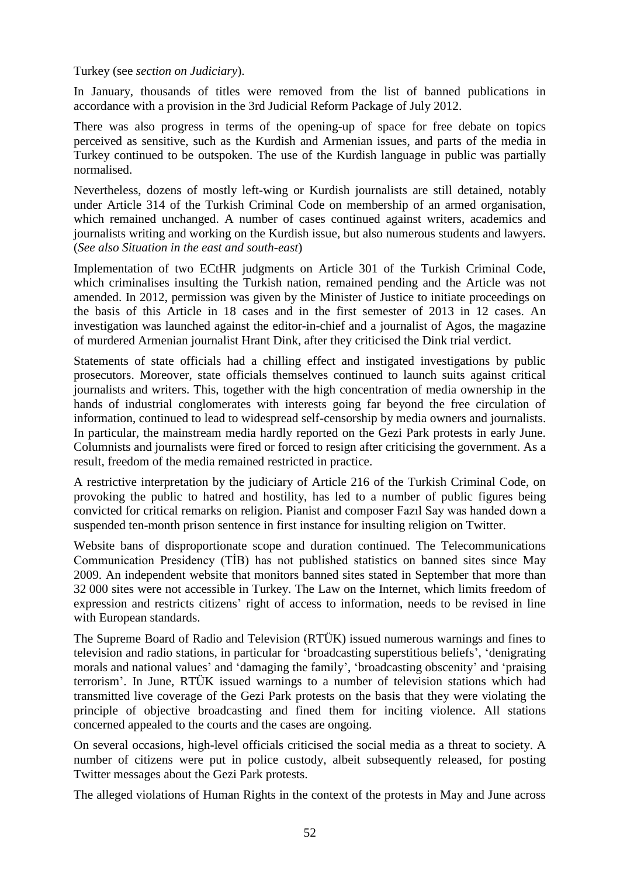#### Turkey (see *section on Judiciary*).

In January, thousands of titles were removed from the list of banned publications in accordance with a provision in the 3rd Judicial Reform Package of July 2012.

There was also progress in terms of the opening-up of space for free debate on topics perceived as sensitive, such as the Kurdish and Armenian issues, and parts of the media in Turkey continued to be outspoken. The use of the Kurdish language in public was partially normalised.

Nevertheless, dozens of mostly left-wing or Kurdish journalists are still detained, notably under Article 314 of the Turkish Criminal Code on membership of an armed organisation, which remained unchanged. A number of cases continued against writers, academics and journalists writing and working on the Kurdish issue, but also numerous students and lawyers. (*See also Situation in the east and south-east*)

Implementation of two ECtHR judgments on Article 301 of the Turkish Criminal Code, which criminalises insulting the Turkish nation, remained pending and the Article was not amended. In 2012, permission was given by the Minister of Justice to initiate proceedings on the basis of this Article in 18 cases and in the first semester of 2013 in 12 cases. An investigation was launched against the editor-in-chief and a journalist of Agos, the magazine of murdered Armenian journalist Hrant Dink, after they criticised the Dink trial verdict.

Statements of state officials had a chilling effect and instigated investigations by public prosecutors. Moreover, state officials themselves continued to launch suits against critical journalists and writers. This, together with the high concentration of media ownership in the hands of industrial conglomerates with interests going far beyond the free circulation of information, continued to lead to widespread self-censorship by media owners and journalists. In particular, the mainstream media hardly reported on the Gezi Park protests in early June. Columnists and journalists were fired or forced to resign after criticising the government. As a result, freedom of the media remained restricted in practice.

A restrictive interpretation by the judiciary of Article 216 of the Turkish Criminal Code, on provoking the public to hatred and hostility, has led to a number of public figures being convicted for critical remarks on religion. Pianist and composer Fazıl Say was handed down a suspended ten-month prison sentence in first instance for insulting religion on Twitter.

Website bans of disproportionate scope and duration continued. The Telecommunications Communication Presidency (TİB) has not published statistics on banned sites since May 2009. An independent website that monitors banned sites stated in September that more than 32 000 sites were not accessible in Turkey. The Law on the Internet, which limits freedom of expression and restricts citizens' right of access to information, needs to be revised in line with European standards.

The Supreme Board of Radio and Television (RTÜK) issued numerous warnings and fines to television and radio stations, in particular for 'broadcasting superstitious beliefs', 'denigrating morals and national values' and 'damaging the family', 'broadcasting obscenity' and 'praising terrorism'. In June, RTÜK issued warnings to a number of television stations which had transmitted live coverage of the Gezi Park protests on the basis that they were violating the principle of objective broadcasting and fined them for inciting violence. All stations concerned appealed to the courts and the cases are ongoing.

On several occasions, high-level officials criticised the social media as a threat to society. A number of citizens were put in police custody, albeit subsequently released, for posting Twitter messages about the Gezi Park protests.

The alleged violations of Human Rights in the context of the protests in May and June across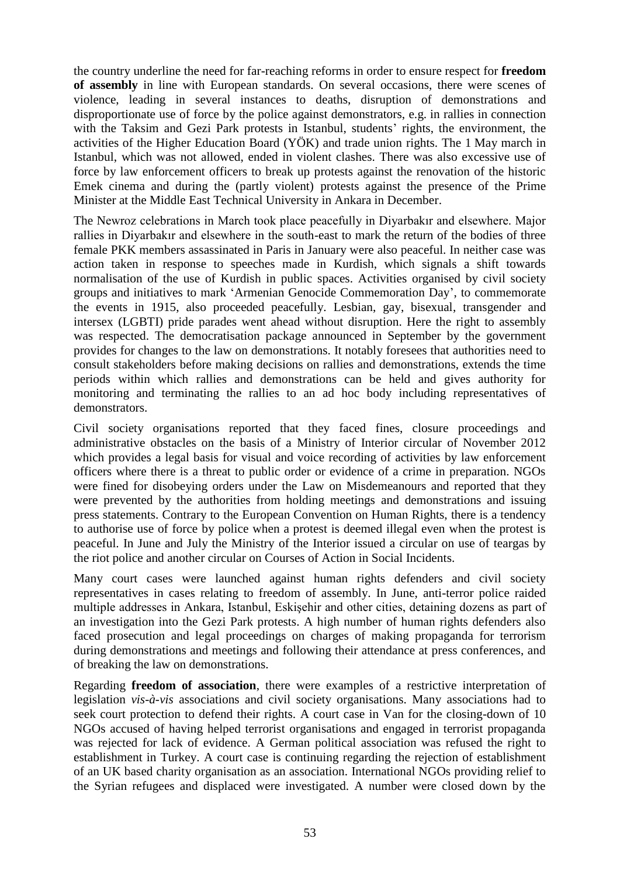the country underline the need for far-reaching reforms in order to ensure respect for **freedom of assembly** in line with European standards. On several occasions, there were scenes of violence, leading in several instances to deaths, disruption of demonstrations and disproportionate use of force by the police against demonstrators, e.g. in rallies in connection with the Taksim and Gezi Park protests in Istanbul, students' rights, the environment, the activities of the Higher Education Board (YÖK) and trade union rights. The 1 May march in Istanbul, which was not allowed, ended in violent clashes. There was also excessive use of force by law enforcement officers to break up protests against the renovation of the historic Emek cinema and during the (partly violent) protests against the presence of the Prime Minister at the Middle East Technical University in Ankara in December.

The Newroz celebrations in March took place peacefully in Diyarbakır and elsewhere. Major rallies in Diyarbakır and elsewhere in the south-east to mark the return of the bodies of three female PKK members assassinated in Paris in January were also peaceful. In neither case was action taken in response to speeches made in Kurdish, which signals a shift towards normalisation of the use of Kurdish in public spaces. Activities organised by civil society groups and initiatives to mark 'Armenian Genocide Commemoration Day', to commemorate the events in 1915, also proceeded peacefully. Lesbian, gay, bisexual, transgender and intersex (LGBTI) pride parades went ahead without disruption. Here the right to assembly was respected. The democratisation package announced in September by the government provides for changes to the law on demonstrations. It notably foresees that authorities need to consult stakeholders before making decisions on rallies and demonstrations, extends the time periods within which rallies and demonstrations can be held and gives authority for monitoring and terminating the rallies to an ad hoc body including representatives of demonstrators.

Civil society organisations reported that they faced fines, closure proceedings and administrative obstacles on the basis of a Ministry of Interior circular of November 2012 which provides a legal basis for visual and voice recording of activities by law enforcement officers where there is a threat to public order or evidence of a crime in preparation. NGOs were fined for disobeying orders under the Law on Misdemeanours and reported that they were prevented by the authorities from holding meetings and demonstrations and issuing press statements. Contrary to the European Convention on Human Rights, there is a tendency to authorise use of force by police when a protest is deemed illegal even when the protest is peaceful. In June and July the Ministry of the Interior issued a circular on use of teargas by the riot police and another circular on Courses of Action in Social Incidents.

Many court cases were launched against human rights defenders and civil society representatives in cases relating to freedom of assembly. In June, anti-terror police raided multiple addresses in Ankara, Istanbul, Eskişehir and other cities, detaining dozens as part of an investigation into the Gezi Park protests. A high number of human rights defenders also faced prosecution and legal proceedings on charges of making propaganda for terrorism during demonstrations and meetings and following their attendance at press conferences, and of breaking the law on demonstrations.

Regarding **freedom of association**, there were examples of a restrictive interpretation of legislation *vis-à-vis* associations and civil society organisations. Many associations had to seek court protection to defend their rights. A court case in Van for the closing-down of 10 NGOs accused of having helped terrorist organisations and engaged in terrorist propaganda was rejected for lack of evidence. A German political association was refused the right to establishment in Turkey. A court case is continuing regarding the rejection of establishment of an UK based charity organisation as an association. International NGOs providing relief to the Syrian refugees and displaced were investigated. A number were closed down by the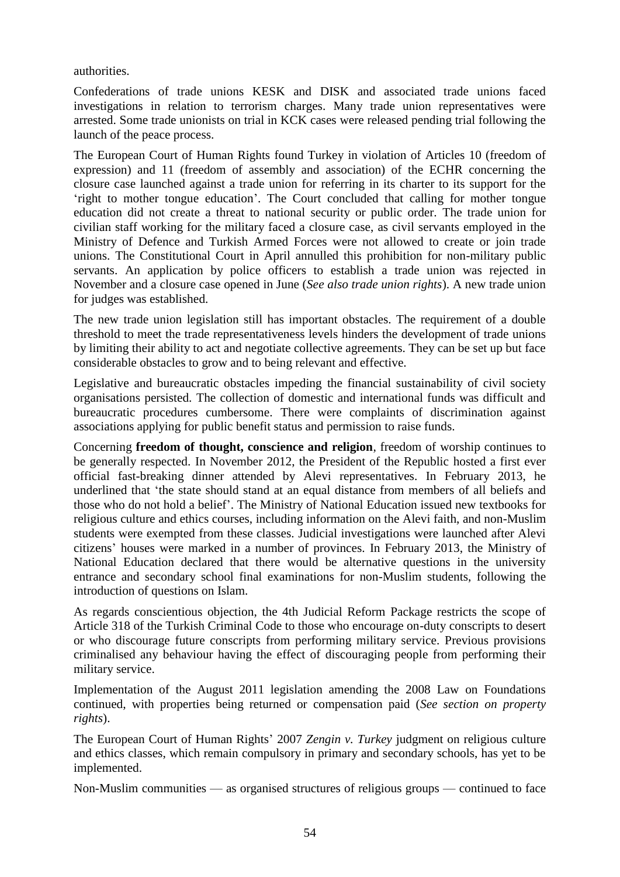authorities.

Confederations of trade unions KESK and DISK and associated trade unions faced investigations in relation to terrorism charges. Many trade union representatives were arrested. Some trade unionists on trial in KCK cases were released pending trial following the launch of the peace process.

The European Court of Human Rights found Turkey in violation of Articles 10 (freedom of expression) and 11 (freedom of assembly and association) of the ECHR concerning the closure case launched against a trade union for referring in its charter to its support for the 'right to mother tongue education'. The Court concluded that calling for mother tongue education did not create a threat to national security or public order. The trade union for civilian staff working for the military faced a closure case, as civil servants employed in the Ministry of Defence and Turkish Armed Forces were not allowed to create or join trade unions. The Constitutional Court in April annulled this prohibition for non-military public servants. An application by police officers to establish a trade union was rejected in November and a closure case opened in June (*See also trade union rights*). A new trade union for judges was established.

The new trade union legislation still has important obstacles. The requirement of a double threshold to meet the trade representativeness levels hinders the development of trade unions by limiting their ability to act and negotiate collective agreements. They can be set up but face considerable obstacles to grow and to being relevant and effective.

Legislative and bureaucratic obstacles impeding the financial sustainability of civil society organisations persisted. The collection of domestic and international funds was difficult and bureaucratic procedures cumbersome. There were complaints of discrimination against associations applying for public benefit status and permission to raise funds.

Concerning **freedom of thought, conscience and religion**, freedom of worship continues to be generally respected. In November 2012, the President of the Republic hosted a first ever official fast-breaking dinner attended by Alevi representatives. In February 2013, he underlined that 'the state should stand at an equal distance from members of all beliefs and those who do not hold a belief'. The Ministry of National Education issued new textbooks for religious culture and ethics courses, including information on the Alevi faith, and non-Muslim students were exempted from these classes. Judicial investigations were launched after Alevi citizens' houses were marked in a number of provinces. In February 2013, the Ministry of National Education declared that there would be alternative questions in the university entrance and secondary school final examinations for non-Muslim students, following the introduction of questions on Islam.

As regards conscientious objection, the 4th Judicial Reform Package restricts the scope of Article 318 of the Turkish Criminal Code to those who encourage on-duty conscripts to desert or who discourage future conscripts from performing military service. Previous provisions criminalised any behaviour having the effect of discouraging people from performing their military service.

Implementation of the August 2011 legislation amending the 2008 Law on Foundations continued, with properties being returned or compensation paid (*See section on property rights*).

The European Court of Human Rights' 2007 *Zengin v. Turkey* judgment on religious culture and ethics classes, which remain compulsory in primary and secondary schools, has yet to be implemented.

Non-Muslim communities — as organised structures of religious groups — continued to face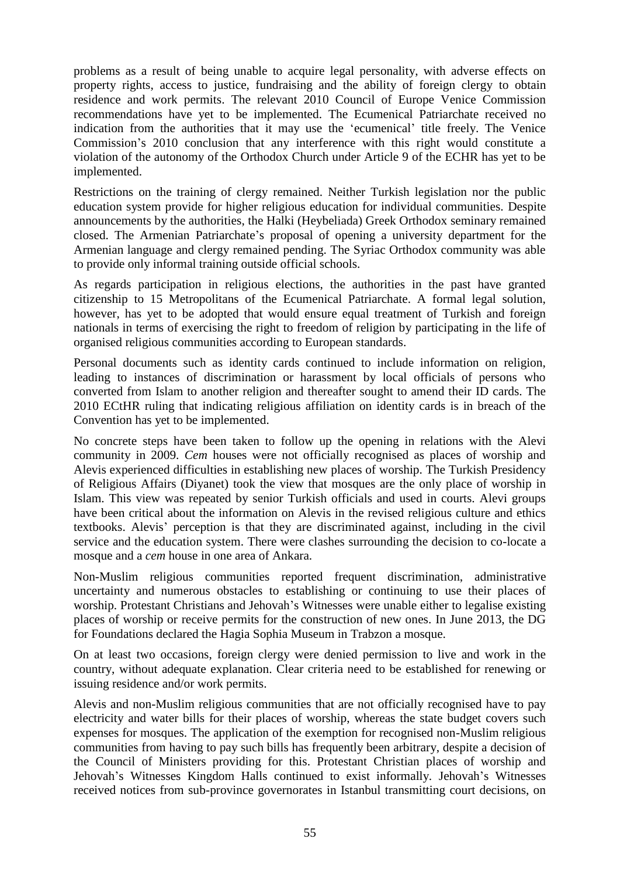problems as a result of being unable to acquire legal personality, with adverse effects on property rights, access to justice, fundraising and the ability of foreign clergy to obtain residence and work permits. The relevant 2010 Council of Europe Venice Commission recommendations have yet to be implemented. The Ecumenical Patriarchate received no indication from the authorities that it may use the 'ecumenical' title freely. The Venice Commission's 2010 conclusion that any interference with this right would constitute a violation of the autonomy of the Orthodox Church under Article 9 of the ECHR has yet to be implemented.

Restrictions on the training of clergy remained. Neither Turkish legislation nor the public education system provide for higher religious education for individual communities. Despite announcements by the authorities, the Halki (Heybeliada) Greek Orthodox seminary remained closed. The Armenian Patriarchate's proposal of opening a university department for the Armenian language and clergy remained pending. The Syriac Orthodox community was able to provide only informal training outside official schools.

As regards participation in religious elections, the authorities in the past have granted citizenship to 15 Metropolitans of the Ecumenical Patriarchate. A formal legal solution, however, has yet to be adopted that would ensure equal treatment of Turkish and foreign nationals in terms of exercising the right to freedom of religion by participating in the life of organised religious communities according to European standards.

Personal documents such as identity cards continued to include information on religion, leading to instances of discrimination or harassment by local officials of persons who converted from Islam to another religion and thereafter sought to amend their ID cards. The 2010 ECtHR ruling that indicating religious affiliation on identity cards is in breach of the Convention has yet to be implemented.

No concrete steps have been taken to follow up the opening in relations with the Alevi community in 2009. *Cem* houses were not officially recognised as places of worship and Alevis experienced difficulties in establishing new places of worship. The Turkish Presidency of Religious Affairs (Diyanet) took the view that mosques are the only place of worship in Islam. This view was repeated by senior Turkish officials and used in courts. Alevi groups have been critical about the information on Alevis in the revised religious culture and ethics textbooks. Alevis' perception is that they are discriminated against, including in the civil service and the education system. There were clashes surrounding the decision to co-locate a mosque and a *cem* house in one area of Ankara.

Non-Muslim religious communities reported frequent discrimination, administrative uncertainty and numerous obstacles to establishing or continuing to use their places of worship. Protestant Christians and Jehovah's Witnesses were unable either to legalise existing places of worship or receive permits for the construction of new ones. In June 2013, the DG for Foundations declared the Hagia Sophia Museum in Trabzon a mosque.

On at least two occasions, foreign clergy were denied permission to live and work in the country, without adequate explanation. Clear criteria need to be established for renewing or issuing residence and/or work permits.

Alevis and non-Muslim religious communities that are not officially recognised have to pay electricity and water bills for their places of worship, whereas the state budget covers such expenses for mosques. The application of the exemption for recognised non-Muslim religious communities from having to pay such bills has frequently been arbitrary, despite a decision of the Council of Ministers providing for this. Protestant Christian places of worship and Jehovah's Witnesses Kingdom Halls continued to exist informally. Jehovah's Witnesses received notices from sub-province governorates in Istanbul transmitting court decisions, on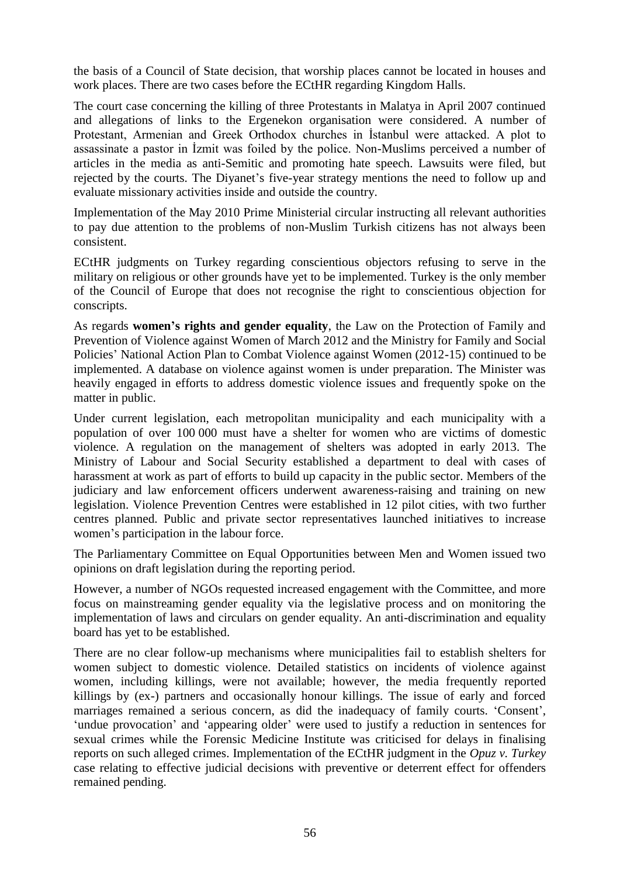the basis of a Council of State decision, that worship places cannot be located in houses and work places. There are two cases before the ECtHR regarding Kingdom Halls.

The court case concerning the killing of three Protestants in Malatya in April 2007 continued and allegations of links to the Ergenekon organisation were considered. A number of Protestant, Armenian and Greek Orthodox churches in İstanbul were attacked. A plot to assassinate a pastor in İzmit was foiled by the police. Non-Muslims perceived a number of articles in the media as anti-Semitic and promoting hate speech. Lawsuits were filed, but rejected by the courts. The Diyanet's five-year strategy mentions the need to follow up and evaluate missionary activities inside and outside the country.

Implementation of the May 2010 Prime Ministerial circular instructing all relevant authorities to pay due attention to the problems of non-Muslim Turkish citizens has not always been consistent.

ECtHR judgments on Turkey regarding conscientious objectors refusing to serve in the military on religious or other grounds have yet to be implemented. Turkey is the only member of the Council of Europe that does not recognise the right to conscientious objection for conscripts.

As regards **women's rights and gender equality**, the Law on the Protection of Family and Prevention of Violence against Women of March 2012 and the Ministry for Family and Social Policies' National Action Plan to Combat Violence against Women (2012-15) continued to be implemented. A database on violence against women is under preparation. The Minister was heavily engaged in efforts to address domestic violence issues and frequently spoke on the matter in public.

Under current legislation, each metropolitan municipality and each municipality with a population of over 100 000 must have a shelter for women who are victims of domestic violence. A regulation on the management of shelters was adopted in early 2013. The Ministry of Labour and Social Security established a department to deal with cases of harassment at work as part of efforts to build up capacity in the public sector. Members of the judiciary and law enforcement officers underwent awareness-raising and training on new legislation. Violence Prevention Centres were established in 12 pilot cities, with two further centres planned. Public and private sector representatives launched initiatives to increase women's participation in the labour force.

The Parliamentary Committee on Equal Opportunities between Men and Women issued two opinions on draft legislation during the reporting period.

However, a number of NGOs requested increased engagement with the Committee, and more focus on mainstreaming gender equality via the legislative process and on monitoring the implementation of laws and circulars on gender equality. An anti-discrimination and equality board has yet to be established.

There are no clear follow-up mechanisms where municipalities fail to establish shelters for women subject to domestic violence. Detailed statistics on incidents of violence against women, including killings, were not available; however, the media frequently reported killings by (ex-) partners and occasionally honour killings. The issue of early and forced marriages remained a serious concern, as did the inadequacy of family courts. 'Consent', 'undue provocation' and 'appearing older' were used to justify a reduction in sentences for sexual crimes while the Forensic Medicine Institute was criticised for delays in finalising reports on such alleged crimes. Implementation of the ECtHR judgment in the *Opuz v. Turkey*  case relating to effective judicial decisions with preventive or deterrent effect for offenders remained pending.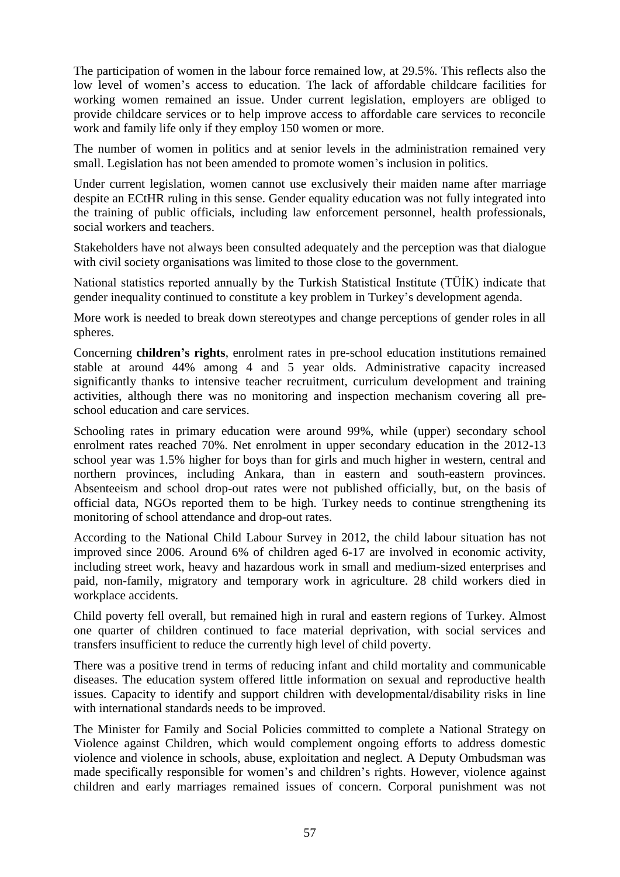The participation of women in the labour force remained low, at 29.5%. This reflects also the low level of women's access to education. The lack of affordable childcare facilities for working women remained an issue. Under current legislation, employers are obliged to provide childcare services or to help improve access to affordable care services to reconcile work and family life only if they employ 150 women or more.

The number of women in politics and at senior levels in the administration remained very small. Legislation has not been amended to promote women's inclusion in politics.

Under current legislation, women cannot use exclusively their maiden name after marriage despite an ECtHR ruling in this sense. Gender equality education was not fully integrated into the training of public officials, including law enforcement personnel, health professionals, social workers and teachers.

Stakeholders have not always been consulted adequately and the perception was that dialogue with civil society organisations was limited to those close to the government.

National statistics reported annually by the Turkish Statistical Institute (TÜİK) indicate that gender inequality continued to constitute a key problem in Turkey's development agenda.

More work is needed to break down stereotypes and change perceptions of gender roles in all spheres.

Concerning **children's rights**, enrolment rates in pre-school education institutions remained stable at around 44% among 4 and 5 year olds. Administrative capacity increased significantly thanks to intensive teacher recruitment, curriculum development and training activities, although there was no monitoring and inspection mechanism covering all preschool education and care services.

Schooling rates in primary education were around 99%, while (upper) secondary school enrolment rates reached 70%. Net enrolment in upper secondary education in the 2012-13 school year was 1.5% higher for boys than for girls and much higher in western, central and northern provinces, including Ankara, than in eastern and south-eastern provinces. Absenteeism and school drop-out rates were not published officially, but, on the basis of official data, NGOs reported them to be high. Turkey needs to continue strengthening its monitoring of school attendance and drop-out rates.

According to the National Child Labour Survey in 2012, the child labour situation has not improved since 2006. Around 6% of children aged 6-17 are involved in economic activity, including street work, heavy and hazardous work in small and medium-sized enterprises and paid, non-family, migratory and temporary work in agriculture. 28 child workers died in workplace accidents.

Child poverty fell overall, but remained high in rural and eastern regions of Turkey. Almost one quarter of children continued to face material deprivation, with social services and transfers insufficient to reduce the currently high level of child poverty.

There was a positive trend in terms of reducing infant and child mortality and communicable diseases. The education system offered little information on sexual and reproductive health issues. Capacity to identify and support children with developmental/disability risks in line with international standards needs to be improved.

The Minister for Family and Social Policies committed to complete a National Strategy on Violence against Children, which would complement ongoing efforts to address domestic violence and violence in schools, abuse, exploitation and neglect. A Deputy Ombudsman was made specifically responsible for women's and children's rights. However, violence against children and early marriages remained issues of concern. Corporal punishment was not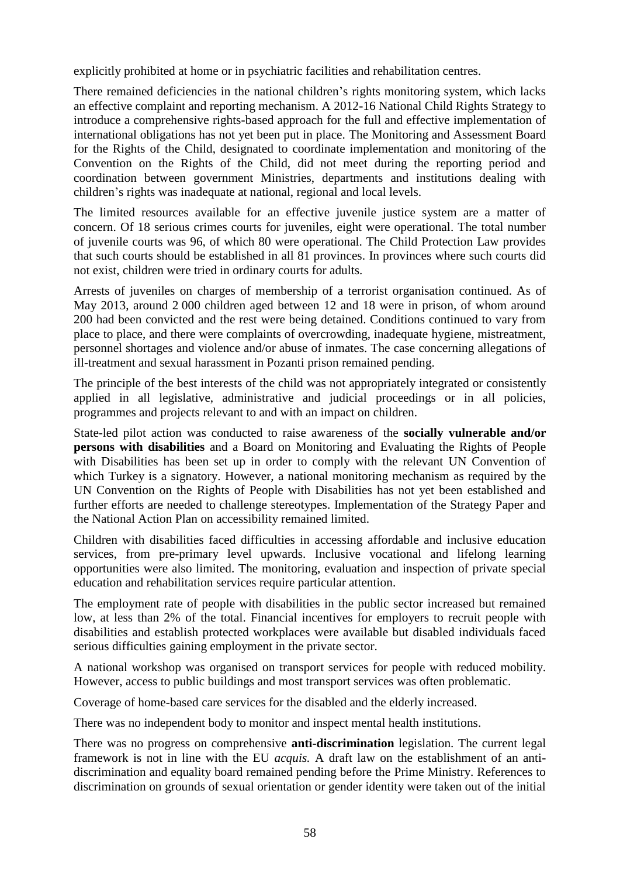explicitly prohibited at home or in psychiatric facilities and rehabilitation centres.

There remained deficiencies in the national children's rights monitoring system, which lacks an effective complaint and reporting mechanism. A 2012-16 National Child Rights Strategy to introduce a comprehensive rights-based approach for the full and effective implementation of international obligations has not yet been put in place. The Monitoring and Assessment Board for the Rights of the Child, designated to coordinate implementation and monitoring of the Convention on the Rights of the Child, did not meet during the reporting period and coordination between government Ministries, departments and institutions dealing with children's rights was inadequate at national, regional and local levels.

The limited resources available for an effective juvenile justice system are a matter of concern. Of 18 serious crimes courts for juveniles, eight were operational. The total number of juvenile courts was 96, of which 80 were operational. The Child Protection Law provides that such courts should be established in all 81 provinces. In provinces where such courts did not exist, children were tried in ordinary courts for adults.

Arrests of juveniles on charges of membership of a terrorist organisation continued. As of May 2013, around 2 000 children aged between 12 and 18 were in prison, of whom around 200 had been convicted and the rest were being detained. Conditions continued to vary from place to place, and there were complaints of overcrowding, inadequate hygiene, mistreatment, personnel shortages and violence and/or abuse of inmates. The case concerning allegations of ill-treatment and sexual harassment in Pozanti prison remained pending.

The principle of the best interests of the child was not appropriately integrated or consistently applied in all legislative, administrative and judicial proceedings or in all policies, programmes and projects relevant to and with an impact on children.

State-led pilot action was conducted to raise awareness of the **socially vulnerable and/or persons with disabilities** and a Board on Monitoring and Evaluating the Rights of People with Disabilities has been set up in order to comply with the relevant UN Convention of which Turkey is a signatory. However, a national monitoring mechanism as required by the UN Convention on the Rights of People with Disabilities has not yet been established and further efforts are needed to challenge stereotypes. Implementation of the Strategy Paper and the National Action Plan on accessibility remained limited.

Children with disabilities faced difficulties in accessing affordable and inclusive education services, from pre-primary level upwards. Inclusive vocational and lifelong learning opportunities were also limited. The monitoring, evaluation and inspection of private special education and rehabilitation services require particular attention.

The employment rate of people with disabilities in the public sector increased but remained low, at less than 2% of the total. Financial incentives for employers to recruit people with disabilities and establish protected workplaces were available but disabled individuals faced serious difficulties gaining employment in the private sector.

A national workshop was organised on transport services for people with reduced mobility. However, access to public buildings and most transport services was often problematic.

Coverage of home-based care services for the disabled and the elderly increased.

There was no independent body to monitor and inspect mental health institutions.

There was no progress on comprehensive **anti-discrimination** legislation. The current legal framework is not in line with the EU *acquis.* A draft law on the establishment of an antidiscrimination and equality board remained pending before the Prime Ministry. References to discrimination on grounds of sexual orientation or gender identity were taken out of the initial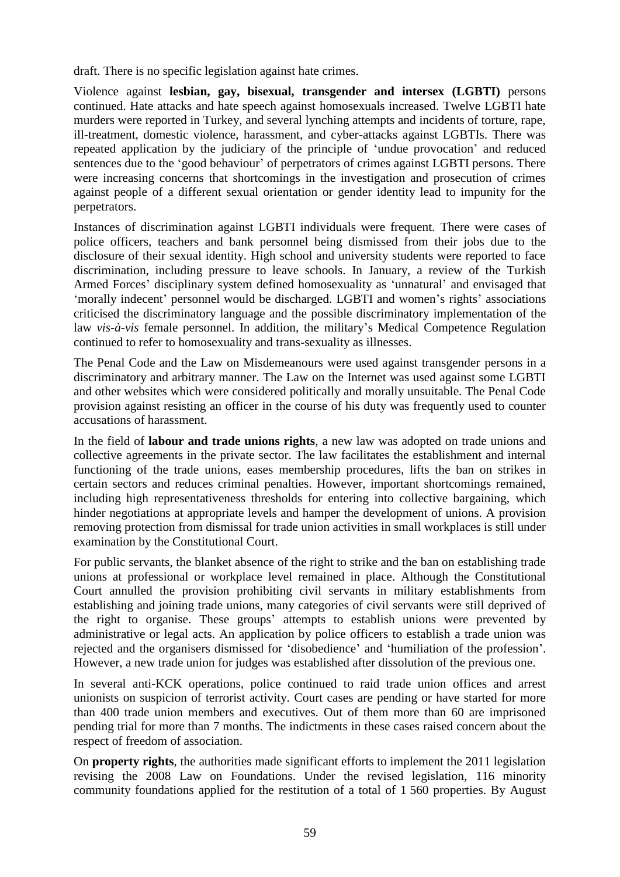draft. There is no specific legislation against hate crimes.

Violence against **lesbian, gay, bisexual, transgender and intersex (LGBTI)** persons continued. Hate attacks and hate speech against homosexuals increased. Twelve LGBTI hate murders were reported in Turkey, and several lynching attempts and incidents of torture, rape, ill-treatment, domestic violence, harassment, and cyber-attacks against LGBTIs. There was repeated application by the judiciary of the principle of 'undue provocation' and reduced sentences due to the 'good behaviour' of perpetrators of crimes against LGBTI persons. There were increasing concerns that shortcomings in the investigation and prosecution of crimes against people of a different sexual orientation or gender identity lead to impunity for the perpetrators.

Instances of discrimination against LGBTI individuals were frequent. There were cases of police officers, teachers and bank personnel being dismissed from their jobs due to the disclosure of their sexual identity. High school and university students were reported to face discrimination, including pressure to leave schools. In January, a review of the Turkish Armed Forces' disciplinary system defined homosexuality as 'unnatural' and envisaged that 'morally indecent' personnel would be discharged. LGBTI and women's rights' associations criticised the discriminatory language and the possible discriminatory implementation of the law *vis-à-vis* female personnel. In addition, the military's Medical Competence Regulation continued to refer to homosexuality and trans-sexuality as illnesses.

The Penal Code and the Law on Misdemeanours were used against transgender persons in a discriminatory and arbitrary manner. The Law on the Internet was used against some LGBTI and other websites which were considered politically and morally unsuitable. The Penal Code provision against resisting an officer in the course of his duty was frequently used to counter accusations of harassment.

In the field of **labour and trade unions rights**, a new law was adopted on trade unions and collective agreements in the private sector. The law facilitates the establishment and internal functioning of the trade unions, eases membership procedures, lifts the ban on strikes in certain sectors and reduces criminal penalties. However, important shortcomings remained, including high representativeness thresholds for entering into collective bargaining, which hinder negotiations at appropriate levels and hamper the development of unions. A provision removing protection from dismissal for trade union activities in small workplaces is still under examination by the Constitutional Court.

For public servants, the blanket absence of the right to strike and the ban on establishing trade unions at professional or workplace level remained in place. Although the Constitutional Court annulled the provision prohibiting civil servants in military establishments from establishing and joining trade unions, many categories of civil servants were still deprived of the right to organise. These groups' attempts to establish unions were prevented by administrative or legal acts. An application by police officers to establish a trade union was rejected and the organisers dismissed for 'disobedience' and 'humiliation of the profession'. However, a new trade union for judges was established after dissolution of the previous one.

In several anti-KCK operations, police continued to raid trade union offices and arrest unionists on suspicion of terrorist activity. Court cases are pending or have started for more than 400 trade union members and executives. Out of them more than 60 are imprisoned pending trial for more than 7 months. The indictments in these cases raised concern about the respect of freedom of association.

On **property rights***,* the authorities made significant efforts to implement the 2011 legislation revising the 2008 Law on Foundations. Under the revised legislation, 116 minority community foundations applied for the restitution of a total of 1 560 properties. By August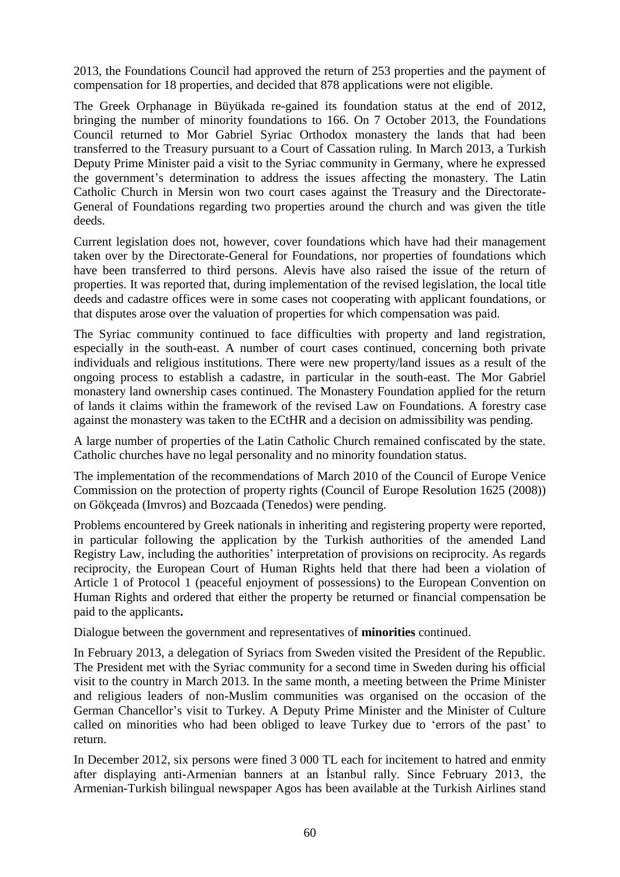2013, the Foundations Council had approved the return of 253 properties and the payment of compensation for 18 properties, and decided that 878 applications were not eligible.

The Greek Orphanage in Büyükada re-gained its foundation status at the end of 2012, bringing the number of minority foundations to 166. On 7 October 2013, the Foundations Council returned to Mor Gabriel Syriac Orthodox monastery the lands that had been transferred to the Treasury pursuant to a Court of Cassation ruling. In March 2013, a Turkish Deputy Prime Minister paid a visit to the Syriac community in Germany, where he expressed the government's determination to address the issues affecting the monastery. The Latin Catholic Church in Mersin won two court cases against the Treasury and the Directorate-General of Foundations regarding two properties around the church and was given the title deeds.

Current legislation does not, however, cover foundations which have had their management taken over by the Directorate-General for Foundations, nor properties of foundations which have been transferred to third persons. Alevis have also raised the issue of the return of properties. It was reported that, during implementation of the revised legislation, the local title deeds and cadastre offices were in some cases not cooperating with applicant foundations, or that disputes arose over the valuation of properties for which compensation was paid.

The Syriac community continued to face difficulties with property and land registration, especially in the south-east. A number of court cases continued, concerning both private individuals and religious institutions. There were new property/land issues as a result of the ongoing process to establish a cadastre, in particular in the south-east. The Mor Gabriel monastery land ownership cases continued. The Monastery Foundation applied for the return of lands it claims within the framework of the revised Law on Foundations. A forestry case against the monastery was taken to the ECtHR and a decision on admissibility was pending.

A large number of properties of the Latin Catholic Church remained confiscated by the state. Catholic churches have no legal personality and no minority foundation status.

The implementation of the recommendations of March 2010 of the Council of Europe Venice Commission on the protection of property rights (Council of Europe Resolution 1625 (2008)) on Gökçeada (Imvros) and Bozcaada (Tenedos) were pending.

Problems encountered by Greek nationals in inheriting and registering property were reported, in particular following the application by the Turkish authorities of the amended Land Registry Law, including the authorities' interpretation of provisions on reciprocity. As regards reciprocity, the European Court of Human Rights held that there had been a violation of Article 1 of Protocol 1 (peaceful enjoyment of possessions) to the European Convention on Human Rights and ordered that either the property be returned or financial compensation be paid to the applicants**.**

Dialogue between the government and representatives of **minorities** continued.

In February 2013, a delegation of Syriacs from Sweden visited the President of the Republic. The President met with the Syriac community for a second time in Sweden during his official visit to the country in March 2013. In the same month, a meeting between the Prime Minister and religious leaders of non-Muslim communities was organised on the occasion of the German Chancellor's visit to Turkey. A Deputy Prime Minister and the Minister of Culture called on minorities who had been obliged to leave Turkey due to 'errors of the past' to return.

In December 2012, six persons were fined 3 000 TL each for incitement to hatred and enmity after displaying anti-Armenian banners at an İstanbul rally. Since February 2013, the Armenian-Turkish bilingual newspaper Agos has been available at the Turkish Airlines stand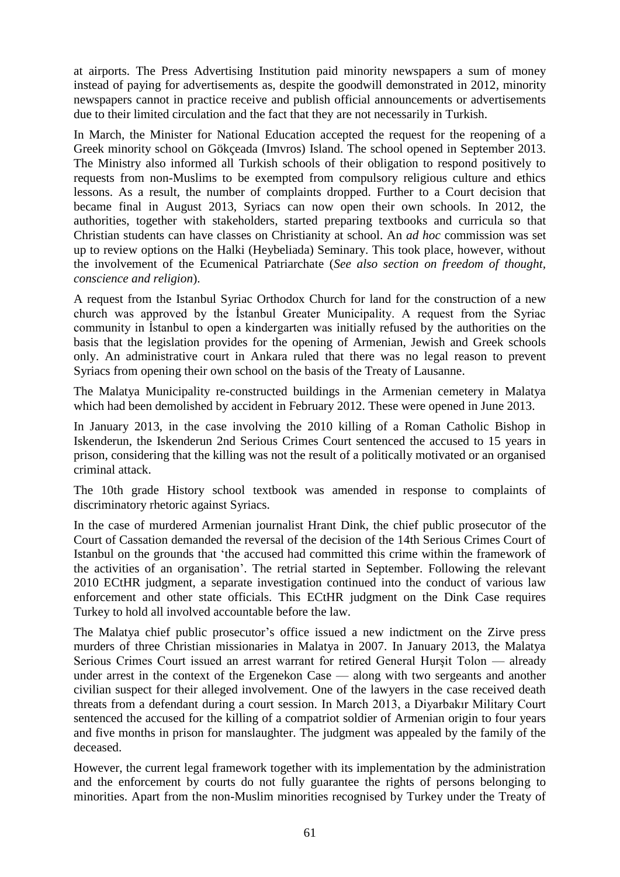at airports. The Press Advertising Institution paid minority newspapers a sum of money instead of paying for advertisements as, despite the goodwill demonstrated in 2012, minority newspapers cannot in practice receive and publish official announcements or advertisements due to their limited circulation and the fact that they are not necessarily in Turkish.

In March, the Minister for National Education accepted the request for the reopening of a Greek minority school on Gökçeada (Imvros) Island. The school opened in September 2013. The Ministry also informed all Turkish schools of their obligation to respond positively to requests from non-Muslims to be exempted from compulsory religious culture and ethics lessons. As a result, the number of complaints dropped. Further to a Court decision that became final in August 2013, Syriacs can now open their own schools. In 2012, the authorities, together with stakeholders, started preparing textbooks and curricula so that Christian students can have classes on Christianity at school. An *ad hoc* commission was set up to review options on the Halki (Heybeliada) Seminary. This took place, however, without the involvement of the Ecumenical Patriarchate (*See also section on freedom of thought, conscience and religion*).

A request from the Istanbul Syriac Orthodox Church for land for the construction of a new church was approved by the İstanbul Greater Municipality. A request from the Syriac community in İstanbul to open a kindergarten was initially refused by the authorities on the basis that the legislation provides for the opening of Armenian, Jewish and Greek schools only. An administrative court in Ankara ruled that there was no legal reason to prevent Syriacs from opening their own school on the basis of the Treaty of Lausanne.

The Malatya Municipality re-constructed buildings in the Armenian cemetery in Malatya which had been demolished by accident in February 2012. These were opened in June 2013.

In January 2013, in the case involving the 2010 killing of a Roman Catholic Bishop in Iskenderun, the Iskenderun 2nd Serious Crimes Court sentenced the accused to 15 years in prison, considering that the killing was not the result of a politically motivated or an organised criminal attack.

The 10th grade History school textbook was amended in response to complaints of discriminatory rhetoric against Syriacs.

In the case of murdered Armenian journalist Hrant Dink, the chief public prosecutor of the Court of Cassation demanded the reversal of the decision of the 14th Serious Crimes Court of Istanbul on the grounds that 'the accused had committed this crime within the framework of the activities of an organisation'. The retrial started in September. Following the relevant 2010 ECtHR judgment, a separate investigation continued into the conduct of various law enforcement and other state officials. This ECtHR judgment on the Dink Case requires Turkey to hold all involved accountable before the law.

The Malatya chief public prosecutor's office issued a new indictment on the Zirve press murders of three Christian missionaries in Malatya in 2007. In January 2013, the Malatya Serious Crimes Court issued an arrest warrant for retired General Hurşit Tolon — already under arrest in the context of the Ergenekon Case — along with two sergeants and another civilian suspect for their alleged involvement. One of the lawyers in the case received death threats from a defendant during a court session. In March 2013, a Diyarbakır Military Court sentenced the accused for the killing of a compatriot soldier of Armenian origin to four years and five months in prison for manslaughter. The judgment was appealed by the family of the deceased.

However, the current legal framework together with its implementation by the administration and the enforcement by courts do not fully guarantee the rights of persons belonging to minorities. Apart from the non-Muslim minorities recognised by Turkey under the Treaty of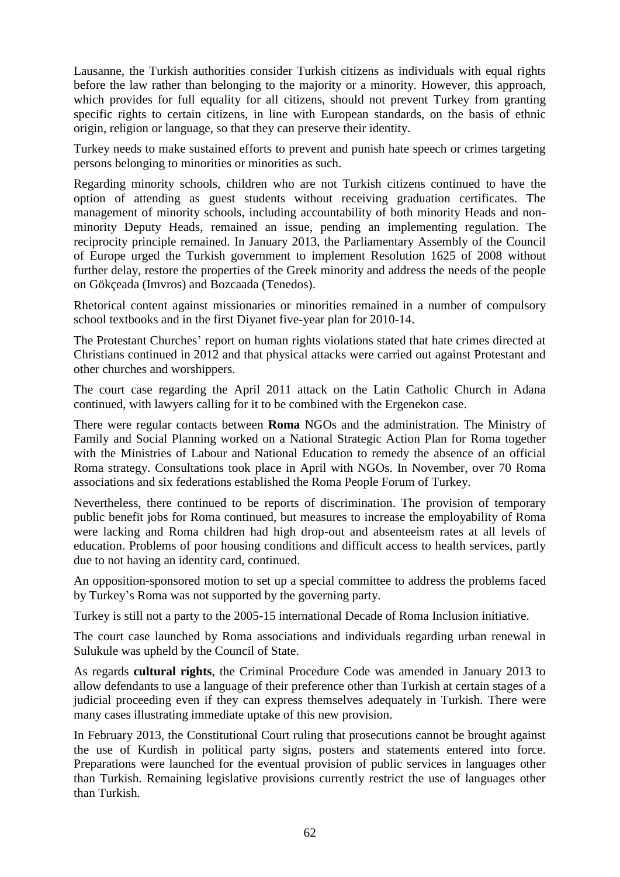Lausanne, the Turkish authorities consider Turkish citizens as individuals with equal rights before the law rather than belonging to the majority or a minority. However, this approach, which provides for full equality for all citizens, should not prevent Turkey from granting specific rights to certain citizens, in line with European standards, on the basis of ethnic origin, religion or language, so that they can preserve their identity.

Turkey needs to make sustained efforts to prevent and punish hate speech or crimes targeting persons belonging to minorities or minorities as such.

Regarding minority schools, children who are not Turkish citizens continued to have the option of attending as guest students without receiving graduation certificates. The management of minority schools, including accountability of both minority Heads and nonminority Deputy Heads, remained an issue, pending an implementing regulation. The reciprocity principle remained. In January 2013, the Parliamentary Assembly of the Council of Europe urged the Turkish government to implement Resolution 1625 of 2008 without further delay, restore the properties of the Greek minority and address the needs of the people on Gökçeada (Imvros) and Bozcaada (Tenedos).

Rhetorical content against missionaries or minorities remained in a number of compulsory school textbooks and in the first Diyanet five-year plan for 2010-14.

The Protestant Churches' report on human rights violations stated that hate crimes directed at Christians continued in 2012 and that physical attacks were carried out against Protestant and other churches and worshippers.

The court case regarding the April 2011 attack on the Latin Catholic Church in Adana continued, with lawyers calling for it to be combined with the Ergenekon case.

There were regular contacts between **Roma** NGOs and the administration. The Ministry of Family and Social Planning worked on a National Strategic Action Plan for Roma together with the Ministries of Labour and National Education to remedy the absence of an official Roma strategy. Consultations took place in April with NGOs. In November, over 70 Roma associations and six federations established the Roma People Forum of Turkey.

Nevertheless, there continued to be reports of discrimination. The provision of temporary public benefit jobs for Roma continued, but measures to increase the employability of Roma were lacking and Roma children had high drop-out and absenteeism rates at all levels of education. Problems of poor housing conditions and difficult access to health services, partly due to not having an identity card, continued.

An opposition-sponsored motion to set up a special committee to address the problems faced by Turkey's Roma was not supported by the governing party.

Turkey is still not a party to the 2005-15 international Decade of Roma Inclusion initiative.

The court case launched by Roma associations and individuals regarding urban renewal in Sulukule was upheld by the Council of State.

As regards **cultural rights**, the Criminal Procedure Code was amended in January 2013 to allow defendants to use a language of their preference other than Turkish at certain stages of a judicial proceeding even if they can express themselves adequately in Turkish. There were many cases illustrating immediate uptake of this new provision.

In February 2013, the Constitutional Court ruling that prosecutions cannot be brought against the use of Kurdish in political party signs, posters and statements entered into force. Preparations were launched for the eventual provision of public services in languages other than Turkish. Remaining legislative provisions currently restrict the use of languages other than Turkish.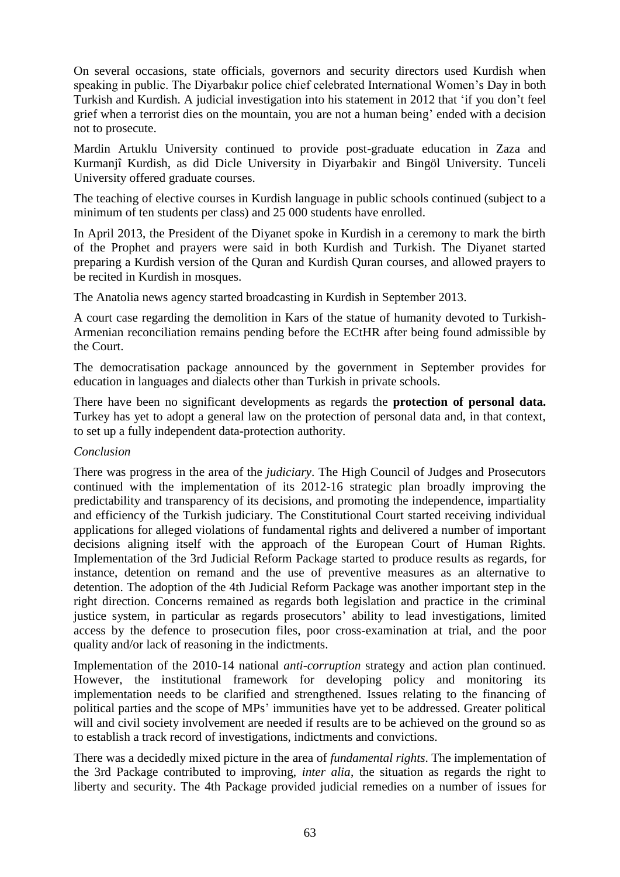On several occasions, state officials, governors and security directors used Kurdish when speaking in public. The Diyarbakır police chief celebrated International Women's Day in both Turkish and Kurdish. A judicial investigation into his statement in 2012 that 'if you don't feel grief when a terrorist dies on the mountain, you are not a human being' ended with a decision not to prosecute.

Mardin Artuklu University continued to provide post-graduate education in Zaza and Kurmanjî Kurdish, as did Dicle University in Diyarbakir and Bingöl University. Tunceli University offered graduate courses.

The teaching of elective courses in Kurdish language in public schools continued (subject to a minimum of ten students per class) and 25 000 students have enrolled.

In April 2013, the President of the Diyanet spoke in Kurdish in a ceremony to mark the birth of the Prophet and prayers were said in both Kurdish and Turkish. The Diyanet started preparing a Kurdish version of the Quran and Kurdish Quran courses, and allowed prayers to be recited in Kurdish in mosques.

The Anatolia news agency started broadcasting in Kurdish in September 2013.

A court case regarding the demolition in Kars of the statue of humanity devoted to Turkish-Armenian reconciliation remains pending before the ECtHR after being found admissible by the Court.

The democratisation package announced by the government in September provides for education in languages and dialects other than Turkish in private schools.

There have been no significant developments as regards the **protection of personal data.** Turkey has yet to adopt a general law on the protection of personal data and, in that context, to set up a fully independent data-protection authority.

#### *Conclusion*

There was progress in the area of the *judiciary*. The High Council of Judges and Prosecutors continued with the implementation of its 2012-16 strategic plan broadly improving the predictability and transparency of its decisions, and promoting the independence, impartiality and efficiency of the Turkish judiciary. The Constitutional Court started receiving individual applications for alleged violations of fundamental rights and delivered a number of important decisions aligning itself with the approach of the European Court of Human Rights. Implementation of the 3rd Judicial Reform Package started to produce results as regards, for instance, detention on remand and the use of preventive measures as an alternative to detention. The adoption of the 4th Judicial Reform Package was another important step in the right direction. Concerns remained as regards both legislation and practice in the criminal justice system, in particular as regards prosecutors' ability to lead investigations, limited access by the defence to prosecution files, poor cross-examination at trial, and the poor quality and/or lack of reasoning in the indictments.

Implementation of the 2010-14 national *anti-corruption* strategy and action plan continued. However, the institutional framework for developing policy and monitoring its implementation needs to be clarified and strengthened. Issues relating to the financing of political parties and the scope of MPs' immunities have yet to be addressed. Greater political will and civil society involvement are needed if results are to be achieved on the ground so as to establish a track record of investigations, indictments and convictions.

There was a decidedly mixed picture in the area of *fundamental rights*. The implementation of the 3rd Package contributed to improving, *inter alia*, the situation as regards the right to liberty and security. The 4th Package provided judicial remedies on a number of issues for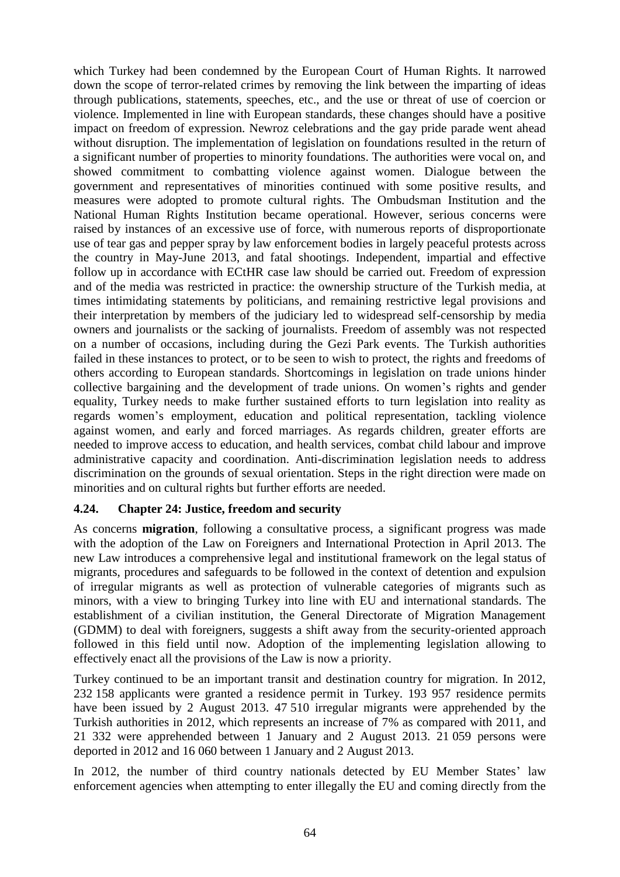which Turkey had been condemned by the European Court of Human Rights. It narrowed down the scope of terror-related crimes by removing the link between the imparting of ideas through publications, statements, speeches, etc., and the use or threat of use of coercion or violence. Implemented in line with European standards, these changes should have a positive impact on freedom of expression. Newroz celebrations and the gay pride parade went ahead without disruption. The implementation of legislation on foundations resulted in the return of a significant number of properties to minority foundations. The authorities were vocal on, and showed commitment to combatting violence against women. Dialogue between the government and representatives of minorities continued with some positive results, and measures were adopted to promote cultural rights. The Ombudsman Institution and the National Human Rights Institution became operational. However, serious concerns were raised by instances of an excessive use of force, with numerous reports of disproportionate use of tear gas and pepper spray by law enforcement bodies in largely peaceful protests across the country in May-June 2013, and fatal shootings. Independent, impartial and effective follow up in accordance with ECtHR case law should be carried out. Freedom of expression and of the media was restricted in practice: the ownership structure of the Turkish media, at times intimidating statements by politicians, and remaining restrictive legal provisions and their interpretation by members of the judiciary led to widespread self-censorship by media owners and journalists or the sacking of journalists. Freedom of assembly was not respected on a number of occasions, including during the Gezi Park events. The Turkish authorities failed in these instances to protect, or to be seen to wish to protect, the rights and freedoms of others according to European standards. Shortcomings in legislation on trade unions hinder collective bargaining and the development of trade unions. On women's rights and gender equality, Turkey needs to make further sustained efforts to turn legislation into reality as regards women's employment, education and political representation, tackling violence against women, and early and forced marriages. As regards children, greater efforts are needed to improve access to education, and health services, combat child labour and improve administrative capacity and coordination. Anti-discrimination legislation needs to address discrimination on the grounds of sexual orientation. Steps in the right direction were made on minorities and on cultural rights but further efforts are needed.

## **4.24. Chapter 24: Justice, freedom and security**

As concerns **migration**, following a consultative process, a significant progress was made with the adoption of the Law on Foreigners and International Protection in April 2013. The new Law introduces a comprehensive legal and institutional framework on the legal status of migrants, procedures and safeguards to be followed in the context of detention and expulsion of irregular migrants as well as protection of vulnerable categories of migrants such as minors, with a view to bringing Turkey into line with EU and international standards. The establishment of a civilian institution, the General Directorate of Migration Management (GDMM) to deal with foreigners, suggests a shift away from the security-oriented approach followed in this field until now. Adoption of the implementing legislation allowing to effectively enact all the provisions of the Law is now a priority.

Turkey continued to be an important transit and destination country for migration. In 2012, 232 158 applicants were granted a residence permit in Turkey. 193 957 residence permits have been issued by 2 August 2013. 47 510 irregular migrants were apprehended by the Turkish authorities in 2012, which represents an increase of 7% as compared with 2011, and 21 332 were apprehended between 1 January and 2 August 2013. 21 059 persons were deported in 2012 and 16 060 between 1 January and 2 August 2013.

In 2012, the number of third country nationals detected by EU Member States' law enforcement agencies when attempting to enter illegally the EU and coming directly from the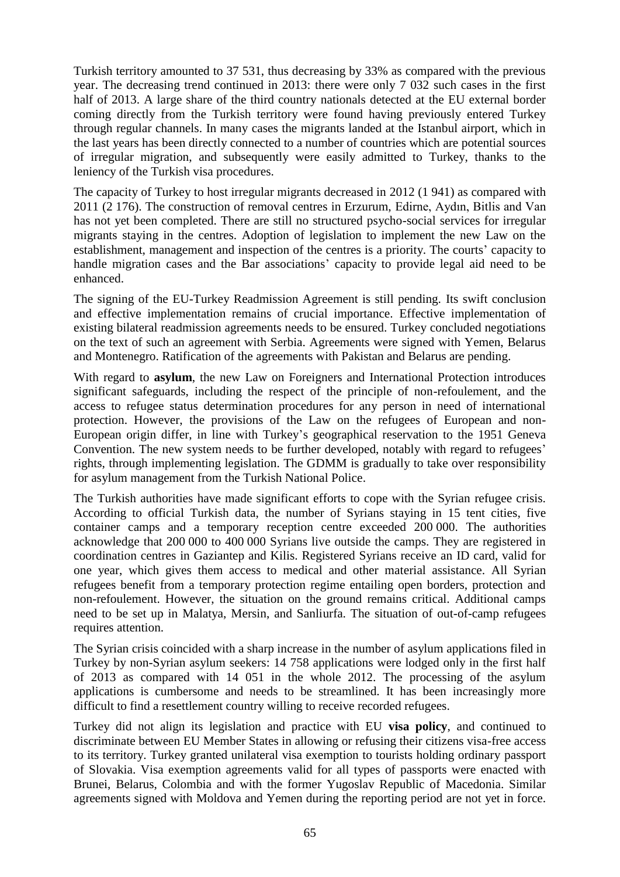Turkish territory amounted to 37 531, thus decreasing by 33% as compared with the previous year. The decreasing trend continued in 2013: there were only 7 032 such cases in the first half of 2013. A large share of the third country nationals detected at the EU external border coming directly from the Turkish territory were found having previously entered Turkey through regular channels. In many cases the migrants landed at the Istanbul airport, which in the last years has been directly connected to a number of countries which are potential sources of irregular migration, and subsequently were easily admitted to Turkey, thanks to the leniency of the Turkish visa procedures.

The capacity of Turkey to host irregular migrants decreased in 2012 (1 941) as compared with 2011 (2 176). The construction of removal centres in Erzurum, Edirne, Aydın, Bitlis and Van has not yet been completed. There are still no structured psycho-social services for irregular migrants staying in the centres. Adoption of legislation to implement the new Law on the establishment, management and inspection of the centres is a priority. The courts' capacity to handle migration cases and the Bar associations' capacity to provide legal aid need to be enhanced.

The signing of the EU-Turkey Readmission Agreement is still pending. Its swift conclusion and effective implementation remains of crucial importance. Effective implementation of existing bilateral readmission agreements needs to be ensured. Turkey concluded negotiations on the text of such an agreement with Serbia. Agreements were signed with Yemen, Belarus and Montenegro. Ratification of the agreements with Pakistan and Belarus are pending.

With regard to **asylum**, the new Law on Foreigners and International Protection introduces significant safeguards, including the respect of the principle of non-refoulement, and the access to refugee status determination procedures for any person in need of international protection. However, the provisions of the Law on the refugees of European and non-European origin differ, in line with Turkey's geographical reservation to the 1951 Geneva Convention. The new system needs to be further developed, notably with regard to refugees' rights, through implementing legislation. The GDMM is gradually to take over responsibility for asylum management from the Turkish National Police.

The Turkish authorities have made significant efforts to cope with the Syrian refugee crisis. According to official Turkish data, the number of Syrians staying in 15 tent cities, five container camps and a temporary reception centre exceeded 200 000. The authorities acknowledge that 200 000 to 400 000 Syrians live outside the camps. They are registered in coordination centres in Gaziantep and Kilis. Registered Syrians receive an ID card, valid for one year, which gives them access to medical and other material assistance. All Syrian refugees benefit from a temporary protection regime entailing open borders, protection and non-refoulement. However, the situation on the ground remains critical. Additional camps need to be set up in Malatya, Mersin, and Sanliurfa. The situation of out-of-camp refugees requires attention.

The Syrian crisis coincided with a sharp increase in the number of asylum applications filed in Turkey by non-Syrian asylum seekers: 14 758 applications were lodged only in the first half of 2013 as compared with 14 051 in the whole 2012. The processing of the asylum applications is cumbersome and needs to be streamlined. It has been increasingly more difficult to find a resettlement country willing to receive recorded refugees.

Turkey did not align its legislation and practice with EU **visa policy**, and continued to discriminate between EU Member States in allowing or refusing their citizens visa-free access to its territory. Turkey granted unilateral visa exemption to tourists holding ordinary passport of Slovakia. Visa exemption agreements valid for all types of passports were enacted with Brunei, Belarus, Colombia and with the former Yugoslav Republic of Macedonia. Similar agreements signed with Moldova and Yemen during the reporting period are not yet in force.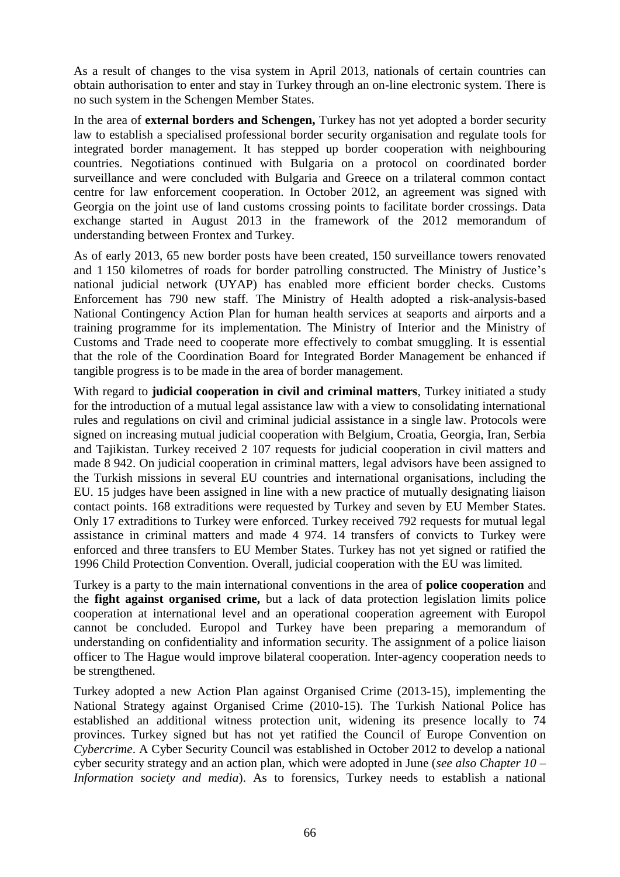As a result of changes to the visa system in April 2013, nationals of certain countries can obtain authorisation to enter and stay in Turkey through an on-line electronic system. There is no such system in the Schengen Member States.

In the area of **external borders and Schengen,** Turkey has not yet adopted a border security law to establish a specialised professional border security organisation and regulate tools for integrated border management. It has stepped up border cooperation with neighbouring countries. Negotiations continued with Bulgaria on a protocol on coordinated border surveillance and were concluded with Bulgaria and Greece on a trilateral common contact centre for law enforcement cooperation. In October 2012, an agreement was signed with Georgia on the joint use of land customs crossing points to facilitate border crossings. Data exchange started in August 2013 in the framework of the 2012 memorandum of understanding between Frontex and Turkey.

As of early 2013, 65 new border posts have been created, 150 surveillance towers renovated and 1 150 kilometres of roads for border patrolling constructed. The Ministry of Justice's national judicial network (UYAP) has enabled more efficient border checks. Customs Enforcement has 790 new staff. The Ministry of Health adopted a risk-analysis-based National Contingency Action Plan for human health services at seaports and airports and a training programme for its implementation. The Ministry of Interior and the Ministry of Customs and Trade need to cooperate more effectively to combat smuggling. It is essential that the role of the Coordination Board for Integrated Border Management be enhanced if tangible progress is to be made in the area of border management.

With regard to **judicial cooperation in civil and criminal matters**, Turkey initiated a study for the introduction of a mutual legal assistance law with a view to consolidating international rules and regulations on civil and criminal judicial assistance in a single law. Protocols were signed on increasing mutual judicial cooperation with Belgium, Croatia, Georgia, Iran, Serbia and Tajikistan. Turkey received 2 107 requests for judicial cooperation in civil matters and made 8 942. On judicial cooperation in criminal matters, legal advisors have been assigned to the Turkish missions in several EU countries and international organisations, including the EU. 15 judges have been assigned in line with a new practice of mutually designating liaison contact points. 168 extraditions were requested by Turkey and seven by EU Member States. Only 17 extraditions to Turkey were enforced. Turkey received 792 requests for mutual legal assistance in criminal matters and made 4 974. 14 transfers of convicts to Turkey were enforced and three transfers to EU Member States. Turkey has not yet signed or ratified the 1996 Child Protection Convention. Overall, judicial cooperation with the EU was limited.

Turkey is a party to the main international conventions in the area of **police cooperation** and the **fight against organised crime,** but a lack of data protection legislation limits police cooperation at international level and an operational cooperation agreement with Europol cannot be concluded. Europol and Turkey have been preparing a memorandum of understanding on confidentiality and information security. The assignment of a police liaison officer to The Hague would improve bilateral cooperation. Inter-agency cooperation needs to be strengthened.

Turkey adopted a new Action Plan against Organised Crime (2013-15), implementing the National Strategy against Organised Crime (2010-15). The Turkish National Police has established an additional witness protection unit, widening its presence locally to 74 provinces. Turkey signed but has not yet ratified the Council of Europe Convention on *Cybercrime*. A Cyber Security Council was established in October 2012 to develop a national cyber security strategy and an action plan, which were adopted in June (*see also Chapter 10 – Information society and media*). As to forensics, Turkey needs to establish a national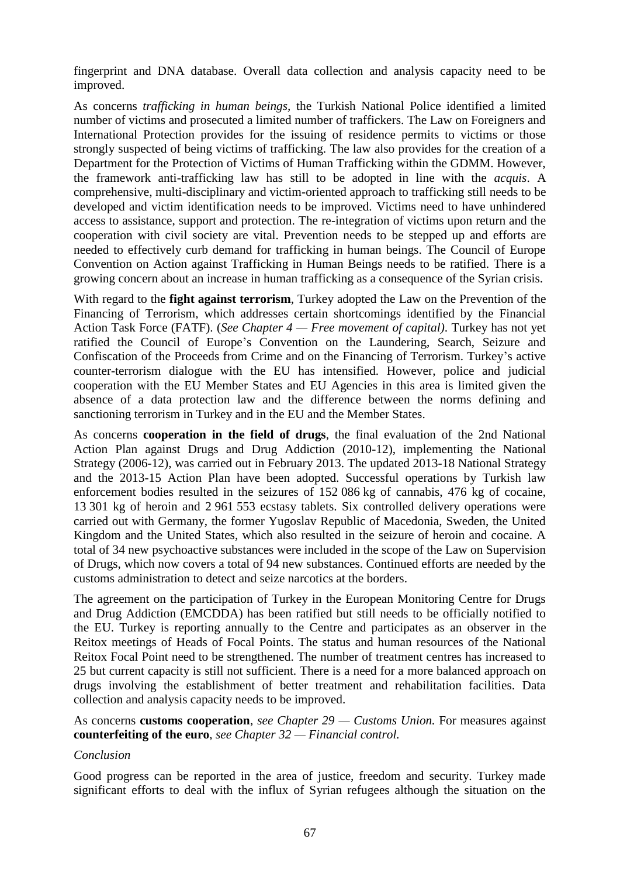fingerprint and DNA database. Overall data collection and analysis capacity need to be improved.

As concerns *trafficking in human beings,* the Turkish National Police identified a limited number of victims and prosecuted a limited number of traffickers. The Law on Foreigners and International Protection provides for the issuing of residence permits to victims or those strongly suspected of being victims of trafficking. The law also provides for the creation of a Department for the Protection of Victims of Human Trafficking within the GDMM. However, the framework anti-trafficking law has still to be adopted in line with the *acquis*. A comprehensive, multi-disciplinary and victim-oriented approach to trafficking still needs to be developed and victim identification needs to be improved. Victims need to have unhindered access to assistance, support and protection. The re-integration of victims upon return and the cooperation with civil society are vital. Prevention needs to be stepped up and efforts are needed to effectively curb demand for trafficking in human beings. The Council of Europe Convention on Action against Trafficking in Human Beings needs to be ratified. There is a growing concern about an increase in human trafficking as a consequence of the Syrian crisis.

With regard to the **fight against terrorism**, Turkey adopted the Law on the Prevention of the Financing of Terrorism*,* which addresses certain shortcomings identified by the Financial Action Task Force (FATF). (*See Chapter 4 — Free movement of capital)*. Turkey has not yet ratified the Council of Europe's Convention on the Laundering, Search, Seizure and Confiscation of the Proceeds from Crime and on the Financing of Terrorism. Turkey's active counter-terrorism dialogue with the EU has intensified. However, police and judicial cooperation with the EU Member States and EU Agencies in this area is limited given the absence of a data protection law and the difference between the norms defining and sanctioning terrorism in Turkey and in the EU and the Member States.

As concerns **cooperation in the field of drugs**, the final evaluation of the 2nd National Action Plan against Drugs and Drug Addiction (2010-12), implementing the National Strategy (2006-12), was carried out in February 2013. The updated 2013-18 National Strategy and the 2013-15 Action Plan have been adopted. Successful operations by Turkish law enforcement bodies resulted in the seizures of 152 086 kg of cannabis, 476 kg of cocaine, 13 301 kg of heroin and 2 961 553 ecstasy tablets. Six controlled delivery operations were carried out with Germany, the former Yugoslav Republic of Macedonia, Sweden, the United Kingdom and the United States, which also resulted in the seizure of heroin and cocaine. A total of 34 new psychoactive substances were included in the scope of the Law on Supervision of Drugs, which now covers a total of 94 new substances. Continued efforts are needed by the customs administration to detect and seize narcotics at the borders.

The agreement on the participation of Turkey in the European Monitoring Centre for Drugs and Drug Addiction (EMCDDA) has been ratified but still needs to be officially notified to the EU. Turkey is reporting annually to the Centre and participates as an observer in the Reitox meetings of Heads of Focal Points. The status and human resources of the National Reitox Focal Point need to be strengthened. The number of treatment centres has increased to 25 but current capacity is still not sufficient. There is a need for a more balanced approach on drugs involving the establishment of better treatment and rehabilitation facilities. Data collection and analysis capacity needs to be improved.

As concerns **customs cooperation**, *see Chapter 29 — Customs Union.* For measures against **counterfeiting of the euro**, *see Chapter 32 — Financial control.*

## *Conclusion*

Good progress can be reported in the area of justice, freedom and security. Turkey made significant efforts to deal with the influx of Syrian refugees although the situation on the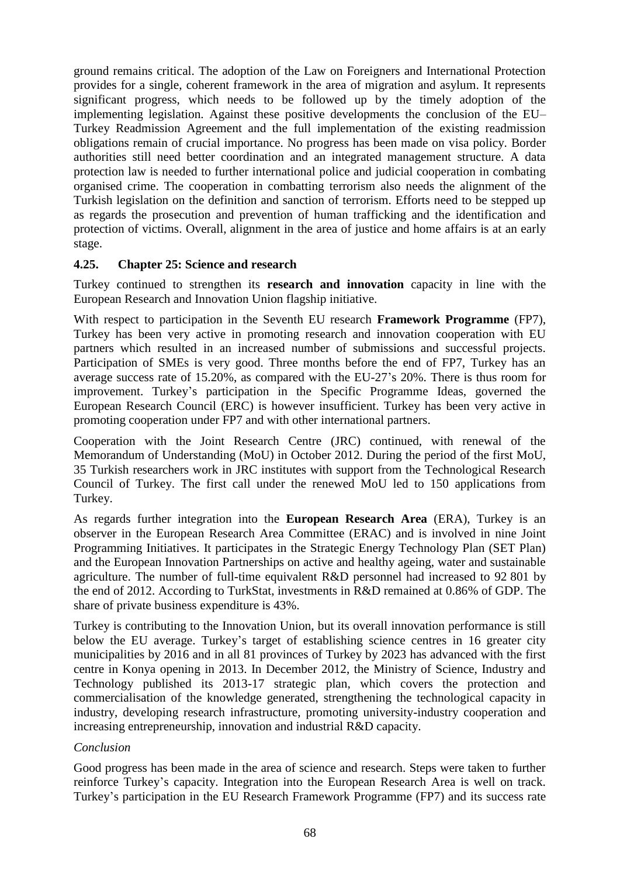ground remains critical. The adoption of the Law on Foreigners and International Protection provides for a single, coherent framework in the area of migration and asylum. It represents significant progress, which needs to be followed up by the timely adoption of the implementing legislation. Against these positive developments the conclusion of the EU– Turkey Readmission Agreement and the full implementation of the existing readmission obligations remain of crucial importance. No progress has been made on visa policy. Border authorities still need better coordination and an integrated management structure. A data protection law is needed to further international police and judicial cooperation in combating organised crime. The cooperation in combatting terrorism also needs the alignment of the Turkish legislation on the definition and sanction of terrorism. Efforts need to be stepped up as regards the prosecution and prevention of human trafficking and the identification and protection of victims. Overall, alignment in the area of justice and home affairs is at an early stage.

#### **4.25. Chapter 25: Science and research**

Turkey continued to strengthen its **research and innovation** capacity in line with the European Research and Innovation Union flagship initiative.

With respect to participation in the Seventh EU research **Framework Programme** (FP7), Turkey has been very active in promoting research and innovation cooperation with EU partners which resulted in an increased number of submissions and successful projects. Participation of SMEs is very good. Three months before the end of FP7, Turkey has an average success rate of 15.20%, as compared with the EU-27's 20%. There is thus room for improvement. Turkey's participation in the Specific Programme Ideas, governed the European Research Council (ERC) is however insufficient. Turkey has been very active in promoting cooperation under FP7 and with other international partners.

Cooperation with the Joint Research Centre (JRC) continued, with renewal of the Memorandum of Understanding (MoU) in October 2012. During the period of the first MoU, 35 Turkish researchers work in JRC institutes with support from the Technological Research Council of Turkey. The first call under the renewed MoU led to 150 applications from Turkey.

As regards further integration into the **European Research Area** (ERA), Turkey is an observer in the European Research Area Committee (ERAC) and is involved in nine Joint Programming Initiatives. It participates in the Strategic Energy Technology Plan (SET Plan) and the European Innovation Partnerships on active and healthy ageing, water and sustainable agriculture. The number of full-time equivalent R&D personnel had increased to 92 801 by the end of 2012. According to TurkStat, investments in R&D remained at 0.86% of GDP. The share of private business expenditure is 43%.

Turkey is contributing to the Innovation Union, but its overall innovation performance is still below the EU average. Turkey's target of establishing science centres in 16 greater city municipalities by 2016 and in all 81 provinces of Turkey by 2023 has advanced with the first centre in Konya opening in 2013. In December 2012, the Ministry of Science, Industry and Technology published its 2013-17 strategic plan, which covers the protection and commercialisation of the knowledge generated, strengthening the technological capacity in industry, developing research infrastructure, promoting university-industry cooperation and increasing entrepreneurship, innovation and industrial R&D capacity.

## *Conclusion*

Good progress has been made in the area of science and research. Steps were taken to further reinforce Turkey's capacity. Integration into the European Research Area is well on track. Turkey's participation in the EU Research Framework Programme (FP7) and its success rate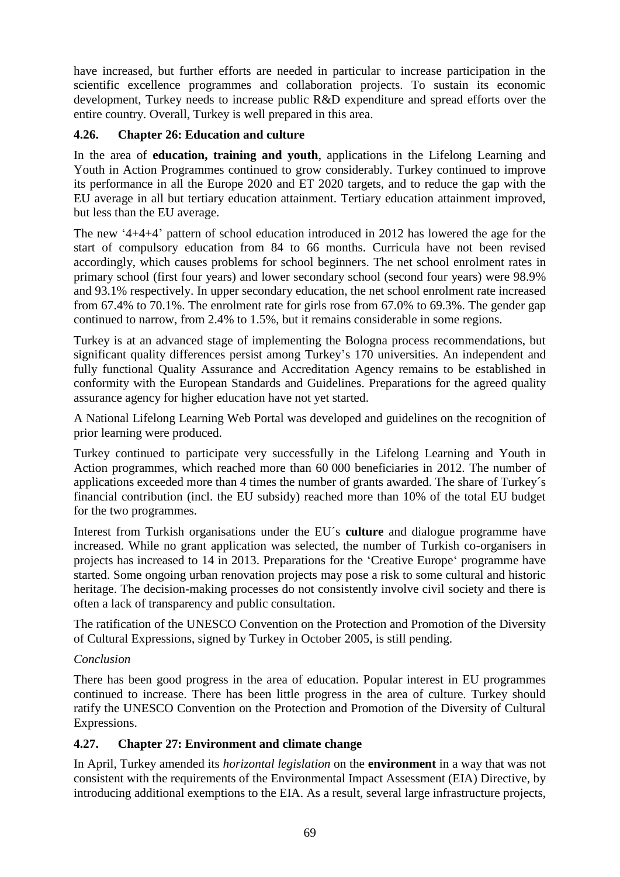have increased, but further efforts are needed in particular to increase participation in the scientific excellence programmes and collaboration projects. To sustain its economic development, Turkey needs to increase public R&D expenditure and spread efforts over the entire country. Overall, Turkey is well prepared in this area.

## **4.26. Chapter 26: Education and culture**

In the area of **education, training and youth**, applications in the Lifelong Learning and Youth in Action Programmes continued to grow considerably. Turkey continued to improve its performance in all the Europe 2020 and ET 2020 targets, and to reduce the gap with the EU average in all but tertiary education attainment. Tertiary education attainment improved, but less than the EU average.

The new '4+4+4' pattern of school education introduced in 2012 has lowered the age for the start of compulsory education from 84 to 66 months. Curricula have not been revised accordingly, which causes problems for school beginners. The net school enrolment rates in primary school (first four years) and lower secondary school (second four years) were 98.9% and 93.1% respectively. In upper secondary education, the net school enrolment rate increased from 67.4% to 70.1%. The enrolment rate for girls rose from 67.0% to 69.3%. The gender gap continued to narrow, from 2.4% to 1.5%, but it remains considerable in some regions.

Turkey is at an advanced stage of implementing the Bologna process recommendations, but significant quality differences persist among Turkey's 170 universities. An independent and fully functional Quality Assurance and Accreditation Agency remains to be established in conformity with the European Standards and Guidelines. Preparations for the agreed quality assurance agency for higher education have not yet started.

A National Lifelong Learning Web Portal was developed and guidelines on the recognition of prior learning were produced.

Turkey continued to participate very successfully in the Lifelong Learning and Youth in Action programmes, which reached more than 60 000 beneficiaries in 2012. The number of applications exceeded more than 4 times the number of grants awarded. The share of Turkey´s financial contribution (incl. the EU subsidy) reached more than 10% of the total EU budget for the two programmes.

Interest from Turkish organisations under the EU´s **culture** and dialogue programme have increased. While no grant application was selected, the number of Turkish co-organisers in projects has increased to 14 in 2013. Preparations for the 'Creative Europe' programme have started. Some ongoing urban renovation projects may pose a risk to some cultural and historic heritage. The decision-making processes do not consistently involve civil society and there is often a lack of transparency and public consultation.

The ratification of the UNESCO Convention on the Protection and Promotion of the Diversity of Cultural Expressions, signed by Turkey in October 2005, is still pending.

## *Conclusion*

There has been good progress in the area of education. Popular interest in EU programmes continued to increase. There has been little progress in the area of culture. Turkey should ratify the UNESCO Convention on the Protection and Promotion of the Diversity of Cultural Expressions.

## **4.27. Chapter 27: Environment and climate change**

In April, Turkey amended its *horizontal legislation* on the **environment** in a way that was not consistent with the requirements of the Environmental Impact Assessment (EIA) Directive, by introducing additional exemptions to the EIA. As a result, several large infrastructure projects,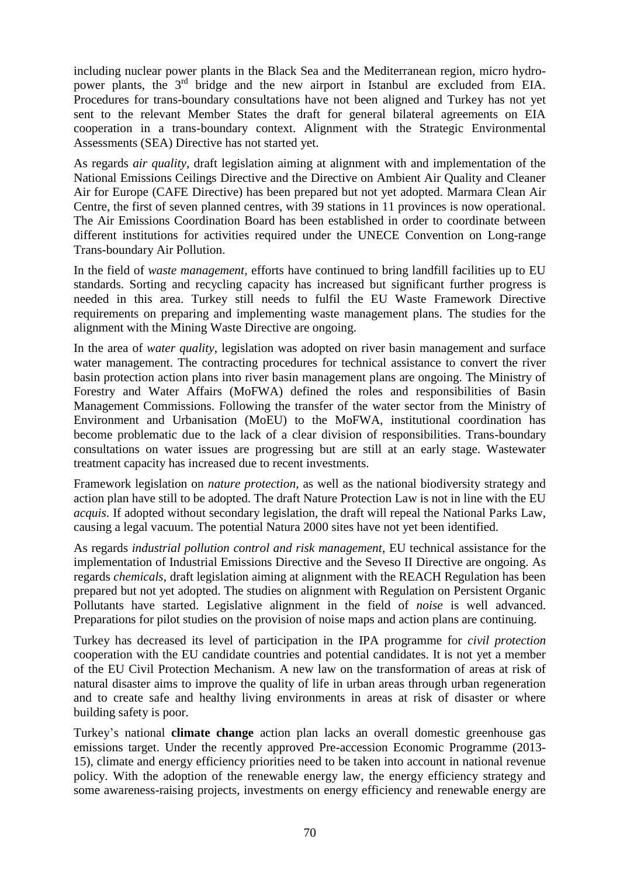including nuclear power plants in the Black Sea and the Mediterranean region, micro hydropower plants, the 3<sup>rd</sup> bridge and the new airport in Istanbul are excluded from EIA. Procedures for trans-boundary consultations have not been aligned and Turkey has not yet sent to the relevant Member States the draft for general bilateral agreements on EIA cooperation in a trans-boundary context. Alignment with the Strategic Environmental Assessments (SEA) Directive has not started yet.

As regards *air quality*, draft legislation aiming at alignment with and implementation of the National Emissions Ceilings Directive and the Directive on Ambient Air Quality and Cleaner Air for Europe (CAFE Directive) has been prepared but not yet adopted. Marmara Clean Air Centre, the first of seven planned centres, with 39 stations in 11 provinces is now operational. The Air Emissions Coordination Board has been established in order to coordinate between different institutions for activities required under the UNECE Convention on Long-range Trans-boundary Air Pollution.

In the field of *waste management*, efforts have continued to bring landfill facilities up to EU standards. Sorting and recycling capacity has increased but significant further progress is needed in this area. Turkey still needs to fulfil the EU Waste Framework Directive requirements on preparing and implementing waste management plans. The studies for the alignment with the Mining Waste Directive are ongoing.

In the area of *water quality*, legislation was adopted on river basin management and surface water management. The contracting procedures for technical assistance to convert the river basin protection action plans into river basin management plans are ongoing. The Ministry of Forestry and Water Affairs (MoFWA) defined the roles and responsibilities of Basin Management Commissions. Following the transfer of the water sector from the Ministry of Environment and Urbanisation (MoEU) to the MoFWA, institutional coordination has become problematic due to the lack of a clear division of responsibilities. Trans-boundary consultations on water issues are progressing but are still at an early stage. Wastewater treatment capacity has increased due to recent investments.

Framework legislation on *nature protection,* as well as the national biodiversity strategy and action plan have still to be adopted. The draft Nature Protection Law is not in line with the EU *acquis*. If adopted without secondary legislation, the draft will repeal the National Parks Law, causing a legal vacuum. The potential Natura 2000 sites have not yet been identified.

As regards *industrial pollution control and risk management*, EU technical assistance for the implementation of Industrial Emissions Directive and the Seveso II Directive are ongoing. As regards *chemicals*, draft legislation aiming at alignment with the REACH Regulation has been prepared but not yet adopted. The studies on alignment with Regulation on Persistent Organic Pollutants have started. Legislative alignment in the field of *noise* is well advanced. Preparations for pilot studies on the provision of noise maps and action plans are continuing.

Turkey has decreased its level of participation in the IPA programme for *civil protection* cooperation with the EU candidate countries and potential candidates. It is not yet a member of the EU Civil Protection Mechanism. A new law on the transformation of areas at risk of natural disaster aims to improve the quality of life in urban areas through urban regeneration and to create safe and healthy living environments in areas at risk of disaster or where building safety is poor.

Turkey's national **climate change** action plan lacks an overall domestic greenhouse gas emissions target. Under the recently approved Pre-accession Economic Programme (2013- 15), climate and energy efficiency priorities need to be taken into account in national revenue policy. With the adoption of the renewable energy law, the energy efficiency strategy and some awareness-raising projects, investments on energy efficiency and renewable energy are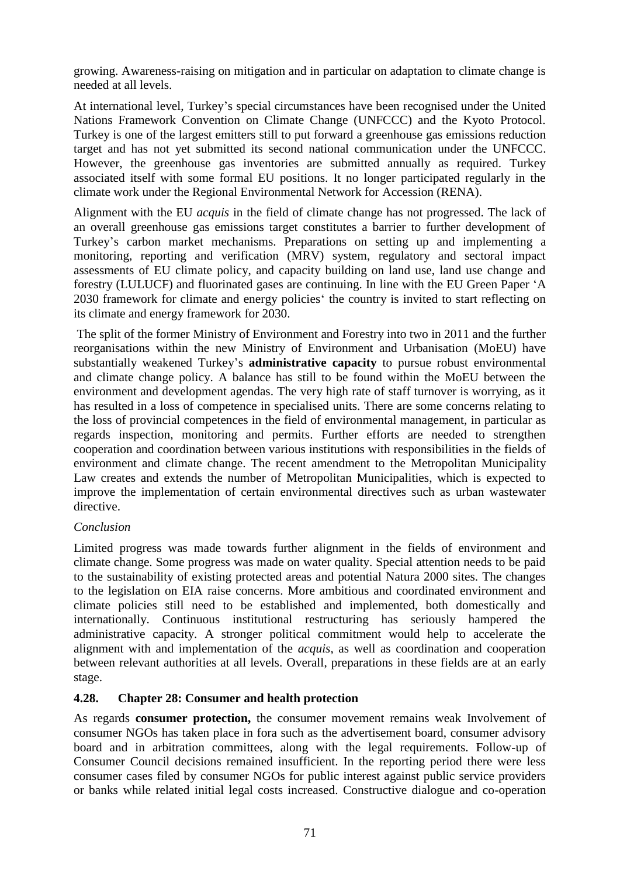growing. Awareness-raising on mitigation and in particular on adaptation to climate change is needed at all levels.

At international level, Turkey's special circumstances have been recognised under the United Nations Framework Convention on Climate Change (UNFCCC) and the Kyoto Protocol. Turkey is one of the largest emitters still to put forward a greenhouse gas emissions reduction target and has not yet submitted its second national communication under the UNFCCC. However, the greenhouse gas inventories are submitted annually as required. Turkey associated itself with some formal EU positions. It no longer participated regularly in the climate work under the Regional Environmental Network for Accession (RENA).

Alignment with the EU *acquis* in the field of climate change has not progressed. The lack of an overall greenhouse gas emissions target constitutes a barrier to further development of Turkey's carbon market mechanisms. Preparations on setting up and implementing a monitoring, reporting and verification (MRV) system, regulatory and sectoral impact assessments of EU climate policy, and capacity building on land use, land use change and forestry (LULUCF) and fluorinated gases are continuing. In line with the EU Green Paper 'A 2030 framework for climate and energy policies' the country is invited to start reflecting on its climate and energy framework for 2030.

The split of the former Ministry of Environment and Forestry into two in 2011 and the further reorganisations within the new Ministry of Environment and Urbanisation (MoEU) have substantially weakened Turkey's **administrative capacity** to pursue robust environmental and climate change policy. A balance has still to be found within the MoEU between the environment and development agendas. The very high rate of staff turnover is worrying, as it has resulted in a loss of competence in specialised units. There are some concerns relating to the loss of provincial competences in the field of environmental management, in particular as regards inspection, monitoring and permits. Further efforts are needed to strengthen cooperation and coordination between various institutions with responsibilities in the fields of environment and climate change. The recent amendment to the Metropolitan Municipality Law creates and extends the number of Metropolitan Municipalities, which is expected to improve the implementation of certain environmental directives such as urban wastewater directive.

## *Conclusion*

Limited progress was made towards further alignment in the fields of environment and climate change. Some progress was made on water quality. Special attention needs to be paid to the sustainability of existing protected areas and potential Natura 2000 sites. The changes to the legislation on EIA raise concerns. More ambitious and coordinated environment and climate policies still need to be established and implemented, both domestically and internationally. Continuous institutional restructuring has seriously hampered the administrative capacity. A stronger political commitment would help to accelerate the alignment with and implementation of the *acquis*, as well as coordination and cooperation between relevant authorities at all levels. Overall, preparations in these fields are at an early stage.

# **4.28. Chapter 28: Consumer and health protection**

As regards **consumer protection,** the consumer movement remains weak Involvement of consumer NGOs has taken place in fora such as the advertisement board, consumer advisory board and in arbitration committees, along with the legal requirements. Follow-up of Consumer Council decisions remained insufficient. In the reporting period there were less consumer cases filed by consumer NGOs for public interest against public service providers or banks while related initial legal costs increased. Constructive dialogue and co-operation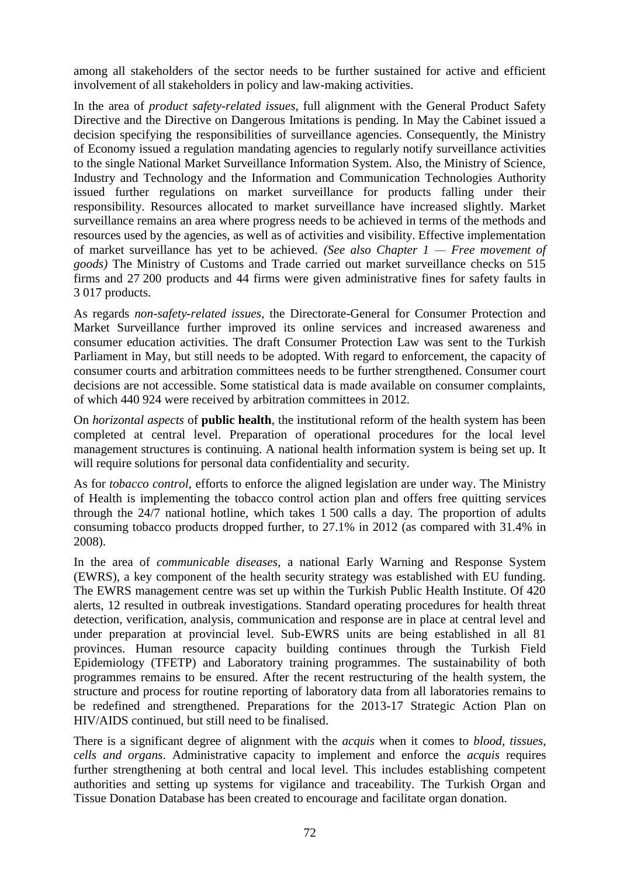among all stakeholders of the sector needs to be further sustained for active and efficient involvement of all stakeholders in policy and law-making activities.

In the area of *product safety-related issues,* full alignment with the General Product Safety Directive and the Directive on Dangerous Imitations is pending. In May the Cabinet issued a decision specifying the responsibilities of surveillance agencies. Consequently, the Ministry of Economy issued a regulation mandating agencies to regularly notify surveillance activities to the single National Market Surveillance Information System. Also, the Ministry of Science, Industry and Technology and the Information and Communication Technologies Authority issued further regulations on market surveillance for products falling under their responsibility. Resources allocated to market surveillance have increased slightly. Market surveillance remains an area where progress needs to be achieved in terms of the methods and resources used by the agencies, as well as of activities and visibility. Effective implementation of market surveillance has yet to be achieved. *(See also Chapter 1 — Free movement of goods)* The Ministry of Customs and Trade carried out market surveillance checks on 515 firms and 27 200 products and 44 firms were given administrative fines for safety faults in 3 017 products.

As regards *non-safety-related issues*, the Directorate-General for Consumer Protection and Market Surveillance further improved its online services and increased awareness and consumer education activities. The draft Consumer Protection Law was sent to the Turkish Parliament in May, but still needs to be adopted. With regard to enforcement, the capacity of consumer courts and arbitration committees needs to be further strengthened. Consumer court decisions are not accessible. Some statistical data is made available on consumer complaints, of which 440 924 were received by arbitration committees in 2012.

On *horizontal aspects* of **public health**, the institutional reform of the health system has been completed at central level. Preparation of operational procedures for the local level management structures is continuing. A national health information system is being set up. It will require solutions for personal data confidentiality and security.

As for *tobacco control*, efforts to enforce the aligned legislation are under way. The Ministry of Health is implementing the tobacco control action plan and offers free quitting services through the 24/7 national hotline, which takes 1 500 calls a day. The proportion of adults consuming tobacco products dropped further, to 27.1% in 2012 (as compared with 31.4% in 2008).

In the area of *communicable diseases*, a national Early Warning and Response System (EWRS), a key component of the health security strategy was established with EU funding. The EWRS management centre was set up within the Turkish Public Health Institute. Of 420 alerts, 12 resulted in outbreak investigations. Standard operating procedures for health threat detection, verification, analysis, communication and response are in place at central level and under preparation at provincial level. Sub-EWRS units are being established in all 81 provinces. Human resource capacity building continues through the Turkish Field Epidemiology (TFETP) and Laboratory training programmes. The sustainability of both programmes remains to be ensured. After the recent restructuring of the health system, the structure and process for routine reporting of laboratory data from all laboratories remains to be redefined and strengthened. Preparations for the 2013-17 Strategic Action Plan on HIV/AIDS continued, but still need to be finalised.

There is a significant degree of alignment with the *acquis* when it comes to *blood, tissues, cells and organs*. Administrative capacity to implement and enforce the *acquis* requires further strengthening at both central and local level. This includes establishing competent authorities and setting up systems for vigilance and traceability. The Turkish Organ and Tissue Donation Database has been created to encourage and facilitate organ donation.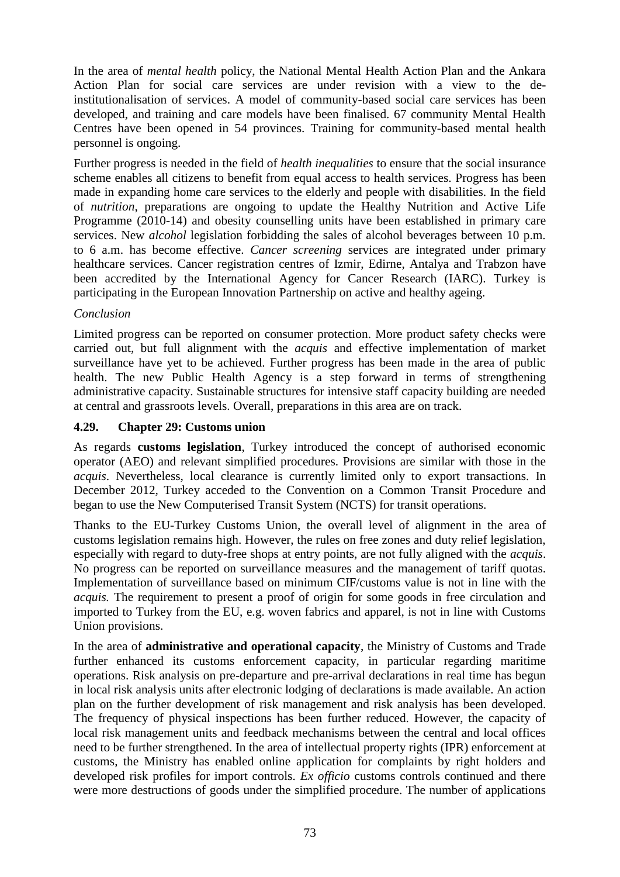In the area of *mental health* policy, the National Mental Health Action Plan and the Ankara Action Plan for social care services are under revision with a view to the deinstitutionalisation of services. A model of community-based social care services has been developed, and training and care models have been finalised. 67 community Mental Health Centres have been opened in 54 provinces. Training for community-based mental health personnel is ongoing.

Further progress is needed in the field of *health inequalities* to ensure that the social insurance scheme enables all citizens to benefit from equal access to health services. Progress has been made in expanding home care services to the elderly and people with disabilities. In the field of *nutrition*, preparations are ongoing to update the Healthy Nutrition and Active Life Programme (2010-14) and obesity counselling units have been established in primary care services. New *alcohol* legislation forbidding the sales of alcohol beverages between 10 p.m. to 6 a.m. has become effective. *Cancer screening* services are integrated under primary healthcare services. Cancer registration centres of Izmir, Edirne, Antalya and Trabzon have been accredited by the International Agency for Cancer Research (IARC). Turkey is participating in the European Innovation Partnership on active and healthy ageing.

## *Conclusion*

Limited progress can be reported on consumer protection. More product safety checks were carried out, but full alignment with the *acquis* and effective implementation of market surveillance have yet to be achieved. Further progress has been made in the area of public health. The new Public Health Agency is a step forward in terms of strengthening administrative capacity. Sustainable structures for intensive staff capacity building are needed at central and grassroots levels. Overall, preparations in this area are on track.

# **4.29. Chapter 29: Customs union**

As regards **customs legislation**, Turkey introduced the concept of authorised economic operator (AEO) and relevant simplified procedures. Provisions are similar with those in the *acquis*. Nevertheless, local clearance is currently limited only to export transactions. In December 2012, Turkey acceded to the Convention on a Common Transit Procedure and began to use the New Computerised Transit System (NCTS) for transit operations.

Thanks to the EU-Turkey Customs Union, the overall level of alignment in the area of customs legislation remains high. However, the rules on free zones and duty relief legislation, especially with regard to duty-free shops at entry points, are not fully aligned with the *acquis*. No progress can be reported on surveillance measures and the management of tariff quotas. Implementation of surveillance based on minimum CIF/customs value is not in line with the *acquis.* The requirement to present a proof of origin for some goods in free circulation and imported to Turkey from the EU, e.g. woven fabrics and apparel, is not in line with Customs Union provisions.

In the area of **administrative and operational capacity**, the Ministry of Customs and Trade further enhanced its customs enforcement capacity, in particular regarding maritime operations. Risk analysis on pre-departure and pre-arrival declarations in real time has begun in local risk analysis units after electronic lodging of declarations is made available. An action plan on the further development of risk management and risk analysis has been developed. The frequency of physical inspections has been further reduced. However, the capacity of local risk management units and feedback mechanisms between the central and local offices need to be further strengthened. In the area of intellectual property rights (IPR) enforcement at customs, the Ministry has enabled online application for complaints by right holders and developed risk profiles for import controls. *Ex officio* customs controls continued and there were more destructions of goods under the simplified procedure. The number of applications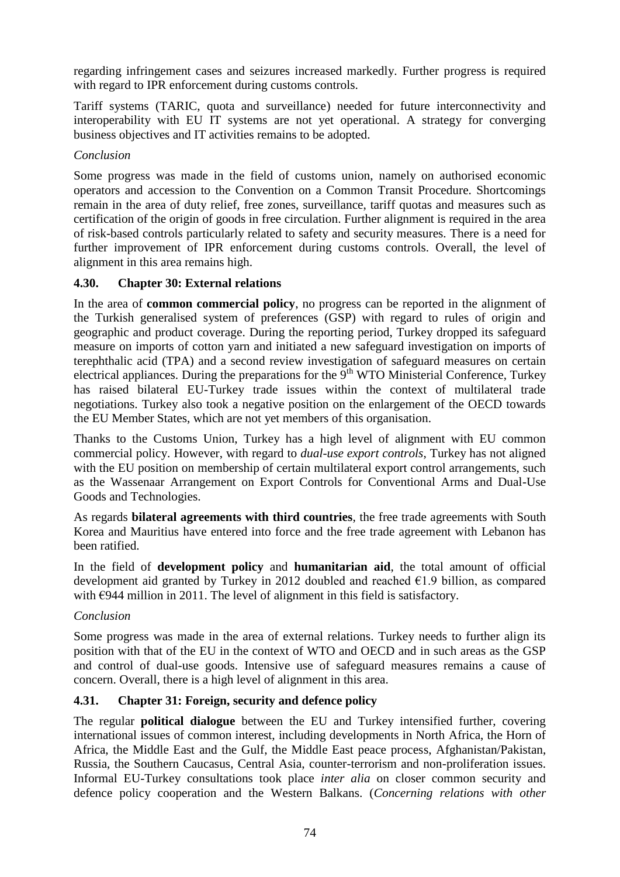regarding infringement cases and seizures increased markedly. Further progress is required with regard to IPR enforcement during customs controls.

Tariff systems (TARIC, quota and surveillance) needed for future interconnectivity and interoperability with EU IT systems are not yet operational. A strategy for converging business objectives and IT activities remains to be adopted.

### *Conclusion*

Some progress was made in the field of customs union, namely on authorised economic operators and accession to the Convention on a Common Transit Procedure. Shortcomings remain in the area of duty relief, free zones, surveillance, tariff quotas and measures such as certification of the origin of goods in free circulation. Further alignment is required in the area of risk-based controls particularly related to safety and security measures. There is a need for further improvement of IPR enforcement during customs controls. Overall, the level of alignment in this area remains high.

## **4.30. Chapter 30: External relations**

In the area of **common commercial policy**, no progress can be reported in the alignment of the Turkish generalised system of preferences (GSP) with regard to rules of origin and geographic and product coverage. During the reporting period, Turkey dropped its safeguard measure on imports of cotton yarn and initiated a new safeguard investigation on imports of terephthalic acid (TPA) and a second review investigation of safeguard measures on certain electrical appliances. During the preparations for the  $9<sup>th</sup>$  WTO Ministerial Conference, Turkey has raised bilateral EU-Turkey trade issues within the context of multilateral trade negotiations. Turkey also took a negative position on the enlargement of the OECD towards the EU Member States, which are not yet members of this organisation.

Thanks to the Customs Union, Turkey has a high level of alignment with EU common commercial policy. However, with regard to *dual-use export controls*, Turkey has not aligned with the EU position on membership of certain multilateral export control arrangements, such as the Wassenaar Arrangement on Export Controls for Conventional Arms and Dual-Use Goods and Technologies.

As regards **bilateral agreements with third countries**, the free trade agreements with South Korea and Mauritius have entered into force and the free trade agreement with Lebanon has been ratified.

In the field of **development policy** and **humanitarian aid**, the total amount of official development aid granted by Turkey in 2012 doubled and reached  $\epsilon$ 1.9 billion, as compared with €944 million in 2011. The level of alignment in this field is satisfactory.

#### *Conclusion*

Some progress was made in the area of external relations. Turkey needs to further align its position with that of the EU in the context of WTO and OECD and in such areas as the GSP and control of dual-use goods. Intensive use of safeguard measures remains a cause of concern. Overall, there is a high level of alignment in this area.

# **4.31. Chapter 31: Foreign, security and defence policy**

The regular **political dialogue** between the EU and Turkey intensified further, covering international issues of common interest, including developments in North Africa, the Horn of Africa, the Middle East and the Gulf, the Middle East peace process, Afghanistan/Pakistan, Russia, the Southern Caucasus, Central Asia, counter-terrorism and non-proliferation issues. Informal EU-Turkey consultations took place *inter alia* on closer common security and defence policy cooperation and the Western Balkans. (*Concerning relations with other*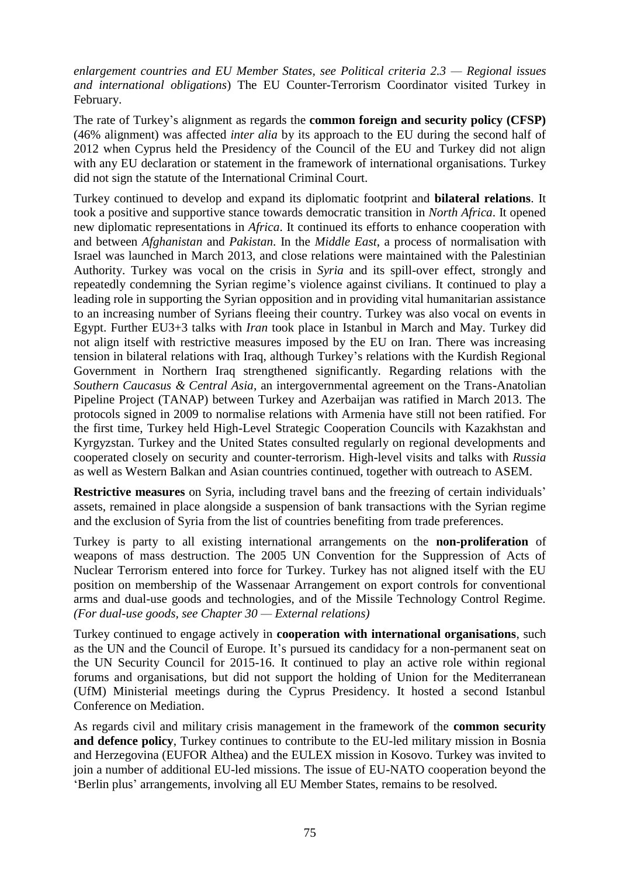*enlargement countries and EU Member States, see Political criteria 2.3 — Regional issues and international obligations*) The EU Counter-Terrorism Coordinator visited Turkey in February.

The rate of Turkey's alignment as regards the **common foreign and security policy (CFSP)** (46% alignment) was affected *inter alia* by its approach to the EU during the second half of 2012 when Cyprus held the Presidency of the Council of the EU and Turkey did not align with any EU declaration or statement in the framework of international organisations. Turkey did not sign the statute of the International Criminal Court.

Turkey continued to develop and expand its diplomatic footprint and **bilateral relations**. It took a positive and supportive stance towards democratic transition in *North Africa*. It opened new diplomatic representations in *Africa*. It continued its efforts to enhance cooperation with and between *Afghanistan* and *Pakistan*. In the *Middle East*, a process of normalisation with Israel was launched in March 2013, and close relations were maintained with the Palestinian Authority. Turkey was vocal on the crisis in *Syria* and its spill-over effect, strongly and repeatedly condemning the Syrian regime's violence against civilians. It continued to play a leading role in supporting the Syrian opposition and in providing vital humanitarian assistance to an increasing number of Syrians fleeing their country. Turkey was also vocal on events in Egypt. Further EU3+3 talks with *Iran* took place in Istanbul in March and May. Turkey did not align itself with restrictive measures imposed by the EU on Iran. There was increasing tension in bilateral relations with Iraq, although Turkey's relations with the Kurdish Regional Government in Northern Iraq strengthened significantly. Regarding relations with the *Southern Caucasus & Central Asia*, an intergovernmental agreement on the Trans-Anatolian Pipeline Project (TANAP) between Turkey and Azerbaijan was ratified in March 2013. The protocols signed in 2009 to normalise relations with Armenia have still not been ratified. For the first time, Turkey held High-Level Strategic Cooperation Councils with Kazakhstan and Kyrgyzstan. Turkey and the United States consulted regularly on regional developments and cooperated closely on security and counter-terrorism. High-level visits and talks with *Russia*  as well as Western Balkan and Asian countries continued, together with outreach to ASEM.

**Restrictive measures** on Syria, including travel bans and the freezing of certain individuals' assets, remained in place alongside a suspension of bank transactions with the Syrian regime and the exclusion of Syria from the list of countries benefiting from trade preferences.

Turkey is party to all existing international arrangements on the **non-proliferation** of weapons of mass destruction. The 2005 UN Convention for the Suppression of Acts of Nuclear Terrorism entered into force for Turkey. Turkey has not aligned itself with the EU position on membership of the Wassenaar Arrangement on export controls for conventional arms and dual-use goods and technologies, and of the Missile Technology Control Regime. *(For dual-use goods, see Chapter 30 — External relations)*

Turkey continued to engage actively in **cooperation with international organisations**, such as the UN and the Council of Europe. It's pursued its candidacy for a non-permanent seat on the UN Security Council for 2015-16. It continued to play an active role within regional forums and organisations, but did not support the holding of Union for the Mediterranean (UfM) Ministerial meetings during the Cyprus Presidency. It hosted a second Istanbul Conference on Mediation.

As regards civil and military crisis management in the framework of the **common security**  and defence policy, Turkey continues to contribute to the EU-led military mission in Bosnia and Herzegovina (EUFOR Althea) and the EULEX mission in Kosovo. Turkey was invited to join a number of additional EU-led missions. The issue of EU-NATO cooperation beyond the 'Berlin plus' arrangements, involving all EU Member States, remains to be resolved.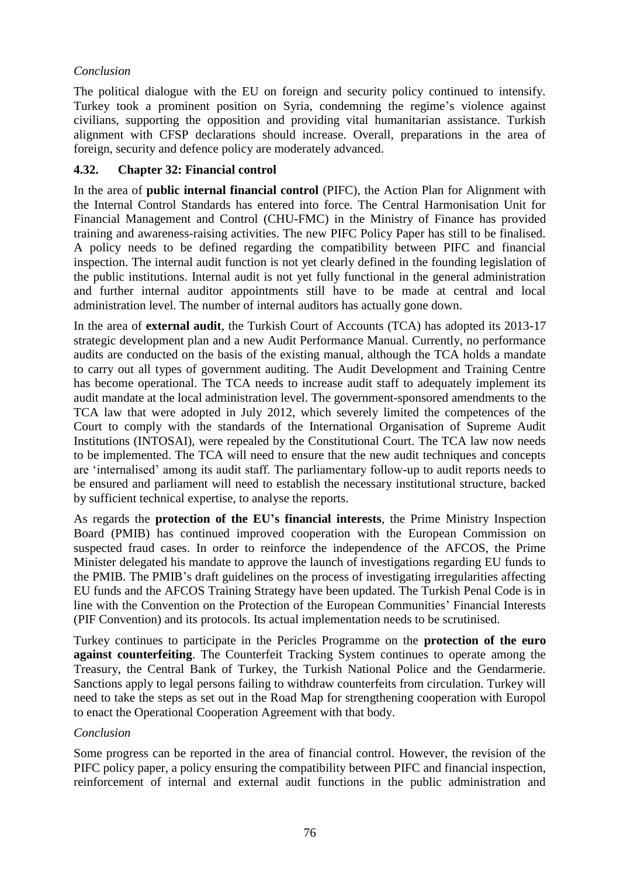## *Conclusion*

The political dialogue with the EU on foreign and security policy continued to intensify. Turkey took a prominent position on Syria, condemning the regime's violence against civilians, supporting the opposition and providing vital humanitarian assistance. Turkish alignment with CFSP declarations should increase. Overall, preparations in the area of foreign, security and defence policy are moderately advanced.

### **4.32. Chapter 32: Financial control**

In the area of **public internal financial control** (PIFC), the Action Plan for Alignment with the Internal Control Standards has entered into force. The Central Harmonisation Unit for Financial Management and Control (CHU-FMC) in the Ministry of Finance has provided training and awareness-raising activities. The new PIFC Policy Paper has still to be finalised. A policy needs to be defined regarding the compatibility between PIFC and financial inspection. The internal audit function is not yet clearly defined in the founding legislation of the public institutions. Internal audit is not yet fully functional in the general administration and further internal auditor appointments still have to be made at central and local administration level. The number of internal auditors has actually gone down.

In the area of **external audit**, the Turkish Court of Accounts (TCA) has adopted its 2013-17 strategic development plan and a new Audit Performance Manual. Currently, no performance audits are conducted on the basis of the existing manual, although the TCA holds a mandate to carry out all types of government auditing. The Audit Development and Training Centre has become operational. The TCA needs to increase audit staff to adequately implement its audit mandate at the local administration level. The government-sponsored amendments to the TCA law that were adopted in July 2012, which severely limited the competences of the Court to comply with the standards of the International Organisation of Supreme Audit Institutions (INTOSAI), were repealed by the Constitutional Court. The TCA law now needs to be implemented. The TCA will need to ensure that the new audit techniques and concepts are 'internalised' among its audit staff. The parliamentary follow-up to audit reports needs to be ensured and parliament will need to establish the necessary institutional structure, backed by sufficient technical expertise, to analyse the reports.

As regards the **protection of the EU's financial interests**, the Prime Ministry Inspection Board (PMIB) has continued improved cooperation with the European Commission on suspected fraud cases. In order to reinforce the independence of the AFCOS, the Prime Minister delegated his mandate to approve the launch of investigations regarding EU funds to the PMIB. The PMIB's draft guidelines on the process of investigating irregularities affecting EU funds and the AFCOS Training Strategy have been updated. The Turkish Penal Code is in line with the Convention on the Protection of the European Communities' Financial Interests (PIF Convention) and its protocols. Its actual implementation needs to be scrutinised.

Turkey continues to participate in the Pericles Programme on the **protection of the euro against counterfeiting**. The Counterfeit Tracking System continues to operate among the Treasury, the Central Bank of Turkey, the Turkish National Police and the Gendarmerie. Sanctions apply to legal persons failing to withdraw counterfeits from circulation. Turkey will need to take the steps as set out in the Road Map for strengthening cooperation with Europol to enact the Operational Cooperation Agreement with that body.

#### *Conclusion*

Some progress can be reported in the area of financial control. However, the revision of the PIFC policy paper, a policy ensuring the compatibility between PIFC and financial inspection, reinforcement of internal and external audit functions in the public administration and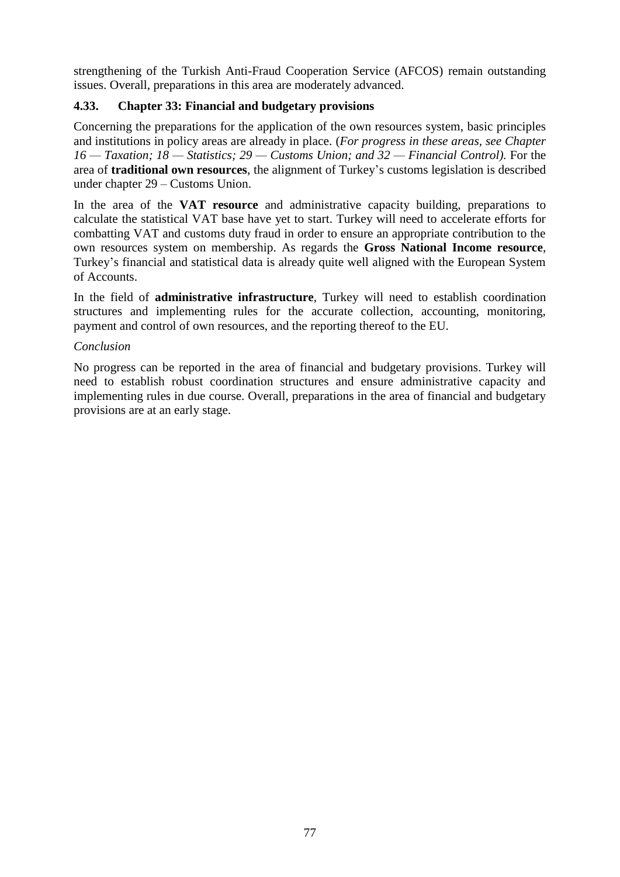strengthening of the Turkish Anti-Fraud Cooperation Service (AFCOS) remain outstanding issues. Overall, preparations in this area are moderately advanced.

# **4.33. Chapter 33: Financial and budgetary provisions**

Concerning the preparations for the application of the own resources system, basic principles and institutions in policy areas are already in place. (*For progress in these areas, see Chapter 16 — Taxation; 18 — Statistics; 29 — Customs Union; and 32 — Financial Control).* For the area of **traditional own resources**, the alignment of Turkey's customs legislation is described under chapter 29 – Customs Union.

In the area of the **VAT resource** and administrative capacity building, preparations to calculate the statistical VAT base have yet to start. Turkey will need to accelerate efforts for combatting VAT and customs duty fraud in order to ensure an appropriate contribution to the own resources system on membership. As regards the **Gross National Income resource**, Turkey's financial and statistical data is already quite well aligned with the European System of Accounts.

In the field of **administrative infrastructure**, Turkey will need to establish coordination structures and implementing rules for the accurate collection, accounting, monitoring, payment and control of own resources, and the reporting thereof to the EU.

#### *Conclusion*

No progress can be reported in the area of financial and budgetary provisions. Turkey will need to establish robust coordination structures and ensure administrative capacity and implementing rules in due course. Overall, preparations in the area of financial and budgetary provisions are at an early stage.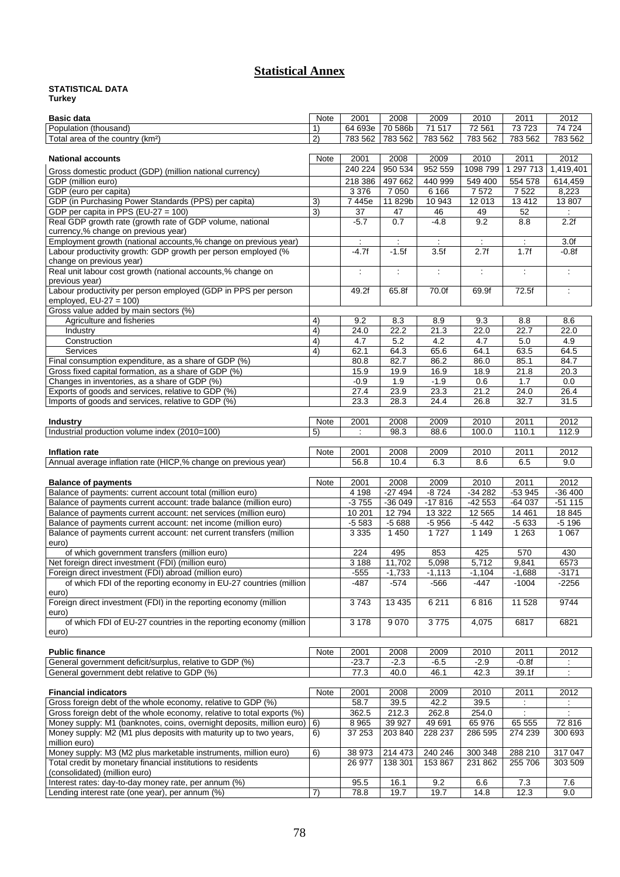# **Statistical Annex**

#### **STATISTICAL DATA Turkey**

| <b>Basic data</b>                                                                                                                     | Note           | 2001                        | 2008               | 2009                 | 2010                    | 2011                 | 2012                        |
|---------------------------------------------------------------------------------------------------------------------------------------|----------------|-----------------------------|--------------------|----------------------|-------------------------|----------------------|-----------------------------|
| Population (thousand)                                                                                                                 | 1)             | 64 693e                     | 70 586b            | 71 517               | 72 561                  | 73723                | 74 724                      |
| Total area of the country (km <sup>2</sup> )                                                                                          | 2)             | 783 562                     | 783 562            | 783 562              | 783 562                 | 783 562              | 783 562                     |
|                                                                                                                                       |                |                             |                    |                      |                         |                      |                             |
| <b>National accounts</b>                                                                                                              | Note           | 2001                        | 2008               | 2009                 | 2010                    | 2011                 | 2012                        |
| Gross domestic product (GDP) (million national currency)                                                                              |                | 240 224                     | 950 534            | 952 559              | 1098 799                | 1 297 713            | 1,419,401                   |
| GDP (million euro)                                                                                                                    |                | 218 386                     | 497 662            | 440 999              | 549 400                 | 554 578              | 614,459                     |
| GDP (euro per capita)                                                                                                                 |                | 3 3 7 6                     | 7 0 5 0            | 6 1 6 6              | 7572                    | 7 5 22               | 8,223                       |
| GDP (in Purchasing Power Standards (PPS) per capita)                                                                                  | 3)             | 7445e                       | 11 829b            | 10 943               | 12013                   | 13 41 2              | 13 807                      |
| GDP per capita in PPS (EU-27 = 100)<br>Real GDP growth rate (growth rate of GDP volume, national                                      | $\overline{3}$ | 37<br>$-5.7$                | 47<br>0.7          | 46<br>$-4.8$         | 49<br>9.2               | 52<br>8.8            | 2.2f                        |
| currency,% change on previous year)                                                                                                   |                |                             |                    |                      |                         |                      |                             |
| Employment growth (national accounts,% change on previous year)                                                                       |                | $\ddot{\phantom{a}}$        | $\mathcal{L}$      | $\ddot{\phantom{a}}$ | $\mathcal{L}$           | $\ddot{\phantom{a}}$ | 3.0f                        |
| Labour productivity growth: GDP growth per person employed (%                                                                         |                | $-4.7f$                     | $-1.5f$            | 3.5f                 | 2.7f                    | 1.7f                 | $-0.8f$                     |
| change on previous year)                                                                                                              |                |                             |                    |                      |                         |                      |                             |
| Real unit labour cost growth (national accounts,% change on                                                                           |                | $\mathcal{L}_{\mathcal{L}}$ | ÷                  | $\ddot{\cdot}$       | $\overline{\mathbb{R}}$ | ÷                    | $\mathcal{L}^{\mathcal{A}}$ |
| previous year)                                                                                                                        |                |                             |                    |                      |                         |                      |                             |
| Labour productivity per person employed (GDP in PPS per person                                                                        |                | 49.2f                       | 65.8f              | 70.0f                | 69.9f                   | 72.5f                | ÷                           |
| employed, $EU-27 = 100$ )<br>Gross value added by main sectors (%)                                                                    |                |                             |                    |                      |                         |                      |                             |
| Agriculture and fisheries                                                                                                             | 4)             | 9.2                         | 8.3                | 8.9                  | 9.3                     | 8.8                  | 8.6                         |
| Industry                                                                                                                              | 4)             | 24.0                        | 22.2               | 21.3                 | 22.0                    | 22.7                 | 22.0                        |
| Construction                                                                                                                          | 4)             | 4.7                         | 5.2                | 4.2                  | 4.7                     | 5.0                  | 4.9                         |
| <b>Services</b>                                                                                                                       | 4)             | 62.1                        | 64.3               | 65.6                 | 64.1                    | 63.5                 | 64.5                        |
| Final consumption expenditure, as a share of GDP (%)                                                                                  |                | 80.8                        | 82.7               | 86.2                 | 86.0                    | 85.1                 | 84.7                        |
| Gross fixed capital formation, as a share of GDP (%)                                                                                  |                | 15.9                        | 19.9               | 16.9                 | 18.9                    | 21.8                 | 20.3                        |
| Changes in inventories, as a share of GDP (%)                                                                                         |                | $-0.9$                      | 1.9                | $-1.9$               | 0.6                     | 1.7                  | 0.0                         |
| Exports of goods and services, relative to GDP (%)                                                                                    |                | 27.4                        | 23.9               | 23.3                 | 21.2                    | 24.0                 | 26.4                        |
| Imports of goods and services, relative to GDP (%)                                                                                    |                | 23.3                        | 28.3               | 24.4                 | 26.8                    | 32.7                 | 31.5                        |
|                                                                                                                                       | Note           | 2001                        | 2008               | 2009                 | 2010                    | 2011                 | 2012                        |
| Industry<br>Industrial production volume index (2010=100)                                                                             | 5)             | ÷                           | 98.3               | 88.6                 | 100.0                   | 110.1                | 112.9                       |
|                                                                                                                                       |                |                             |                    |                      |                         |                      |                             |
| Inflation rate                                                                                                                        | Note           | 2001                        | 2008               | 2009                 | 2010                    | 2011                 | 2012                        |
| Annual average inflation rate (HICP,% change on previous year)                                                                        |                | 56.8                        | 10.4               | 6.3                  | 8.6                     | 6.5                  | 9.0                         |
|                                                                                                                                       |                |                             |                    |                      |                         |                      |                             |
| <b>Balance of payments</b>                                                                                                            | Note           | 2001                        | 2008               | 2009                 | 2010                    | 2011                 | 2012                        |
| Balance of payments: current account total (million euro)                                                                             |                | 4 1 9 8                     | $-27494$           | $-8724$              | $-34282$                | $-53945$             | $-36400$                    |
| Balance of payments current account: trade balance (million euro)                                                                     |                | $-3755$                     | $-36049$           | $-17816$             | $-42553$                | $-64037$             | $-51115$                    |
| Balance of payments current account: net services (million euro)                                                                      |                | 10 201                      | 12794              | 13 3 22              | 12 5 65                 | 14 4 61<br>$-5633$   | 18 845                      |
| Balance of payments current account: net income (million euro)<br>Balance of payments current account: net current transfers (million |                | $-5583$<br>3 3 3 5          | $-5688$<br>1 4 5 0 | $-5956$<br>1727      | $-5442$<br>1 1 4 9      | 1 2 6 3              | $-5196$<br>1 0 6 7          |
| euro)                                                                                                                                 |                |                             |                    |                      |                         |                      |                             |
| of which government transfers (million euro)                                                                                          |                | 224                         | 495                | 853                  | 425                     | 570                  | 430                         |
| Net foreign direct investment (FDI) (million euro)                                                                                    |                | 3 1 8 8                     | 11,702             | 5,098                | 5,712                   | 9,841                | 6573                        |
| Foreign direct investment (FDI) abroad (million euro)                                                                                 |                | $-555$                      | $-1,733$           | $-1,113$             | $-1,104$                | $-1,688$             | $-3171$                     |
| of which FDI of the reporting economy in EU-27 countries (million                                                                     |                | $-487$                      | $-574$             | $-566$               | $-447$                  | $-1004$              | $-2256$                     |
| euro)                                                                                                                                 |                |                             |                    |                      |                         |                      |                             |
| Foreign direct investment (FDI) in the reporting economy (million                                                                     |                | 3743                        | 13 4 35            | 6 2 1 1              | 6816                    | 11 528               | 9744                        |
| euro)<br>of which FDI of EU-27 countries in the reporting economy (million                                                            |                |                             | 9070               | 3775                 |                         | 6817                 | 6821                        |
| euro)                                                                                                                                 |                | 3 1 7 8                     |                    |                      | 4,075                   |                      |                             |
|                                                                                                                                       |                |                             |                    |                      |                         |                      |                             |
| <b>Public finance</b>                                                                                                                 | Note           | 2001                        | 2008               | 2009                 | 2010                    | 2011                 | 2012                        |
| General government deficit/surplus, relative to GDP (%)                                                                               |                | $-23.7$                     | $-2.3$             | $-6.5$               | $-2.9$                  | $-0.8f$              |                             |
| General government debt relative to GDP (%)                                                                                           |                | 77.3                        | 40.0               | 46.1                 | 42.3                    | 39.1f                |                             |
|                                                                                                                                       |                |                             |                    |                      |                         |                      |                             |
| <b>Financial indicators</b>                                                                                                           | Note           | 2001                        | 2008               | 2009                 | 2010                    | 2011                 | 2012                        |
| Gross foreign debt of the whole economy, relative to GDP (%)                                                                          |                | 58.7                        | 39.5               | 42.2                 | 39.5                    |                      | ÷                           |
| Gross foreign debt of the whole economy, relative to total exports (%)                                                                |                | 362.5                       | 212.3              | 262.8                | 254.0                   | $\ddot{\phantom{a}}$ | ÷                           |
| Money supply: M1 (banknotes, coins, overnight deposits, million euro)                                                                 | 6)             | 8 9 6 5<br>37 253           | 39 927             | 49 691               | 65 976                  | 65 555<br>274 239    | 72 816<br>300 693           |
| Money supply: M2 (M1 plus deposits with maturity up to two years,<br>million euro)                                                    | 6)             |                             | 203 840            | 228 237              | 286 595                 |                      |                             |
| Money supply: M3 (M2 plus marketable instruments, million euro)                                                                       | 6)             | 38 973                      | 214 473            | 240 246              | 300 348                 | 288 210              | 317 047                     |
| Total credit by monetary financial institutions to residents                                                                          |                | 26 977                      | 138 301            | 153 867              | 231 862                 | 255 706              | 303 509                     |
| (consolidated) (million euro)                                                                                                         |                |                             |                    |                      |                         |                      |                             |
| Interest rates: day-to-day money rate, per annum (%)                                                                                  |                | 95.5                        | 16.1               | 9.2                  | 6.6                     | 7.3                  | 7.6                         |
| Lending interest rate (one year), per annum (%)                                                                                       | 7)             | 78.8                        | 19.7               | 19.7                 | 14.8                    | 12.3                 | 9.0                         |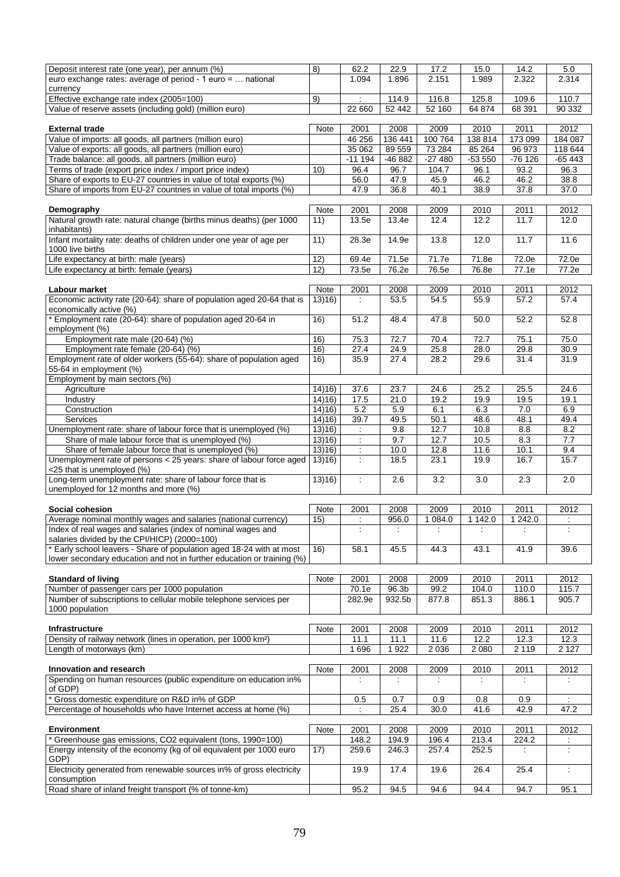| Deposit interest rate (one year), per annum (%)                            | 8)     | 62.2                 | 22.9    | 17.2        | 15.0    | 14.2     | 5.0              |
|----------------------------------------------------------------------------|--------|----------------------|---------|-------------|---------|----------|------------------|
| euro exchange rates: average of period - 1 euro =  national                |        | 1.094                | 1.896   | 2.151       | 1.989   | 2.322    | 2.314            |
| currency                                                                   |        |                      |         |             |         |          |                  |
| Effective exchange rate index (2005=100)                                   | 9)     |                      | 114.9   | 116.8       | 125.8   | 109.6    | 110.7            |
| Value of reserve assets (including gold) (million euro)                    |        | 22 660               | 52 442  | 52 160      | 64 874  | 68 391   | 90 332           |
|                                                                            |        |                      |         |             |         |          |                  |
| <b>External trade</b>                                                      | Note   | 2001                 | 2008    | 2009        | 2010    | 2011     | 2012             |
| Value of imports: all goods, all partners (million euro)                   |        | 46 256               | 136 441 | 100 764     | 138 814 | 173 099  | 184 087          |
| Value of exports: all goods, all partners (million euro)                   |        | 35 062               | 89 559  | 73 284      | 85 264  | 96 973   | 118 644          |
| Trade balance: all goods, all partners (million euro)                      |        | $-111194$            | -46 882 | $-27480$    | -53 550 | $-76126$ | -65 443          |
|                                                                            |        |                      |         |             |         |          |                  |
| Terms of trade (export price index / import price index)                   | 10)    | 96.4                 | 96.7    | 104.7       | 96.1    | 93.2     | 96.3             |
| Share of exports to EU-27 countries in value of total exports (%)          |        | 56.0                 | 47.9    | 45.9        | 46.2    | 46.2     | 38.8             |
| Share of imports from EU-27 countries in value of total imports (%)        |        | 47.9                 | 36.8    | 40.1        | 38.9    | 37.8     | 37.0             |
|                                                                            |        |                      |         |             |         |          |                  |
| Demography                                                                 | Note   | 2001                 | 2008    | 2009        | 2010    | 2011     | 2012             |
| Natural growth rate: natural change (births minus deaths) (per 1000        | 11)    | 13.5e                | 13.4e   | 12.4        | 12.2    | 11.7     | 12.0             |
| inhabitants)                                                               |        |                      |         |             |         |          |                  |
| Infant mortality rate: deaths of children under one year of age per        | 11)    | 28.3e                | 14.9e   | 13.8        | 12.0    | 11.7     | 11.6             |
| 1000 live births                                                           |        |                      |         |             |         |          |                  |
| Life expectancy at birth: male (years)                                     | 12)    | 69.4e                | 71.5e   | 71.7e       | 71.8e   | 72.0e    | 72.0e            |
| Life expectancy at birth: female (years)                                   | 12)    | 73.5e                | 76.2e   | 76.5e       | 76.8e   | 77.1e    | 77.2e            |
|                                                                            |        |                      |         |             |         |          |                  |
| Labour market                                                              | Note   | 2001                 | 2008    | 2009        | 2010    | 2011     | 2012             |
| Economic activity rate (20-64): share of population aged 20-64 that is     | 13(16) | $\ddot{\phantom{a}}$ | 53.5    | 54.5        | 55.9    | 57.2     | 57.4             |
| economically active (%)                                                    |        |                      |         |             |         |          |                  |
| * Employment rate (20-64): share of population aged 20-64 in               | 16)    | 51.2                 | 48.4    | 47.8        | 50.0    | 52.2     | 52.8             |
| employment (%)                                                             |        |                      |         |             |         |          |                  |
| Employment rate male (20-64) (%)                                           | 16)    | 75.3                 | 72.7    | 70.4        | 72.7    | 75.1     | 75.0             |
| Employment rate female (20-64) (%)                                         | 16)    | 27.4                 | 24.9    | 25.8        | 28.0    | 29.8     | 30.9             |
| Employment rate of older workers (55-64): share of population aged         | 16)    | 35.9                 | 27.4    | 28.2        | 29.6    | 31.4     | 31.9             |
| 55-64 in employment (%)                                                    |        |                      |         |             |         |          |                  |
| Employment by main sectors (%)                                             |        |                      |         |             |         |          |                  |
| Agriculture                                                                | 14)16) | 37.6                 | 23.7    | 24.6        | 25.2    | 25.5     | 24.6             |
| Industry                                                                   | 14)16  | 17.5                 | 21.0    | 19.2        | 19.9    | 19.5     | 19.1             |
| Construction                                                               | 14)16) | 5.2                  | 5.9     | 6.1         | 6.3     | 7.0      | 6.9              |
| <b>Services</b>                                                            | 14)16) | 39.7                 | 49.5    | 50.1        | 48.6    | 48.1     | 49.4             |
| Unemployment rate: share of labour force that is unemployed (%)            | 13(16) |                      | 9.8     | 12.7        | 10.8    | 8.8      | 8.2              |
| Share of male labour force that is unemployed (%)                          | 13(16) | $\ddot{\phantom{a}}$ | 9.7     | 12.7        | 10.5    | 8.3      | $\overline{7.7}$ |
|                                                                            |        |                      | 10.0    |             |         |          |                  |
| Share of female labour force that is unemployed (%)                        | 13(16) | ÷                    |         | 12.8        | 11.6    | 10.1     | 9.4              |
| Unemployment rate of persons < 25 years: share of labour force aged        | 13(16) | ÷                    | 18.5    | 23.1        | 19.9    | 16.7     | 15.7             |
| <25 that is unemployed (%)                                                 |        |                      |         |             |         |          |                  |
| Long-term unemployment rate: share of labour force that is                 | 13)16) | ÷                    | 2.6     | 3.2         | 3.0     | 2.3      | 2.0              |
| unemployed for 12 months and more (%)                                      |        |                      |         |             |         |          |                  |
|                                                                            |        |                      |         |             |         |          |                  |
| Social cohesion                                                            | Note   | 2001                 | 2008    | 2009        | 2010    | 2011     | 2012             |
| Average nominal monthly wages and salaries (national currency)             | 15)    | $\mathbb{R}^n$       | 956.0   | 1 0 8 4 . 0 | 1 142.0 | 1 24 2.0 | $\mathcal{L}$    |
| Index of real wages and salaries (index of nominal wages and               |        |                      |         |             | ÷       |          |                  |
| salaries divided by the CPI/HICP) (2000=100)                               |        |                      |         |             |         |          |                  |
| * Early school leavers - Share of population aged 18-24 with at most       | 16)    | 58.1                 | 45.5    | 44.3        | 43.1    | 41.9     | 39.6             |
| lower secondary education and not in further education or training (%)     |        |                      |         |             |         |          |                  |
|                                                                            |        |                      |         |             |         |          |                  |
| <b>Standard of living</b>                                                  | Note   | 2001                 | 2008    | 2009        | 2010    | 2011     | 2012             |
| Number of passenger cars per 1000 population                               |        | 70.1e                | 96.3b   | 99.2        | 104.0   | 110.0    | 115.7            |
| Number of subscriptions to cellular mobile telephone services per          |        | 282.9e               | 932.5b  | 877.8       | 851.3   | 886.1    | 905.7            |
| 1000 population                                                            |        |                      |         |             |         |          |                  |
|                                                                            |        |                      |         |             |         |          |                  |
| Infrastructure                                                             | Note   | 2001                 | 2008    | 2009        | 2010    | 2011     | 2012             |
| Density of railway network (lines in operation, per 1000 km <sup>2</sup> ) |        | 11.1                 | 11.1    | 11.6        | 12.2    | 12.3     | 12.3             |
| Length of motorways (km)                                                   |        | 1696                 | 1922    | 2 0 3 6     | 2 0 8 0 | 2 1 1 9  | 2 1 2 7          |
|                                                                            |        |                      |         |             |         |          |                  |
| Innovation and research                                                    | Note   | 2001                 | 2008    | 2009        | 2010    | 2011     | 2012             |
| Spending on human resources (public expenditure on education in%           |        | ÷                    | ÷       | ÷           | ÷       |          | ÷                |
| of GDP)                                                                    |        |                      |         |             |         |          |                  |
| Gross domestic expenditure on R&D in% of GDP                               |        | 0.5                  | 0.7     | 0.9         | 0.8     | 0.9      |                  |
| Percentage of households who have Internet access at home (%)              |        |                      | 25.4    | 30.0        | 41.6    | 42.9     | 47.2             |
|                                                                            |        |                      |         |             |         |          |                  |
| <b>Environment</b>                                                         | Note   | 2001                 | 2008    | 2009        | 2010    | 2011     | 2012             |
| * Greenhouse gas emissions, CO2 equivalent (tons, 1990=100)                |        | 148.2                | 194.9   | 196.4       | 213.4   | 224.2    |                  |
| Energy intensity of the economy (kg of oil equivalent per 1000 euro        | 17)    | 259.6                | 246.3   | 257.4       | 252.5   |          | ÷                |
| GDP)                                                                       |        |                      |         |             |         |          |                  |
| Electricity generated from renewable sources in% of gross electricity      |        | 19.9                 | 17.4    | 19.6        | 26.4    | 25.4     | ÷                |
| consumption                                                                |        |                      |         |             |         |          |                  |
| Road share of inland freight transport (% of tonne-km)                     |        | 95.2                 | 94.5    | 94.6        | 94.4    | 94.7     | 95.1             |
|                                                                            |        |                      |         |             |         |          |                  |